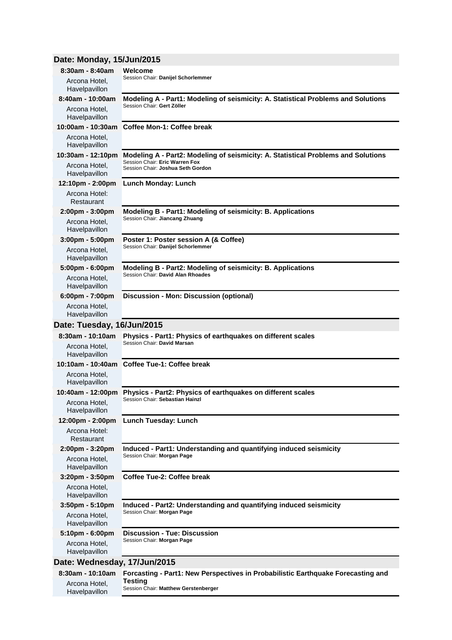# **Date: Monday, 15/Jun/2015**

Havelpavillon

| 8:30am - 8:40am                   | Welcome                                                                                                             |  |
|-----------------------------------|---------------------------------------------------------------------------------------------------------------------|--|
| Arcona Hotel,<br>Havelpavillon    | Session Chair: Danijel Schorlemmer                                                                                  |  |
| 8:40am - 10:00am                  | Modeling A - Part1: Modeling of seismicity: A. Statistical Problems and Solutions                                   |  |
| Arcona Hotel,<br>Havelpavillon    | Session Chair: Gert Zöller                                                                                          |  |
| 10:00am - 10:30am                 | <b>Coffee Mon-1: Coffee break</b>                                                                                   |  |
| Arcona Hotel,<br>Havelpavillon    |                                                                                                                     |  |
| 10:30am - 12:10pm                 | Modeling A - Part2: Modeling of seismicity: A. Statistical Problems and Solutions<br>Session Chair: Eric Warren Fox |  |
| Arcona Hotel,<br>Havelpavillon    | Session Chair: Joshua Seth Gordon                                                                                   |  |
| 12:10pm - 2:00pm                  | <b>Lunch Monday: Lunch</b>                                                                                          |  |
| Arcona Hotel:<br>Restaurant       |                                                                                                                     |  |
| $2:00 \text{pm} - 3:00 \text{pm}$ | Modeling B - Part1: Modeling of seismicity: B. Applications                                                         |  |
| Arcona Hotel,<br>Havelpavillon    | Session Chair: Jiancang Zhuang                                                                                      |  |
| $3:00 \text{pm} - 5:00 \text{pm}$ | Poster 1: Poster session A (& Coffee)                                                                               |  |
| Arcona Hotel,<br>Havelpavillon    | Session Chair: Danijel Schorlemmer                                                                                  |  |
| $5:00 \text{pm} - 6:00 \text{pm}$ | Modeling B - Part2: Modeling of seismicity: B. Applications<br>Session Chair: David Alan Rhoades                    |  |
| Arcona Hotel,<br>Havelpavillon    |                                                                                                                     |  |
| 6:00pm - 7:00pm                   | Discussion - Mon: Discussion (optional)                                                                             |  |
| Arcona Hotel,<br>Havelpavillon    |                                                                                                                     |  |
| Date: Tuesday, 16/Jun/2015        |                                                                                                                     |  |
| 8:30am - 10:10am                  | Physics - Part1: Physics of earthquakes on different scales                                                         |  |
| Arcona Hotel,<br>Havelpavillon    | Session Chair: David Marsan                                                                                         |  |
| 10:10am - 10:40am                 | <b>Coffee Tue-1: Coffee break</b>                                                                                   |  |
| Arcona Hotel,<br>Havelpavillon    |                                                                                                                     |  |
| 10:40am - 12:00pm                 | Physics - Part2: Physics of earthquakes on different scales                                                         |  |
| Arcona Hotel.<br>Havelpavillon    | Session Chair: Sebastian Hainzl                                                                                     |  |
| 12:00pm - 2:00pm                  | <b>Lunch Tuesday: Lunch</b>                                                                                         |  |
| Arcona Hotel:<br>Restaurant       |                                                                                                                     |  |
| 2:00pm - 3:20pm                   | Induced - Part1: Understanding and quantifying induced seismicity<br>Session Chair: Morgan Page                     |  |
| Arcona Hotel,<br>Havelpavillon    |                                                                                                                     |  |
| $3:20$ pm - $3:50$ pm             | Coffee Tue-2: Coffee break                                                                                          |  |
| Arcona Hotel,<br>Havelpavillon    |                                                                                                                     |  |
| $3:50$ pm - $5:10$ pm             | Induced - Part2: Understanding and quantifying induced seismicity                                                   |  |
| Arcona Hotel,<br>Havelpavillon    | Session Chair: Morgan Page                                                                                          |  |
| 5:10pm - 6:00pm                   | <b>Discussion - Tue: Discussion</b>                                                                                 |  |
| Arcona Hotel,<br>Havelpavillon    | Session Chair: Morgan Page                                                                                          |  |
| Date: Wednesday, 17/Jun/2015      |                                                                                                                     |  |
| 8:30am - 10:10am                  | Forcasting - Part1: New Perspectives in Probabilistic Earthquake Forecasting and                                    |  |
|                                   | <b>Testing</b>                                                                                                      |  |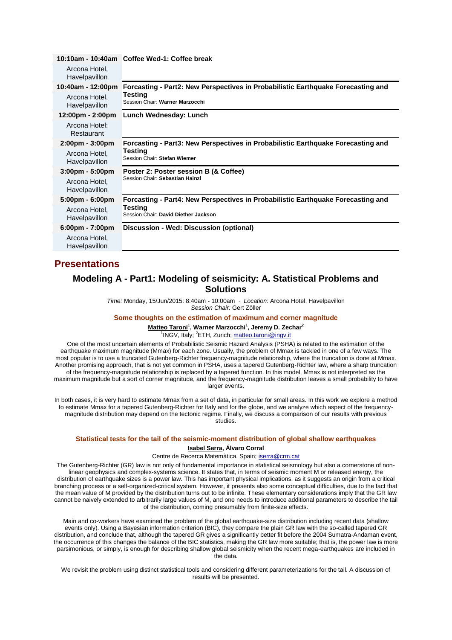|                                   | 10:10am - 10:40am Coffee Wed-1: Coffee break                                                                                   |
|-----------------------------------|--------------------------------------------------------------------------------------------------------------------------------|
| Arcona Hotel,<br>Havelpavillon    |                                                                                                                                |
| 10:40am - 12:00pm                 | Forcasting - Part2: New Perspectives in Probabilistic Earthquake Forecasting and<br>Testing<br>Session Chair: Warner Marzocchi |
| Arcona Hotel.<br>Havelpavillon    |                                                                                                                                |
| 12:00pm - 2:00pm                  | Lunch Wednesday: Lunch                                                                                                         |
| Arcona Hotel:<br>Restaurant       |                                                                                                                                |
| $2:00 \text{pm} - 3:00 \text{pm}$ | Forcasting - Part3: New Perspectives in Probabilistic Earthquake Forecasting and                                               |
| Arcona Hotel,<br>Havelpavillon    | Testing<br>Session Chair: Stefan Wiemer                                                                                        |
| $3:00 \text{pm} - 5:00 \text{pm}$ | Poster 2: Poster session B (& Coffee)<br>Session Chair: Sebastian Hainzl                                                       |
| Arcona Hotel,<br>Havelpavillon    |                                                                                                                                |
| $5:00 \text{pm} - 6:00 \text{pm}$ | Forcasting - Part4: New Perspectives in Probabilistic Earthquake Forecasting and                                               |
| Arcona Hotel,<br>Havelpavillon    | Testing<br>Session Chair: David Diether Jackson                                                                                |
| $6:00 \text{pm} - 7:00 \text{pm}$ | Discussion - Wed: Discussion (optional)                                                                                        |
| Arcona Hotel,<br>Havelpavillon    |                                                                                                                                |
|                                   |                                                                                                                                |

# **Presentations**

## **Modeling A - Part1: Modeling of seismicity: A. Statistical Problems and Solutions**

*Time:* Monday, 15/Jun/2015: 8:40am - 10:00am · *Location:* Arcona Hotel, Havelpavillon *Session Chair:* Gert Zöller

## **Some thoughts on the estimation of maximum and corner magnitude**

**Matteo Taroni<sup>1</sup> , Warner Marzocchi<sup>1</sup> , Jeremy D. Zechar<sup>2</sup>**

<sup>1</sup>INGV, Italy; <sup>2</sup>ETH, Zurich; matteo.taroni@ingv.it

One of the most uncertain elements of Probabilistic Seismic Hazard Analysis (PSHA) is related to the estimation of the earthquake maximum magnitude (Mmax) for each zone. Usually, the problem of Mmax is tackled in one of a few ways. The most popular is to use a truncated Gutenberg-Richter frequency-magnitude relationship, where the truncation is done at Mmax. Another promising approach, that is not yet common in PSHA, uses a tapered Gutenberg-Richter law, where a sharp truncation of the frequency-magnitude relationship is replaced by a tapered function. In this model, Mmax is not interpreted as the maximum magnitude but a sort of corner magnitude, and the frequency-magnitude distribution leaves a small probability to have larger events.

In both cases, it is very hard to estimate Mmax from a set of data, in particular for small areas. In this work we explore a method to estimate Mmax for a tapered Gutenberg-Richter for Italy and for the globe, and we analyze which aspect of the frequencymagnitude distribution may depend on the tectonic regime. Finally, we discuss a comparison of our results with previous studies.

## **Statistical tests for the tail of the seismic-moment distribution of global shallow earthquakes Isabel Serra, Álvaro Corral**

#### Centre de Recerca Matemàtica, Spain; iserra@crm.cat

The Gutenberg-Richter (GR) law is not only of fundamental importance in statistical seismology but also a cornerstone of nonlinear geophysics and complex-systems science. It states that, in terms of seismic moment M or released energy, the distribution of earthquake sizes is a power law. This has important physical implications, as it suggests an origin from a critical branching process or a self-organized-critical system. However, it presents also some conceptual difficulties, due to the fact that the mean value of M provided by the distribution turns out to be infinite. These elementary considerations imply that the GR law cannot be naively extended to arbitrarily large values of M, and one needs to introduce additional parameters to describe the tail of the distribution, coming presumably from finite-size effects.

Main and co-workers have examined the problem of the global earthquake-size distribution including recent data (shallow events only). Using a Bayesian information criterion (BIC), they compare the plain GR law with the so-called tapered GR distribution, and conclude that, although the tapered GR gives a significantly better fit before the 2004 Sumatra-Andaman event, the occurrence of this changes the balance of the BIC statistics, making the GR law more suitable; that is, the power law is more parsimonious, or simply, is enough for describing shallow global seismicity when the recent mega-earthquakes are included in the data.

We revisit the problem using distinct statistical tools and considering different parameterizations for the tail. A discussion of results will be presented.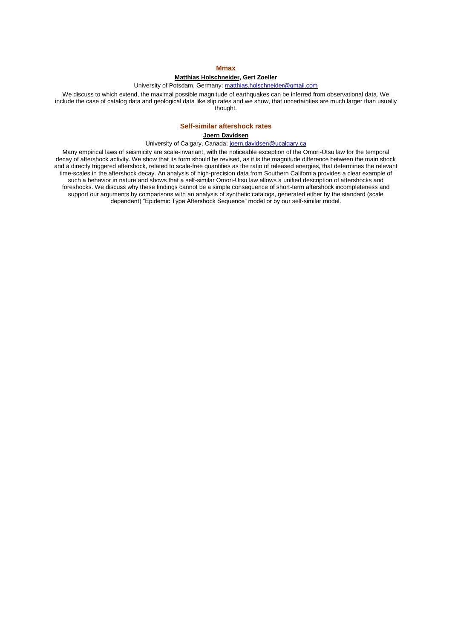## **Mmax**

## **Matthias Holschneider, Gert Zoeller**

## University of Potsdam, Germany; matthias.holschneider@gmail.com

We discuss to which extend, the maximal possible magnitude of earthquakes can be inferred from observational data. We include the case of catalog data and geological data like slip rates and we show, that uncertainties are much larger than usually thought.

## **Self-similar aftershock rates**

### **Joern Davidsen**

#### University of Calgary, Canada; joern.davidsen@ucalgary.ca

Many empirical laws of seismicity are scale-invariant, with the noticeable exception of the Omori-Utsu law for the temporal decay of aftershock activity. We show that its form should be revised, as it is the magnitude difference between the main shock and a directly triggered aftershock, related to scale-free quantities as the ratio of released energies, that determines the relevant time-scales in the aftershock decay. An analysis of high-precision data from Southern California provides a clear example of such a behavior in nature and shows that a self-similar Omori-Utsu law allows a unified description of aftershocks and foreshocks. We discuss why these findings cannot be a simple consequence of short-term aftershock incompleteness and support our arguments by comparisons with an analysis of synthetic catalogs, generated either by the standard (scale dependent) "Epidemic Type Aftershock Sequence" model or by our self-similar model.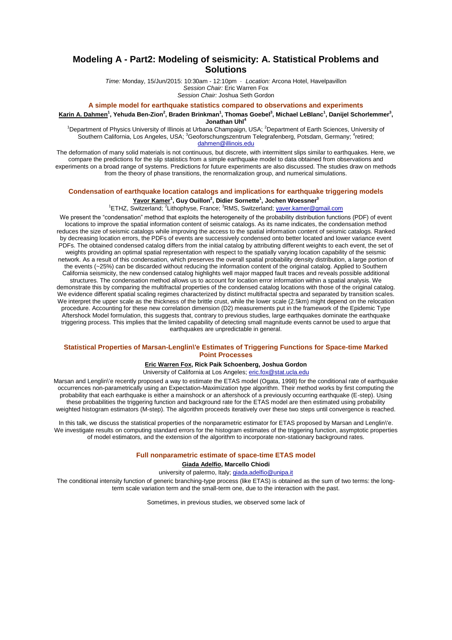## **Modeling A - Part2: Modeling of seismicity: A. Statistical Problems and Solutions**

*Time:* Monday, 15/Jun/2015: 10:30am - 12:10pm · *Location:* Arcona Hotel, Havelpavillon *Session Chair:* Eric Warren Fox *Session Chair:* Joshua Seth Gordon

#### **A simple model for earthquake statistics compared to observations and experiments**

**Karin A. Dahmen<sup>1</sup> , Yehuda Ben-Zion<sup>2</sup> , Braden Brinkman<sup>1</sup> , Thomas Goebel<sup>3</sup> , Michael LeBlanc<sup>1</sup> , Danijel Schorlemmer<sup>3</sup> , Jonathan Uhl<sup>4</sup>**

<sup>1</sup>Department of Physics University of Illinois at Urbana Champaign, USA; <sup>2</sup>Department of Earth Sciences, University of Southern California, Los Angeles, USA; <sup>3</sup>Geoforschungszentrum Telegrafenberg, Potsdam, Germany; <sup>4</sup>retired; dahmen@illinois.edu

The deformation of many solid materials is not continuous, but discrete, with intermittent slips similar to earthquakes. Here, we compare the predictions for the slip statistics from a simple earthquake model to data obtained from observations and experiments on a broad range of systems. Predictions for future experiments are also discussed. The studies draw on methods from the theory of phase transitions, the renormalization group, and numerical simulations.

## **Condensation of earthquake location catalogs and implications for earthquake triggering models Yavor Kamer<sup>1</sup> , Guy Ouillon<sup>2</sup> , Didier Sornette<sup>1</sup> , Jochen Woessner<sup>3</sup>**

<sup>1</sup>ETHZ, Switzerland; <sup>2</sup>Lithophyse, France; <sup>3</sup>RMS, Switzerland; <u>yaver.kamer@gmail.com</u>

We present the "condensation" method that exploits the heterogeneity of the probability distribution functions (PDF) of event locations to improve the spatial information content of seismic catalogs. As its name indicates, the condensation method reduces the size of seismic catalogs while improving the access to the spatial information content of seismic catalogs. Ranked by decreasing location errors, the PDFs of events are successively condensed onto better located and lower variance event PDFs. The obtained condensed catalog differs from the initial catalog by attributing different weights to each event, the set of weights providing an optimal spatial representation with respect to the spatially varying location capability of the seismic network. As a result of this condensation, which preserves the overall spatial probability density distribution, a large portion of the events (~25%) can be discarded without reducing the information content of the original catalog. Applied to Southern California seismicity, the new condensed catalog highlights well major mapped fault traces and reveals possible additional structures. The condensation method allows us to account for location error information within a spatial analysis. We demonstrate this by comparing the multifractal properties of the condensed catalog locations with those of the original catalog. We evidence different spatial scaling regimes characterized by distinct multifractal spectra and separated by transition scales. We interpret the upper scale as the thickness of the brittle crust, while the lower scale (2.5km) might depend on the relocation procedure. Accounting for these new correlation dimension (D2) measurements put in the framework of the Epidemic Type Aftershock Model formulation, this suggests that, contrary to previous studies, large earthquakes dominate the earthquake triggering process. This implies that the limited capability of detecting small magnitude events cannot be used to argue that earthquakes are unpredictable in general.

#### **Statistical Properties of Marsan-Lenglin\'e Estimates of Triggering Functions for Space-time Marked Point Processes**

#### **Eric Warren Fox, Rick Paik Schoenberg, Joshua Gordon**

University of California at Los Angeles; eric.fox@stat.ucla.edu

Marsan and Lenglin\'e recently proposed a way to estimate the ETAS model (Ogata, 1998) for the conditional rate of earthquake occurrences non-parametrically using an Expectation-Maximization type algorithm. Their method works by first computing the probability that each earthquake is either a mainshock or an aftershock of a previously occurring earthquake (E-step). Using these probabilities the triggering function and background rate for the ETAS model are then estimated using probability weighted histogram estimators (M-step). The algorithm proceeds iteratively over these two steps until convergence is reached.

In this talk, we discuss the statistical properties of the nonparametric estimator for ETAS proposed by Marsan and Lenglin\'e. We investigate results on computing standard errors for the histogram estimates of the triggering function, asymptotic properties of model estimators, and the extension of the algorithm to incorporate non-stationary background rates.

#### **Full nonparametric estimate of space-time ETAS model**

#### **Giada Adelfio, Marcello Chiodi**

university of palermo, Italy; giada.adelfio@unipa.it

The conditional intensity function of generic branching-type process (like ETAS) is obtained as the sum of two terms: the longterm scale variation term and the small-term one, due to the interaction with the past.

Sometimes, in previous studies, we observed some lack of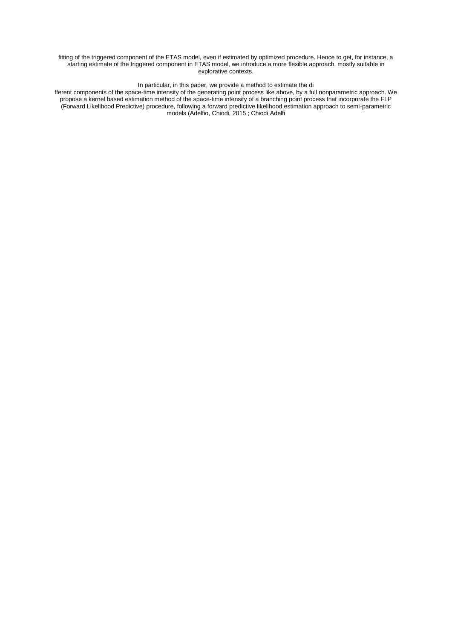fitting of the triggered component of the ETAS model, even if estimated by optimized procedure. Hence to get, for instance, a starting estimate of the triggered component in ETAS model, we introduce a more flexible approach, mostly suitable in explorative contexts.

## In particular, in this paper, we provide a method to estimate the di

fferent components of the space-time intensity of the generating point process like above, by a full nonparametric approach. We propose a kernel based estimation method of the space-time intensity of a branching point process that incorporate the FLP (Forward Likelihood Predictive) procedure, following a forward predictive likelihood estimation approach to semi-parametric models (Adelfio, Chiodi, 2015 ; Chiodi Adelfi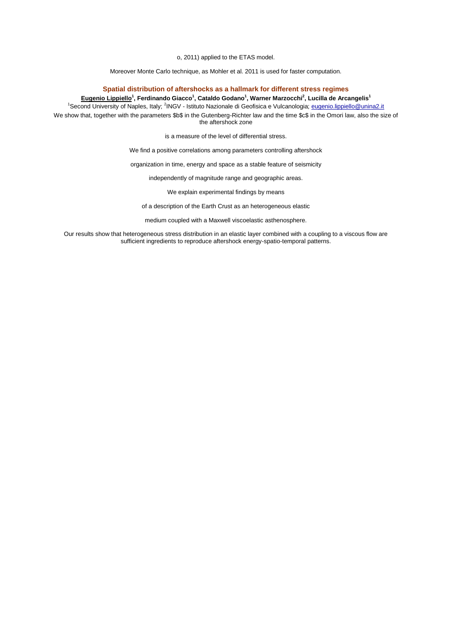o, 2011) applied to the ETAS model.

Moreover Monte Carlo technique, as Mohler et al. 2011 is used for faster computation.

## **Spatial distribution of aftershocks as a hallmark for different stress regimes**

**Eugenio Lippiello<sup>1</sup> , Ferdinando Giacco<sup>1</sup> , Cataldo Godano<sup>1</sup> , Warner Marzocchi<sup>2</sup> , Lucilla de Arcangelis<sup>1</sup>**

<sup>1</sup>Second University of Naples, Italy; <sup>2</sup>INGV - Istituto Nazionale di Geofisica e Vulcanologia; eugenio.lippiello@unina2.it

We show that, together with the parameters \$b\$ in the Gutenberg-Richter law and the time \$c\$ in the Omori law, also the size of the aftershock zone

is a measure of the level of differential stress.

We find a positive correlations among parameters controlling aftershock

organization in time, energy and space as a stable feature of seismicity

independently of magnitude range and geographic areas.

We explain experimental findings by means

of a description of the Earth Crust as an heterogeneous elastic

medium coupled with a Maxwell viscoelastic asthenosphere.

Our results show that heterogeneous stress distribution in an elastic layer combined with a coupling to a viscous flow are sufficient ingredients to reproduce aftershock energy-spatio-temporal patterns.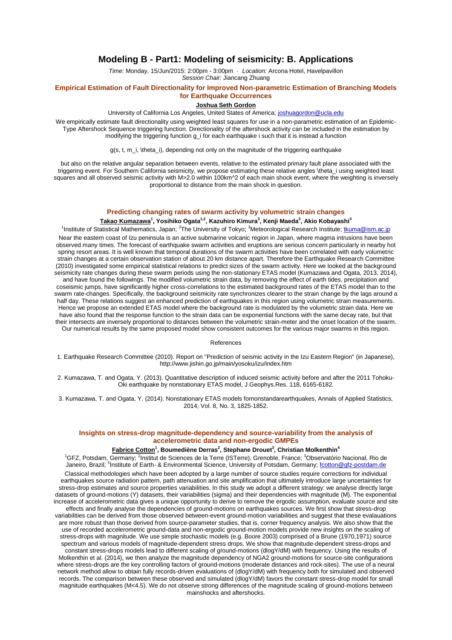## **Modeling B - Part1: Modeling of seismicity: B. Applications**

*Time:* Monday, 15/Jun/2015: 2:00pm - 3:00pm · *Location:* Arcona Hotel, Havelpavillon *Session Chair:* Jiancang Zhuang

## **Empirical Estimation of Fault Directionality for Improved Non-parametric Estimation of Branching Models for Earthquake Occurrences**

### **Joshua Seth Gordon**

University of California Los Angeles, United States of America; joshuagordon@ucla.edu

We empirically estimate fault directionality using weighted least squares for use in a non-parametric estimation of an Epidemic-Type Aftershock Sequence triggering function. Directionality of the aftershock activity can be included in the estimation by modifying the triggering function g\_i for each earthquake i such that it is instead a function

g(s, t, m\_i, \theta\_i), depending not only on the magnitude of the triggering earthquake

but also on the relative angular separation between events, relative to the estimated primary fault plane associated with the triggering event. For Southern California seismicity, we propose estimating these relative angles \theta\_i using weighted least squares and all observed seismic activity with M>2.0 within 100km<sup>^</sup>2 of each main shock event, where the weighting is inversely proportional to distance from the main shock in question.

## **Predicting changing rates of swarm activity by volumetric strain changes**

#### **Takao Kumazawa<sup>1</sup> , Yosihiko Ogata1,2, Kazuhiro Kimura<sup>3</sup> , Kenji Maeda<sup>3</sup> , Akio Kobayashi<sup>3</sup>**

<sup>1</sup>Institute of Statistical Mathematics, Japan; <sup>2</sup>The University of Tokyo; <sup>3</sup>Meteorological Research Institute; tkuma@ism.ac.jp Near the eastern coast of Izu peninsula is an active submarine volcanic region in Japan, where magma intrusions have been observed many times. The forecast of earthquake swarm activities and eruptions are serious concern particularly in nearby hot spring resort areas. It is well known that temporal durations of the swarm activities have been correlated with early volumetric strain changes at a certain observation station of about 20 km distance apart. Therefore the Earthquake Research Committee (2010) investigated some empirical statistical relations to predict sizes of the swarm activity. Here we looked at the background seismicity rate changes during these swarm periods using the non-stationary ETAS model (Kumazawa and Ogata, 2013, 2014), and have found the followings. The modified volumetric strain data, by removing the effect of earth tides, precipitation and coseismic jumps, have significantly higher cross-correlations to the estimated background rates of the ETAS model than to the swarm rate-changes. Specifically, the background seismicity rate synchronizes clearer to the strain change by the lags around a half day. These relations suggest an enhanced prediction of earthquakes in this region using volumetric strain measurements. Hence we propose an extended ETAS model where the background rate is modulated by the volumetric strain data. Here we have also found that the response function to the strain data can be exponential functions with the same decay rate, but that their intersects are inversely proportional to distances between the volumetric strain-meter and the onset location of the swarm. Our numerical results by the same proposed model show consistent outcomes for the various major swarms in this region.

#### References

1. Earthquake Research Committee (2010). Report on "Prediction of seismic activity in the Izu Eastern Region" (in Japanese), http://www.jishin.go.jp/main/yosoku/izu/index.htm

2. Kumazawa, T. and Ogata, Y. (2013). Quantitative description of induced seismic activity before and after the 2011 Tohoku-Oki earthquake by nonstationary ETAS model, J Geophys.Res. 118, 6165-6182.

3. Kumazawa, T. and Ogata, Y. (2014). Nonstationary ETAS models fornonstandarearthquakes, Annals of Applied Statistics, 2014, Vol. 8, No. 3, 1825-1852.

## **Insights on stress-drop magnitude-dependency and source-variability from the analysis of accelerometric data and non-ergodic GMPEs**

#### **Fabrice Cotton<sup>1</sup> , Boumediène Derras<sup>2</sup> , Stephane Drouet<sup>3</sup> , Christian Molkenthin<sup>4</sup>**

<sup>1</sup>GFZ, Potsdam, Germany; <sup>2</sup>Institut de Sciences de la Terre (ISTerre), Grenoble, France; <sup>3</sup>Observatório Nacional, Rio de Janeiro, Brazil; <sup>4</sup>Institute of Earth- & Environmental Science, University of Potsdam, Germany; fcotton@gfz-postdam.de Classical methodologies which have been adopted by a large number of source studies require corrections for individual earthquakes source radiation pattern, path attenuation and site amplification that ultimately introduce large uncertainties for stress-drop estimates and source properties variabilities. In this study we adopt a different strategy: we analyse directly large datasets of ground-motions (Y) datasets, their variabilities (sigma) and their dependencies with magnitude (M). The exponential increase of accelerometric data gives a unique opportunity to derive to remove the ergodic assumption, evaluate source and site effects and finally analyse the dependencies of ground-motions on earthquakes sources. We first show that stress-drop variabilities can be derived from those observed between-event ground-motion variabilities and suggest that these evalauations are more robust than those derived from source-parameter studies, that is, corner frequency analysis. We also show that the use of recorded accelerometric ground-data and non-ergodic ground-motion models provide new insights on the scaling of stress-drops with magnitude. We use simple stochastic models (e.g. Boore 2003) comprised of a Brune (1970,1971) source spectrum and various models of magnitude-dependent stress drops. We show that magnitude-dependent stress-drops and constant stress-drops models lead to different scaling of ground-motions (dlogY/dM) with frequency. Using the results of Molkenthin et al. (2014), we then analyze the magnitude dependency of NGA2 ground-motions for source-site configurations where stress-drops are the key controlling factors of ground-motions (moderate distances and rock-sites). The use of a neural network method allow to obtain fully records-driven evaluations of (dlogY/dM) with frequency both for simulated and observed records. The comparison between these observed and simulated (dlogY/dM) favors the constant stress-drop model for small magnitude earthquakes (M<4.5). We do not observe strong differences of the magnitude scaling of ground-motions between mainshocks and aftershocks.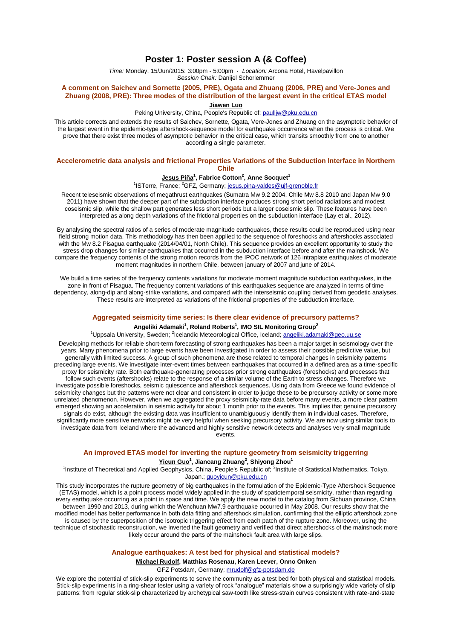## **Poster 1: Poster session A (& Coffee)**

*Time:* Monday, 15/Jun/2015: 3:00pm - 5:00pm · *Location:* Arcona Hotel, Havelpavillon *Session Chair:* Danijel Schorlemmer

## **A comment on Saichev and Sornette (2005, PRE), Ogata and Zhuang (2006, PRE) and Vere-Jones and Zhuang (2008, PRE): Three modes of the distribution of the largest event in the critical ETAS model**

**Jiawen Luo**

Peking University, China, People's Republic of; paulliw@pku.edu.cn

This article corrects and extends the results of Saichev, Sornette, Ogata, Vere-Jones and Zhuang on the asymptotic behavior of the largest event in the epidemic-type aftershock-sequence model for earthquake occurrence when the process is critical. We prove that there exist three modes of asymptotic behavior in the critical case, which transits smoothly from one to another according a single parameter.

## **Accelerometric data analysis and frictional Properties Variations of the Subduction Interface in Northern Chile**

## **Jesus Piña<sup>1</sup> , Fabrice Cotton<sup>2</sup> , Anne Socquet<sup>1</sup>**

## <sup>1</sup>ISTerre, France; <sup>2</sup>GFZ, Germany; jesus.pina-valdes@ujf-grenoble.fr

Recent teleseismic observations of megathrust earthquakes (Sumatra Mw 9.2 2004, Chile Mw 8.8 2010 and Japan Mw 9.0 2011) have shown that the deeper part of the subduction interface produces strong short period radiations and modest coseismic slip, while the shallow part generates less short periods but a larger coseismic slip. These features have been interpreted as along depth variations of the frictional properties on the subduction interface (Lay et al., 2012).

By analysing the spectral ratios of a series of moderate magnitude earthquakes, these results could be reproduced using near field strong motion data. This methodology has then been applied to the sequence of foreshocks and aftershocks associated with the Mw 8.2 Pisagua earthquake (2014/04/01, North Chile). This sequence provides an excellent opportunity to study the stress drop changes for similar earthquakes that occurred in the subduction interface before and after the mainshock. We compare the frequency contents of the strong motion records from the IPOC network of 126 intraplate earthquakes of moderate moment magnitudes in northern Chile, between january of 2007 and june of 2014.

We build a time series of the frequency contents variations for moderate moment magnitude subduction earthquakes, in the zone in front of Pisagua. The frequency content variations of this earthquakes sequence are analyzed in terms of time dependency, along-dip and along-strike variations, and compared with the interseismic coupling derived from geodetic analyses. These results are interpreted as variations of the frictional properties of the subduction interface.

#### **Aggregated seismicity time series: Is there clear evidence of precursory patterns?**

#### **Angeliki Adamaki<sup>1</sup> , Roland Roberts<sup>1</sup> , IMO SIL Monitoring Group<sup>2</sup>**

<sup>1</sup>Uppsala University, Sweden; <sup>2</sup>lcelandic Meteorological Office, Iceland; <u>angeliki.adamaki@geo.uu.se</u>

Developing methods for reliable short-term forecasting of strong earthquakes has been a major target in seismology over the years. Many phenomena prior to large events have been investigated in order to assess their possible predictive value, but generally with limited success. A group of such phenomena are those related to temporal changes in seismicity patterns preceding large events. We investigate inter-event times between earthquakes that occurred in a defined area as a time-specific proxy for seismicity rate. Both earthquake-generating processes prior strong earthquakes (foreshocks) and processes that follow such events (aftershocks) relate to the response of a similar volume of the Earth to stress changes. Therefore we investigate possible foreshocks, seismic quiescence and aftershock sequences. Using data from Greece we found evidence of seismicity changes but the patterns were not clear and consistent in order to judge these to be precursory activity or some more unrelated phenomenon. However, when we aggregated the proxy seismicity-rate data before many events, a more clear pattern emerged showing an acceleration in seismic activity for about 1 month prior to the events. This implies that genuine precursory signals do exist, although the existing data was insufficient to unambiguously identify them in individual cases. Therefore, significantly more sensitive networks might be very helpful when seeking precursory activity. We are now using similar tools to investigate data from Iceland where the advanced and highly sensitive network detects and analyses very small magnitude events.

#### **An improved ETAS model for inverting the rupture geometry from seismicity triggerring**

#### **Yicun Guo<sup>1</sup> , Jiancang Zhuang<sup>2</sup> , Shiyong Zhou<sup>1</sup>**

<sup>1</sup>Institute of Theoretical and Applied Geophysics, China, People's Republic of; <sup>2</sup>Institute of Statistical Mathematics, Tokyo, Japan.; guoyicun@pku.edu.cn

This study incorporates the rupture geometry of big earthquakes in the formulation of the Epidemic-Type Aftershock Sequence (ETAS) model, which is a point process model widely applied in the study of spatiotemporal seismicity, rather than regarding every earthquake occurring as a point in space and time. We apply the new model to the catalog from Sichuan province. China between 1990 and 2013, during which the Wenchuan Mw7.9 earthquake occurred in May 2008. Our results show that the modified model has better performance in both data fitting and aftershock simulation, confirming that the elliptic aftershock zone is caused by the superposition of the isotropic triggering effect from each patch of the rupture zone. Moreover, using the technique of stochastic reconstruction, we inverted the fault geometry and verified that direct aftershocks of the mainshock more likely occur around the parts of the mainshock fault area with large slips.

#### **Analogue earthquakes: A test bed for physical and statistical models?**

**Michael Rudolf, Matthias Rosenau, Karen Leever, Onno Onken**

GFZ Potsdam, Germany; mrudolf@gfz-potsdam.de

We explore the potential of stick-slip experiments to serve the community as a test bed for both physical and statistical models. Stick-slip experiments in a ring-shear tester using a variety of rock "analogue" materials show a surprisingly wide variety of slip patterns: from regular stick-slip characterized by archetypical saw-tooth like stress-strain curves consistent with rate-and-state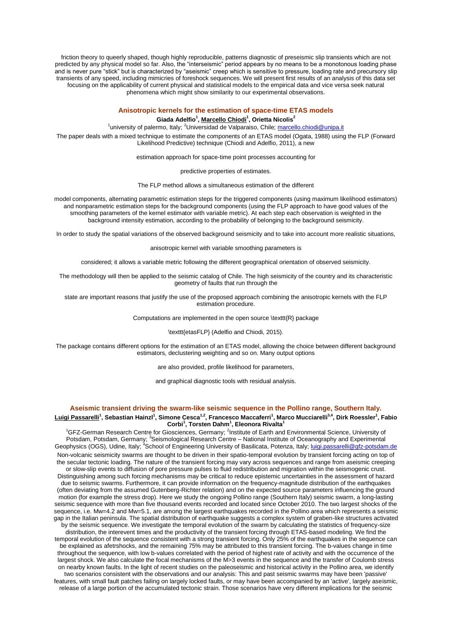friction theory to queerly shaped, though highly reproducible, patterns diagnostic of preseismic slip transients which are not predicted by any physical model so far. Also, the "interseismic" period appears by no means to be a monotonous loading phase and is never pure "stick" but is characterized by "aseismic" creep which is sensitive to pressure, loading rate and precursory slip transients of any speed, including mimicries of foreshock sequences. We will present first results of an analysis of this data set focusing on the applicability of current physical and statistical models to the empirical data and vice versa seek natural phenomena which might show similarity to our experimental observations.

## **Anisotropic kernels for the estimation of space-time ETAS models Giada Adelfio<sup>1</sup> , Marcello Chiodi<sup>1</sup> , Orietta Nicolis<sup>2</sup>**

<sup>1</sup>university of palermo, Italy; <sup>2</sup>Universidad de Valparaiso, Chile; marcello.chiodi@unipa.it

The paper deals with a mixed technique to estimate the components of an ETAS model (Ogata, 1988) using the FLP (Forward Likelihood Predictive) technique (Chiodi and Adelfio, 2011), a new

estimation approach for space-time point processes accounting for

predictive properties of estimates.

The FLP method allows a simultaneous estimation of the different

model components, alternating parametric estimation steps for the triggered components (using maximum likelihood estimators) and nonparametric estimation steps for the background components (using the FLP approach to have good values of the smoothing parameters of the kernel estimator with variable metric). At each step each observation is weighted in the background intensity estimation, according to the probability of belonging to the background seismicity.

In order to study the spatial variations of the observed background seismicity and to take into account more realistic situations,

anisotropic kernel with variable smoothing parameters is

considered; it allows a variable metric following the different geographical orientation of observed seismicity.

The methodology will then be applied to the seismic catalog of Chile. The high seismicity of the country and its characteristic geometry of faults that run through the

state are important reasons that justify the use of the proposed approach combining the anisotropic kernels with the FLP estimation procedure.

Computations are implemented in the open source \texttt{R} package

\texttt{etasFLP} (Adelfio and Chiodi, 2015).

The package contains different options for the estimation of an ETAS model, allowing the choice between different background estimators, declustering weighting and so on. Many output options

are also provided, profile likelihood for parameters,

and graphical diagnostic tools with residual analysis.

#### **Aseismic transient driving the swarm-like seismic sequence in the Pollino range, Southern Italy.**

#### **Luigi Passarelli<sup>1</sup> , Sebastian Hainzl<sup>1</sup> , Simone Cesca1,2, Francesco Maccaferri<sup>1</sup> , Marco Mucciarelli3,4, Dirk Roessler<sup>1</sup> , Fabio Corbi<sup>1</sup> , Torsten Dahm<sup>1</sup> , Eleonora Rivalta<sup>1</sup>**

<sup>1</sup>GFZ-German Research Centre for Giosciences, Germany; <sup>2</sup>Institute of Earth and Environmental Science, University of Potsdam, Potsdam, Germany; <sup>3</sup>Seismological Research Centre – National Institute of Oceanography and Experimental Geophysics (OGS), Udine, Italy; <sup>4</sup>School of Engineering University of Basilicata, Potenza, Italy; luigi.passarelli@gfz-potsdam.de Non-volcanic seismicity swarms are thought to be driven in their spatio-temporal evolution by transient forcing acting on top of

the secular tectonic loading. The nature of the transient forcing may vary across sequences and range from aseismic creeping or slow-slip events to diffusion of pore pressure pulses to fluid redistribution and migration within the seismogenic crust. Distinguishing among such forcing mechanisms may be critical to reduce epistemic uncertainties in the assessment of hazard due to seismic swarms. Furthermore, it can provide information on the frequency-magnitude distribution of the earthquakes (often deviating from the assumed Gutenberg-Richter relation) and on the expected source parameters influencing the ground motion (for example the stress drop). Here we study the ongoing Pollino range (Southern Italy) seismic swarm, a long-lasting seismic sequence with more than five thousand events recorded and located since October 2010. The two largest shocks of the sequence, i.e. Mw=4.2 and Mw=5.1, are among the largest earthquakes recorded in the Pollino area which represents a seismic gap in the Italian peninsula. The spatial distribution of earthquake suggests a complex system of graben-like structures activated by the seismic sequence. We investigate the temporal evolution of the swarm by calculating the statistics of frequency-size distribution, the interevent times and the productivity of the transient forcing through ETAS-based modeling. We find the temporal evolution of the sequence consistent with a strong transient forcing. Only 25% of the earthquakes in the sequence can be explained as afetrshocks, and the remaining 75% may be attributed to this transient forcing. The b-values change in time throughout the sequence, with low b-values correlated with the period of highest rate of activity and with the occurrence of the largest shock. We also calculate the focal mechanisms of the M>3 events in the sequence and the transfer of Coulomb stress on nearby known faults. In the light of recent studies on the paleoseismic and historical activity in the Pollino area, we identify two scenarios consistent with the observations and our analysis: This and past seismic swarms may have been 'passive' features, with small fault patches failing on largely locked faults, or may have been accompanied by an 'active', largely aseismic, release of a large portion of the accumulated tectonic strain. Those scenarios have very different implications for the seismic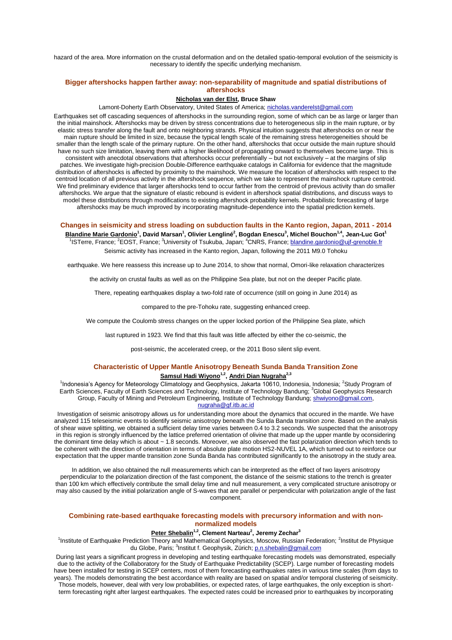hazard of the area. More information on the crustal deformation and on the detailed spatio-temporal evolution of the seismicity is necessary to identify the specific underlying mechanism.

## **Bigger aftershocks happen farther away: non-separability of magnitude and spatial distributions of aftershocks**

## **Nicholas van der Elst, Bruce Shaw**

Lamont-Doherty Earth Observatory, United States of America; nicholas.vanderelst@gmail.com

Earthquakes set off cascading sequences of aftershocks in the surrounding region, some of which can be as large or larger than the initial mainshock. Aftershocks may be driven by stress concentrations due to heterogeneous slip in the main rupture, or by elastic stress transfer along the fault and onto neighboring strands. Physical intuition suggests that aftershocks on or near the main rupture should be limited in size, because the typical length scale of the remaining stress heterogeneities should be smaller than the length scale of the primary rupture. On the other hand, aftershocks that occur outside the main rupture should have no such size limitation, leaving them with a higher likelihood of propagating onward to themselves become large. This is consistent with anecdotal observations that aftershocks occur preferentially – but not exclusively – at the margins of slip patches. We investigate high-precision Double-Difference earthquake catalogs in California for evidence that the magnitude distribution of aftershocks is affected by proximity to the mainshock. We measure the location of aftershocks with respect to the centroid location of all previous activity in the aftershock sequence, which we take to represent the mainshock rupture centroid. We find preliminary evidence that larger aftershocks tend to occur farther from the centroid of previous activity than do smaller aftershocks. We argue that the signature of elastic rebound is evident in aftershock spatial distributions, and discuss ways to model these distributions through modifications to existing aftershock probability kernels. Probabilistic forecasting of large aftershocks may be much improved by incorporating magnitude-dependence into the spatial prediction kernels.

**Changes in seismicity and stress loading on subduction faults in the Kanto region, Japan, 2011 - 2014 Blandine Marie Gardonio<sup>1</sup> , David Marsan<sup>1</sup> , Olivier Lengliné<sup>2</sup> , Bogdan Enescu<sup>3</sup> , Michel Bouchon1,4, Jean-Luc Got<sup>1</sup>** <sup>1</sup>ISTerre, France; <sup>2</sup>EOST, France; <sup>3</sup>University of Tsukuba, Japan; <sup>4</sup>CNRS, France; blandine.gardonio@ujf-grenoble.fr Seismic activity has increased in the Kanto region, Japan, following the 2011 M9.0 Tohoku

earthquake. We here reassess this increase up to June 2014, to show that normal, Omori-like relaxation characterizes

the activity on crustal faults as well as on the Philippine Sea plate, but not on the deeper Pacific plate.

There, repeating earthquakes display a two-fold rate of occurrence (still on going in June 2014) as

compared to the pre-Tohoku rate, suggesting enhanced creep.

We compute the Coulomb stress changes on the upper locked portion of the Philippine Sea plate, which

last ruptured in 1923. We find that this fault was little affected by either the co-seismic, the

post-seismic, the accelerated creep, or the 2011 Boso silent slip event.

## **Characteristic of Upper Mantle Anisotropy Beneath Sunda Banda Transition Zone Samsul Hadi Wiyono1,2 , Andri Dian Nugraha2,3**

<sup>1</sup>Indonesia's Agency for Meteorology Climatology and Geophysics, Jakarta 10610, Indonesia, Indonesia; <sup>2</sup>Study Program of Earth Sciences, Faculty of Earth Sciences and Technology, Institute of Technology Bandung; <sup>3</sup>Global Geophysics Research Group, Faculty of Mining and Petroleum Engineering, Institute of Technology Bandung; shwiyono@gmail.com, nugraha@gf.itb.ac.id

Investigation of seismic anisotropy allows us for understanding more about the dynamics that occured in the mantle. We have analyzed 115 teleseismic events to identify seismic anisotropy beneath the Sunda Banda transition zone. Based on the analysis of shear wave splitting, we obtained a sufficient delay time varies between 0.4 to 3.2 seconds. We suspected that the anisotropy in this region is strongly influenced by the lattice preferred orientation of olivine that made up the upper mantle by oconsidering the dominant time delay which is about ~ 1.8 seconds. Moreover, we also observed the fast polarization direction which tends to be coherent with the direction of orientation in terms of absolute plate motion HS2-NUVEL 1A, which turned out to reinforce our expectation that the upper mantle transition zone Sunda Banda has contributed significantly to the anisotropy in the study area.

In addition, we also obtained the null measurements which can be interpreted as the effect of two layers anisotropy perpendicular to the polarization direction of the fast component, the distance of the seismic stations to the trench is greater than 100 km which effectively contribute the small delay time and null measurement, a very complicated structure anisotropy or may also caused by the initial polarization angle of S-waves that are parallel or perpendicular with polarization angle of the fast component.

#### **Combining rate-based earthquake forecasting models with precursory information and with nonnormalized models**

## **Peter Shebalin1,2, Clement Narteau<sup>2</sup> , Jeremy Zechar<sup>3</sup>**

<sup>1</sup>Institute of Earthquake Prediction Theory and Mathematical Geophysics, Moscow, Russian Federation; <sup>2</sup>Institut de Physique du Globe, Paris; <sup>3</sup>Institut f. Geophysik, Zürich; p.n.shebalin@gmail.com

During last years a significant progress in developing and testing earthquake forecasting models was demonstrated, especially due to the activity of the Collaboratory for the Study of Earthquake Predictability (SCEP). Large number of forecasting models have been installed for testing in SCEP centers, most of them forecasting earthquakes rates in various time scales (from days to years). The models demonstrating the best accordance with reality are based on spatial and/or temporal clustering of seismicity. Those models, however, deal with very low probabilities, or expected rates, of large earthquakes, the only exception is short-

term forecasting right after largest earthquakes. The expected rates could be increased prior to earthquakes by incorporating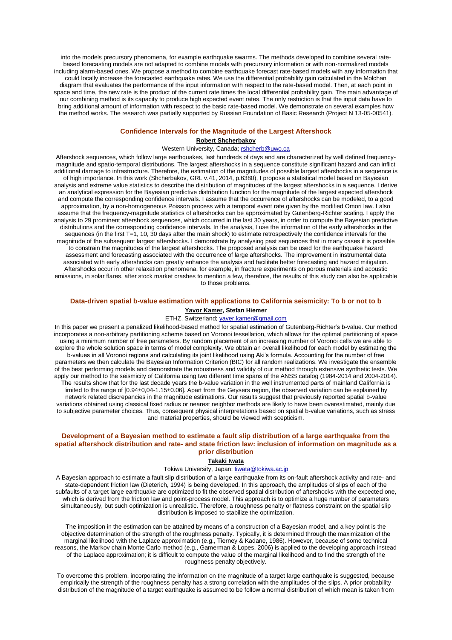into the models precursory phenomena, for example earthquake swarms. The methods developed to combine several ratebased forecasting models are not adapted to combine models with precursory information or with non-normalized models including alarm-based ones. We propose a method to combine earthquake forecast rate-based models with any information that could locally increase the forecasted earthquake rates. We use the differential probability gain calculated in the Molchan diagram that evaluates the performance of the input information with respect to the rate-based model. Then, at each point in space and time, the new rate is the product of the current rate times the local differential probability gain. The main advantage of our combining method is its capacity to produce high expected event rates. The only restriction is that the input data have to bring additional amount of information with respect to the basic rate-based model. We demonstrate on several examples how the method works. The research was partially supported by Russian Foundation of Basic Research (Project N 13-05-00541).

#### **Confidence Intervals for the Magnitude of the Largest Aftershock**

## **Robert Shcherbakov**

#### Western University, Canada; rshcherb@uwo.ca

Aftershock sequences, which follow large earthquakes, last hundreds of days and are characterized by well defined frequencymagnitude and spatio-temporal distributions. The largest aftershocks in a sequence constitute significant hazard and can inflict additional damage to infrastructure. Therefore, the estimation of the magnitudes of possible largest aftershocks in a sequence is of high importance. In this work (Shcherbakov, GRL v.41, 2014, p.6380), I propose a statistical model based on Bayesian analysis and extreme value statistics to describe the distribution of magnitudes of the largest aftershocks in a sequence. I derive an analytical expression for the Bayesian predictive distribution function for the magnitude of the largest expected aftershock and compute the corresponding confidence intervals. I assume that the occurrence of aftershocks can be modeled, to a good approximation, by a non-homogeneous Poisson process with a temporal event rate given by the modified Omori law. I also assume that the frequency-magnitude statistics of aftershocks can be approximated by Gutenberg-Richter scaling. I apply the analysis to 29 prominent aftershock sequences, which occurred in the last 30 years, in order to compute the Bayesian predictive distributions and the corresponding confidence intervals. In the analysis, I use the information of the early aftershocks in the sequences (in the first T=1, 10, 30 days after the main shock) to estimate retrospectively the confidence intervals for the magnitude of the subsequent largest aftershocks. I demonstrate by analysing past sequences that in many cases it is possible to constrain the magnitudes of the largest aftershocks. The proposed analysis can be used for the earthquake hazard assessment and forecasting associated with the occurrence of large aftershocks. The improvement in instrumental data associated with early aftershocks can greatly enhance the analysis and facilitate better forecasting and hazard mitigation. Aftershocks occur in other relaxation phenomena, for example, in fracture experiments on porous materials and acoustic emissions, in solar flares, after stock market crashes to mention a few, therefore, the results of this study can also be applicable to those problems.

## **Data-driven spatial b-value estimation with applications to California seismicity: To b or not to b Yavor Kamer, Stefan Hiemer**

#### ETHZ, Switzerland; yaver.kamer@gmail.com

In this paper we present a penalized likelihood-based method for spatial estimation of Gutenberg-Richter's b-value. Our method incorporates a non-arbitrary partitioning scheme based on Voronoi tessellation, which allows for the optimal partitioning of space using a minimum number of free parameters. By random placement of an increasing number of Voronoi cells we are able to explore the whole solution space in terms of model complexity. We obtain an overall likelihood for each model by estimating the b-values in all Voronoi regions and calculating its joint likelihood using Aki's formula. Accounting for the number of free parameters we then calculate the Bayesian Information Criterion (BIC) for all random realizations. We investigate the ensemble of the best performing models and demonstrate the robustness and validity of our method through extensive synthetic tests. We apply our method to the seismicity of California using two different time spans of the ANSS catalog (1984-2014 and 2004-2014). The results show that for the last decade years the b-value variation in the well instrumented parts of mainland California is limited to the range of [0.94±0,04-1.15±0.06]. Apart from the Geysers region, the observed variation can be explained by network related discrepancies in the magnitude estimations. Our results suggest that previously reported spatial b-value variations obtained using classical fixed radius or nearest neighbor methods are likely to have been overestimated, mainly due to subjective parameter choices. Thus, consequent physical interpretations based on spatial b-value variations, such as stress and material properties, should be viewed with scepticism.

## **Development of a Bayesian method to estimate a fault slip distribution of a large earthquake from the spatial aftershock distribution and rate- and state friction law: inclusion of information on magnitude as a prior distribution**

#### **Takaki Iwata**

## Tokiwa University, Japan; tiwata@tokiwa.ac.jp

A Bayesian approach to estimate a fault slip distribution of a large earthquake from its on-fault aftershock activity and rate- and state-dependent friction law (Dieterich, 1994) is being developed. In this approach, the amplitudes of slips of each of the subfaults of a target large earthquake are optimized to fit the observed spatial distribution of aftershocks with the expected one, which is derived from the friction law and point-process model. This approach is to optimize a huge number of parameters simultaneously, but such optimization is unrealistic. Therefore, a roughness penalty or flatness constraint on the spatial slip distribution is imposed to stabilize the optimization.

The imposition in the estimation can be attained by means of a construction of a Bayesian model, and a key point is the objective determination of the strength of the roughness penalty. Typically, it is determined through the maximization of the marginal likelihood with the Laplace approximation (e.g., Tierney & Kadane, 1986). However, because of some technical reasons, the Markov chain Monte Carlo method (e.g., Gamerman & Lopes, 2006) is applied to the developing approach instead of the Laplace approximation; it is difficult to compute the value of the marginal likelihood and to find the strength of the roughness penalty objectively.

To overcome this problem, incorporating the information on the magnitude of a target large earthquake is suggested, because empirically the strength of the roughness penalty has a strong correlation with the amplitudes of the slips. A prior probability distribution of the magnitude of a target earthquake is assumed to be follow a normal distribution of which mean is taken from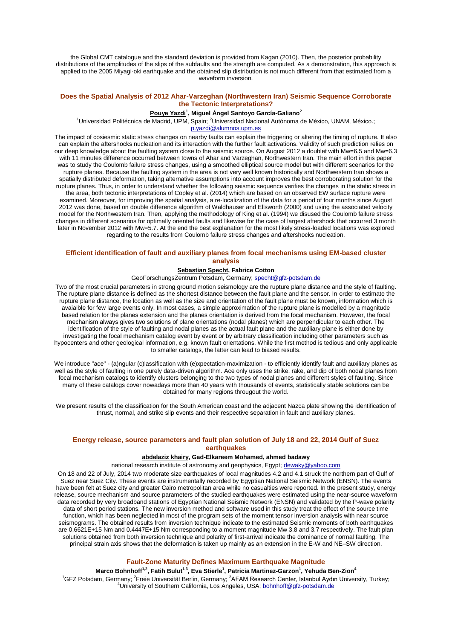the Global CMT catalogue and the standard deviation is provided from Kagan (2010). Then, the posterior probability distributions of the amplitudes of the slips of the subfaults and the strength are computed. As a demonstration, this approach is applied to the 2005 Miyagi-oki earthquake and the obtained slip distribution is not much different from that estimated from a waveform inversion.

## **Does the Spatial Analysis of 2012 Ahar-Varzeghan (Northwestern Iran) Seismic Sequence Corroborate the Tectonic Interpretations?**

## **Pouye Yazdi<sup>1</sup> , Miguel Ángel Santoyo García-Galiano<sup>2</sup>**

<sup>1</sup>Universidad Politécnica de Madrid, UPM, Spain; <sup>2</sup>Universidad Nacional Autónoma de México, UNAM, México.; p.yazdi@alumnos.upm.es

The impact of cosiesmic static stress changes on nearby faults can explain the triggering or altering the timing of rupture. It also can explain the aftershocks nucleation and its interaction with the further fault activations. Validity of such prediction relies on our deep knowledge about the faulting system close to the seismic source. On August 2012 a doublet with Mw=6.5 and Mw=6.3 with 11 minutes difference occurred between towns of Ahar and Varzeghan, Northwestern Iran. The main effort in this paper was to study the Coulomb failure stress changes, using a smoothed elliptical source model but with different scenarios for the rupture planes. Because the faulting system in the area is not very well known historically and Northwestern Iran shows a spatially distributed deformation, taking alternative assumptions into account improves the best corroborating solution for the rupture planes. Thus, in order to understand whether the following seismic sequence verifies the changes in the static stress in the area, both tectonic interpretations of Copley et al. (2014) which are based on an observed EW surface rupture were examined. Moreover, for improving the spatial analysis, a re-localization of the data for a period of four months since August 2012 was done, based on double difference algorithm of Waldhauser and Ellsworth (2000) and using the associated velocity model for the Northwestern Iran. Then, applying the methodology of King et al. (1994) we disused the Coulomb failure stress changes in different scenarios for optimally oriented faults and likewise for the case of largest aftershock that occurred 3 month later in November 2012 with Mw=5.7. At the end the best explanation for the most likely stress-loaded locations was explored regarding to the results from Coulomb failure stress changes and aftershocks nucleation.

### **Efficient identification of fault and auxiliary planes from focal mechanisms using EM-based cluster analysis**

#### **Sebastian Specht, Fabrice Cotton**

GeoForschungsZentrum Potsdam, Germany; specht@gfz-potsdam.de

Two of the most crucial parameters in strong ground motion seismology are the rupture plane distance and the style of faulting. The rupture plane distance is defined as the shortest distance between the fault plane and the sensor. In order to estimate the rupture plane distance, the location as well as the size and orientation of the fault plane must be known, information which is avaialble for few large events only. In most cases, a simple approximation of the rupture plane is modelled by a magnitude based relation for the planes extension and the planes orientation is derived from the focal mechanism. However, the focal mechanism always gives two solutions of plane orientations (nodal planes) which are perpendicular to each other. The identification of the style of faulting and nodal planes as the actual fault plane and the auxiliary plane is either done by investigating the focal mechanism catalog event by event or by arbitrary classification including other parameters such as hypocenters and other geological information, e.g. known fault orientations. While the first method is tedious and only applicable to smaller catalogs, the latter can lead to biased results.

We introduce "ace" - (a)ngular (c)lassification with (e)xpectation-maximization - to efficiently identify fault and auxiliary planes as well as the style of faulting in one purely data-driven algorithm. Ace only uses the strike, rake, and dip of both nodal planes from focal mechanism catalogs to identify clusters belonging to the two types of nodal planes and different styles of faulting. Since many of these catalogs cover nowadays more than 40 years with thousands of events, statistically stable solutions can be obtained for many regions througout the world.

We present results of the classification for the South American coast and the adjacent Nazca plate showing the identification of thrust, normal, and strike slip events and their respective separation in fault and auxiliary planes.

## **Energy release, source parameters and fault plan solution of July 18 and 22, 2014 Gulf of Suez earthquakes**

## **abdelaziz khairy, Gad-Elkareem Mohamed, ahmed badawy**

national research institute of astronomy and geophysics, Egypt; dewaky@yahoo.com

On 18 and 22 of July, 2014 two moderate size earthquakes of local magnitudes 4.2 and 4.1 struck the northern part of Gulf of Suez near Suez City. These events are instrumentally recorded by Egyptian National Seismic Network (ENSN). The events have been felt at Suez city and greater Cairo metropolitan area while no casualties were reported. In the present study, energy release, source mechanism and source parameters of the studied earthquakes were estimated using the near-source waveform data recorded by very broadband stations of Egyptian National Seismic Network (ENSN) and validated by the P-wave polarity data of short period stations. The new inversion method and software used in this study treat the effect of the source time function, which has been neglected in most of the program sets of the moment tensor inversion analysis with near source seismograms. The obtained results from inversion technique indicate to the estimated Seismic moments of both earthquakes are 0.6621E+15 Nm and 0.4447E+15 Nm corresponding to a moment magnitude Mw 3.8 and 3.7 respectively. The fault plan solutions obtained from both inversion technique and polarity of first-arrival indicate the dominance of normal faulting. The principal strain axis shows that the deformation is taken up mainly as an extension in the E-W and NE–SW direction.

## **Fault-Zone Maturity Defines Maximum Earthquake Magnitude**

**Marco Bohnhoff1,2, Fatih Bulut1,3, Eva Stierle<sup>1</sup> , Patricia Martinez-Garzon<sup>1</sup> , Yehuda Ben-Zion<sup>4</sup>** <sup>1</sup>GFZ Potsdam, Germany; <sup>2</sup>Freie Universität Berlin, Germany; <sup>3</sup>AFAM Research Center, Istanbul Aydın University, Turkey; <sup>4</sup>University of Southern California, Los Angeles, USA; **bohnhoff@gfz-potsdam.de**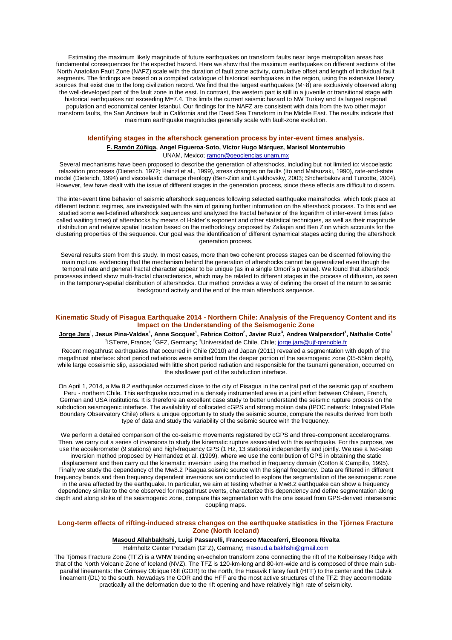Estimating the maximum likely magnitude of future earthquakes on transform faults near large metropolitan areas has fundamental consequences for the expected hazard. Here we show that the maximum earthquakes on different sections of the North Anatolian Fault Zone (NAFZ) scale with the duration of fault zone activity, cumulative offset and length of individual fault segments. The findings are based on a compiled catalogue of historical earthquakes in the region, using the extensive literary sources that exist due to the long civilization record. We find that the largest earthquakes (M~8) are exclusively observed along the well-developed part of the fault zone in the east. In contrast, the western part is still in a juvenile or transitional stage with historical earthquakes not exceeding M=7.4. This limits the current seismic hazard to NW Turkey and its largest regional population and economical center Istanbul. Our findings for the NAFZ are consistent with data from the two other major transform faults, the San Andreas fault in California and the Dead Sea Transform in the Middle East. The results indicate that maximum earthquake magnitudes generally scale with fault-zone evolution.

## **Identifying stages in the aftershock generation process by inter-event times analysis.**

**F. Ramón Zúñiga, Angel Figueroa-Soto, Víctor Hugo Márquez, Marisol Monterrubio** UNAM, Mexico; ramon@geociencias.unam.mx

Several mechanisms have been proposed to describe the generation of aftershocks, including but not limited to: viscoelastic relaxation processes (Dieterich, 1972; Hainzl et al., 1999), stress changes on faults (Ito and Matsuzaki, 1990), rate-and-state model (Dieterich, 1994) and viscoelastic damage rheology (Ben-Zion and Lyakhovsky, 2003; Shcherbakov and Turcotte, 2004). However, few have dealt with the issue of different stages in the generation process, since these effects are difficult to discern.

The inter-event time behavior of seismic aftershock sequences following selected earthquake mainshocks, which took place at different tectonic regimes, are investigated with the aim of gaining further information on the aftershock process. To this end we studied some well-defined aftershock sequences and analyzed the fractal behavior of the logarithm of inter-event times (also called waiting times) of aftershocks by means of Holder´s exponent and other statistical techniques, as well as their magnitude distribution and relative spatial location based on the methodology proposed by Zaliapin and Ben Zion which accounts for the clustering properties of the sequence. Our goal was the identification of different dynamical stages acting during the aftershock generation process.

Several results stem from this study. In most cases, more than two coherent process stages can be discerned following the main rupture, evidencing that the mechanism behind the generation of aftershocks cannot be generalized even though the temporal rate and general fractal character appear to be unique (as in a single Omori´s p value). We found that aftershock processes indeed show multi-fractal characteristics, which may be related to different stages in the process of diffusion, as seen in the temporary-spatial distribution of aftershocks. Our method provides a way of defining the onset of the return to seismic background activity and the end of the main aftershock sequence.

## **Kinematic Study of Pisagua Earthquake 2014 - Northern Chile: Analysis of the Frequency Content and its Impact on the Understanding of the Seismogenic Zone**

 $^1$ <sup>1</sup>ISTerre, France; <sup>2</sup>GFZ, Germany; <sup>3</sup>Universidad de Chile, Chile; jorge.jara@ujf-grenoble.fr

Recent megathrust earthquakes that occurred in Chile (2010) and Japan (2011) revealed a segmentation with depth of the megathrust interface: short period radiations were emitted from the deeper portion of the seismogenic zone (35-55km depth), while large coseismic slip, associated with little short period radiation and responsible for the tsunami generation, occurred on the shallower part of the subduction interface.

On April 1, 2014, a Mw 8.2 earthquake occurred close to the city of Pisagua in the central part of the seismic gap of southern Peru - northern Chile. This earthquake occurred in a densely instrumented area in a joint effort between Chilean, French, German and USA institutions. It is therefore an excellent case study to better understand the seismic rupture process on the subduction seismogenic interface. The availability of collocated cGPS and strong motion data (IPOC network: Integrated Plate Boundary Observatory Chile) offers a unique opportunity to study the seismic source, compare the results derived from both type of data and study the variability of the seismic source with the frequency.

We perform a detailed comparison of the co-seismic movements registered by cGPS and three-component accelerograms. Then, we carry out a series of inversions to study the kinematic rupture associated with this earthquake. For this purpose, we use the accelerometer (9 stations) and high-frequency GPS (1 Hz, 13 stations) independently and jointly. We use a two-step inversion method proposed by Hernandez et al. (1999), where we use the contribution of GPS in obtaining the static displacement and then carry out the kinematic inversion using the method in frequency domain (Cotton & Campillo, 1995). Finally we study the dependency of the Mw8.2 Pisagua seismic source with the signal frequency. Data are filtered in different frequency bands and then frequency dependent inversions are conducted to explore the segmentation of the seismogenic zone in the area affected by the earthquake. In particular, we aim at testing whether a Mw8.2 earthquake can show a frequency dependency similar to the one observed for megathrust events, characterize this dependency and define segmentation along depth and along strike of the seismogenic zone, compare this segmentation with the one issued from GPS-derived interseismic coupling maps.

### **Long-term effects of rifting-induced stress changes on the earthquake statistics in the Tjörnes Fracture Zone (North Iceland)**

**Masoud Allahbakhshi, Luigi Passarelli, Francesco Maccaferri, Eleonora Rivalta**

Helmholtz Center Potsdam (GFZ), Germany; masoud.a.bakhshi@gmail.com

The Tjörnes Fracture Zone (TFZ) is a WNW trending en-echelon transform zone connecting the rift of the Kolbeinsey Ridge with that of the North Volcanic Zone of Iceland (NVZ). The TFZ is 120-km-long and 80-km-wide and is composed of three main subparallel lineaments: the Grimsey Oblique Rift (GOR) to the north, the Husavik Flatey fault (HFF) to the center and the Dalvik lineament (DL) to the south. Nowadays the GOR and the HFF are the most active structures of the TFZ: they accommodate practically all the deformation due to the rift opening and have relatively high rate of seismicity.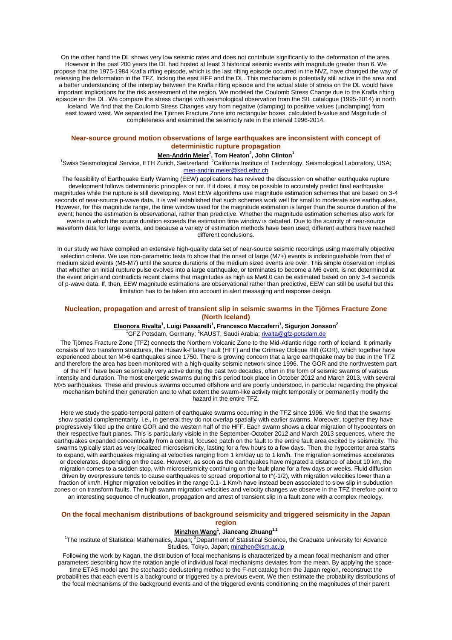On the other hand the DL shows very low seismic rates and does not contribute significantly to the deformation of the area. However in the past 200 years the DL had hosted at least 3 historical seismic events with magnitude greater than 6. We propose that the 1975-1984 Krafla rifting episode, which is the last rifting episode occurred in the NVZ, have changed the way of releasing the deformation in the TFZ, locking the east HFF and the DL. This mechanism is potentially still active in the area and a better understanding of the interplay between the Krafla rifting episode and the actual state of stress on the DL would have important implications for the risk assessment of the region. We modeled the Coulomb Stress Change due to the Krafla rifting episode on the DL. We compare the stress change with seismological observation from the SIL catalogue (1995-2014) in north Iceland. We find that the Coulomb Stress Changes vary from negative (clamping) to positive values (unclamping) from east toward west. We separated the Tjörnes Fracture Zone into rectangular boxes, calculated b-value and Magnitude of completeness and examined the seismicity rate in the interval 1996-2014.

## **Near-source ground motion observations of large earthquakes are inconsistent with concept of deterministic rupture propagation**

#### **Men-Andrin Meier<sup>1</sup> , Tom Heaton<sup>2</sup> , John Clinton<sup>1</sup>**

<sup>1</sup>Swiss Seismological Service, ETH Zurich, Switzerland; <sup>2</sup>California Institute of Technology, Seismological Laboratory, USA; men-andrin.meier@sed.ethz.ch

The feasibility of Earthquake Early Warning (EEW) applications has revived the discussion on whether earthquake rupture development follows deterministic principles or not. If it does, it may be possible to accurately predict final earthquake magnitudes while the rupture is still developing. Most EEW algorithms use magnitude estimation schemes that are based on 3-4 seconds of near-source p-wave data. It is well established that such schemes work well for small to moderate size earthquakes. However, for this magnitude range, the time window used for the magnitude estimation is larger than the source duration of the event; hence the estimation is observational, rather than predictive. Whether the magnitude estimation schemes also work for events in which the source duration exceeds the estimation time window is debated. Due to the scarcity of near-source waveform data for large events, and because a variety of estimation methods have been used, different authors have reached different conclusions.

In our study we have compiled an extensive high-quality data set of near-source seismic recordings using maximally objective selection criteria. We use non-parametric tests to show that the onset of large (M7+) events is indistinguishable from that of medium sized events (M6-M7) until the source durations of the medium sized events are over. This simple observation implies that whether an initial rupture pulse evolves into a large earthquake, or terminates to become a M6 event, is not determined at the event origin and contradicts recent claims that magnitudes as high as Mw9.0 can be estimated based on only 3-4 seconds of p-wave data. If, then, EEW magnitude estimations are observational rather than predictive, EEW can still be useful but this limitation has to be taken into account in alert messaging and response design.

#### **Nucleation, propagation and arrest of transient slip in seismic swarms in the Tjörnes Fracture Zone (North Iceland)**

## **Eleonora Rivalta<sup>1</sup> , Luigi Passarelli<sup>1</sup> , Francesco Maccaferri<sup>1</sup> , Sigurjon Jonsson<sup>2</sup>**

<sup>1</sup>GFZ Potsdam, Germany; <sup>2</sup>KAUST, Saudi Arabia; rivalta@gfz-potsdam.de

The Tjörnes Fracture Zone (TFZ) connects the Northern Volcanic Zone to the Mid-Atlantic ridge north of Iceland. It primarily consists of two transform structures, the Húsavík-Flatey Fault (HFF) and the Grímsey Oblique Rift (GOR), which together have experienced about ten M>6 earthquakes since 1750. There is growing concern that a large earthquake may be due in the TFZ and therefore the area has been monitored with a high-quality seismic network since 1996. The GOR and the northwestern part of the HFF have been seismically very active during the past two decades, often in the form of seismic swarms of various intensity and duration. The most energetic swarms during this period took place in October 2012 and March 2013, with several M>5 earthquakes. These and previous swarms occurred offshore and are poorly understood, in particular regarding the physical mechanism behind their generation and to what extent the swarm-like activity might temporally or permanently modify the hazard in the entire TFZ.

Here we study the spatio-temporal pattern of earthquake swarms occurring in the TFZ since 1996. We find that the swarms show spatial complementarity, i.e., in general they do not overlap spatially with earlier swarms. Moreover, together they have progressively filled up the entire GOR and the western half of the HFF. Each swarm shows a clear migration of hypocenters on their respective fault planes. This is particularly visible in the September-October 2012 and March 2013 sequences, where the earthquakes expanded concentrically from a central, focused patch on the fault to the entire fault area excited by seismicity. The swarms typically start as very localized microseismicity, lasting for a few hours to a few days. Then, the hypocenter area starts to expand, with earthquakes migrating at velocities ranging from 1 km/day up to 1 km/h. The migration sometimes accelerates or decelerates, depending on the case. However, as soon as the earthquakes have migrated a distance of about 10 km, the migration comes to a sudden stop, with microseismicity continuing on the fault plane for a few days or weeks. Fluid diffusion driven by overpressure tends to cause earthquakes to spread proportional to  $t^{\prime}$ (-1/2), with migration velocities lower than a fraction of km/h. Higher migration velocities in the range 0.1- 1 Km/h have instead been associated to slow slip in subduction zones or on transform faults. The high swarm migration velocities and velocity changes we observe in the TFZ therefore point to an interesting sequence of nucleation, propagation and arrest of transient slip in a fault zone with a complex rheology.

## **On the focal mechanism distributions of background seismicity and triggered seismicity in the Japan region**

#### **Minzhen Wang<sup>1</sup> , Jiancang Zhuang1,2**

<sup>1</sup>The Institute of Statistical Mathematics, Japan; <sup>2</sup>Department of Statistical Science, the Graduate University for Advance Studies, Tokyo, Japan; minzhen@ism.ac.jp

Following the work by Kagan, the distribution of focal mechanisms is characterized by a mean focal mechanism and other parameters describing how the rotation angle of individual focal mechanisms deviates from the mean. By applying the spacetime ETAS model and the stochastic declustering method to the F-net catalog from the Japan region, reconstruct the probabilities that each event is a background or triggered by a previous event. We then estimate the probability distributions of the focal mechanisms of the background events and of the triggered events conditioning on the magnitudes of their parent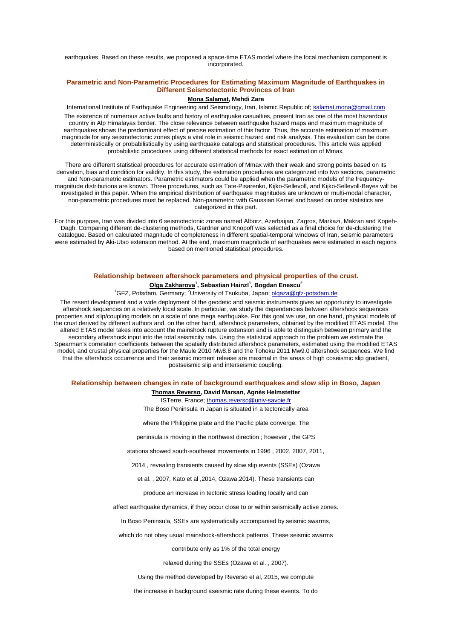earthquakes. Based on these results, we proposed a space-time ETAS model where the focal mechanism component is incorporated.

## **Parametric and Non-Parametric Procedures for Estimating Maximum Magnitude of Earthquakes in Different Seismotectonic Provinces of Iran**

**Mona Salamat, Mehdi Zare**

International Institute of Earthquake Engineering and Seismology, Iran, Islamic Republic of; salamat.mona@gmail.com The existence of numerous active faults and history of earthquake casualties, present Iran as one of the most hazardous country in Alp Himalayas border. The close relevance between earthquake hazard maps and maximum magnitude of earthquakes shows the predominant effect of precise estimation of this factor. Thus, the accurate estimation of maximum magnitude for any seismotectonic zones plays a vital role in seismic hazard and risk analysis. This evaluation can be done deterministically or probabilistically by using earthquake catalogs and statistical procedures. This article was applied probabilistic procedures using different statistical methods for exact estimation of Mmax.

There are different statistical procedures for accurate estimation of Mmax with their weak and strong points based on its derivation, bias and condition for validity. In this study, the estimation procedures are categorized into two sections, parametric and Non-parametric estimators. Parametric estimators could be applied when the parametric models of the frequencymagnitude distributions are known. Three procedures, such as Tate-Pisarenko, Kijko-Sellevoll, and Kijko-Sellevoll-Bayes will be investigated in this paper. When the empirical distribution of earthquake magnitudes are unknown or multi-modal character, non-parametric procedures must be replaced. Non-parametric with Gaussian Kernel and based on order statistics are categorized in this part.

For this purpose, Iran was divided into 6 seismotectonic zones named Alborz, Azerbaijan, Zagros, Markazi, Makran and Kopeh-Dagh. Comparing different de-clustering methods, Gardner and Knopoff was selected as a final choice for de-clustering the catalogue. Based on calculated magnitude of completeness in different spatial-temporal windows of Iran, seismic parameters were estimated by Aki-Utso extension method. At the end, maximum magnitude of earthquakes were estimated in each regions based on mentioned statistical procedures.

## **Relationship between aftershock parameters and physical properties of the crust. Olga Zakharova<sup>1</sup> , Sebastian Hainzl<sup>1</sup> , Bogdan Enescu<sup>2</sup>**

<sup>1</sup>GFZ, Potsdam, Germany; <sup>2</sup>University of Tsukuba, Japan; olgaza@gfz-potsdam.de

The resent development and a wide deployment of the geodetic and seismic instruments gives an opportunity to investigate aftershock sequences on a relatively local scale. In particular, we study the dependencies between aftershock sequences properties and slip/coupling models on a scale of one mega earthquake. For this goal we use, on one hand, physical models of the crust derived by different authors and, on the other hand, aftershock parameters, obtained by the modified ETAS model. The altered ETAS model takes into account the mainshock rupture extension and is able to distinguish between primary and the secondary aftershock input into the total seismicity rate. Using the statistical approach to the problem we estimate the Spearman's correlation coefficients between the spatially distributed aftershock parameters, estimated using the modified ETAS model, and crustal physical properties for the Maule 2010 Mw8.8 and the Tohoku 2011 Mw9.0 aftershock sequences. We find that the aftershock occurrence and their seismic moment release are maximal in the areas of high coseismic slip gradient, postseismic slip and interseismic coupling.

### **Relationship between changes in rate of background earthquakes and slow slip in Boso, Japan Thomas Reverso, David Marsan, Agnès Helmstetter**

ISTerre, France; thomas.reverso@univ-savoie.fr

The Boso Peninsula in Japan is situated in a tectonically area

where the Philippine plate and the Pacific plate converge. The

peninsula is moving in the northwest direction ; however , the GPS

stations showed south-southeast movements in 1996 , 2002, 2007, 2011,

2014 , revealing transients caused by slow slip events (SSEs) (Ozawa

et al. , 2007, Kato et al ,2014, Ozawa,2014). These transients can

produce an increase in tectonic stress loading locally and can

affect earthquake dynamics, if they occur close to or within seismically active zones.

In Boso Peninsula, SSEs are systematically accompanied by seismic swarms.

which do not obey usual mainshock-aftershock patterns. These seismic swarms

contribute only as 1% of the total energy

relaxed during the SSEs (Ozawa et al. , 2007).

Using the method developed by Reverso et al, 2015, we compute

the increase in background aseismic rate during these events. To do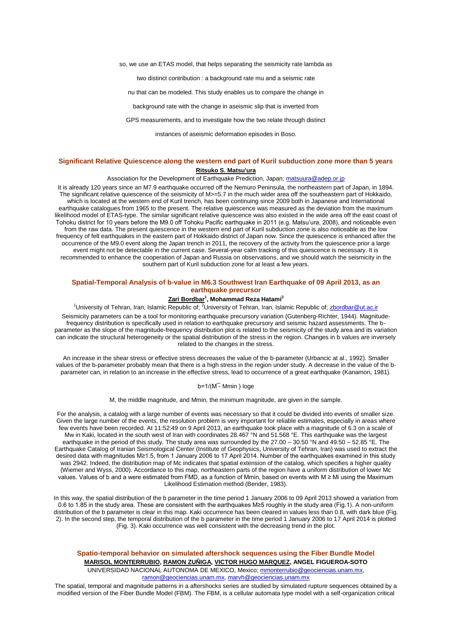so, we use an ETAS model, that helps separating the seismicity rate lambda as

two distinct contribution : a background rate mu and a seismic rate

nu that can be modeled. This study enables us to compare the change in

background rate with the change in aseismic slip that is inverted from

GPS measurements, and to investigate how the two relate through distinct

instances of aseismic deformation episodes in Boso.

## **Significant Relative Quiescence along the western end part of Kuril subduction zone more than 5 years Ritsuko S. Matsu'ura**

Association for the Development of Earthquake Prediction, Japan; matsuura@adep.or.jp

It is already 120 years since an M7.9 earthquake occurred off the Nemuro Peninsula, the northeastern part of Japan, in 1894. The significant relative quiescence of the seismicity of M>=5.7 in the much wider area off the southeastern part of Hokkaido, which is located at the western end of Kuril trench, has been continuing since 2009 both in Japanese and International earthquake catalogues from 1965 to the present. The relative quiescence was measured as the deviation from the maximum likelihood model of ETAS-type. The similar significant relative quiescence was also existed in the wide area off the east coast of Tohoku district for 10 years before the M9.0 off Tohoku Pacific earthquake in 2011 (e.g. Matsu'ura, 2008), and noticeable even from the raw data. The present quiescence in the western end part of Kuril subduction zone is also noticeable as the low frequency of felt earthquakes in the eastern part of Hokkaido district of Japan now. Since the quiescence is enhanced after the occurrence of the M9.0 event along the Japan trench in 2011, the recovery of the activity from the quiescence prior a large event might not be detectable in the current case. Several-year calm tracking of this quiescence is necessary. It is recommended to enhance the cooperation of Japan and Russia on observations, and we should watch the seismicity in the southern part of Kuril subduction zone for at least a few years.

#### **Spatial-Temporal Analysis of b-value in M6.3 Southwest Iran Earthquake of 09 April 2013, as an earthquake precursor**

### **Zari Bordbar<sup>1</sup> , Mohammad Reza Hatami<sup>2</sup>**

<sup>1</sup>University of Tehran, Iran, Islamic Republic of: <sup>2</sup>University of Tehran, Iran, Islamic Republic of: zbordbar@ut.ac.ir

Seismicity parameters can be a tool for monitoring earthquake precursory variation (Gutenberg-Richter, 1944). Magnitudefrequency distribution is specifically used in relation to earthquake precursory and seismic hazard assessments. The bparameter as the slope of the magnitude-frequency distribution plot is related to the seismicity of the study area and its variation can indicate the structural heterogeneity or the spatial distribution of the stress in the region. Changes in b values are inversely related to the changes in the stress.

An increase in the shear stress or effective stress decreases the value of the b-parameter (Urbancic at al., 1992). Smaller values of the b-parameter probably mean that there is a high stress in the region under study. A decrease in the value of the bparameter can, in relation to an increase in the effective stress, lead to occurrence of a great earthquake (Kanamori, 1981).

 $b=1/(M^-$  Mmin ) loge

M, the middle magnitude, and Mmin, the minimum magnitude, are given in the sample.

For the analysis, a catalog with a large number of events was necessary so that it could be divided into events of smaller size. Given the large number of the events, the resolution problem is very important for reliable estimates, especially in areas where few events have been recorded. At 11:52:49 on 9 April 2013, an earthquake took place with a magnitude of 6.3 on a scale of Mw in Kaki, located in the south west of Iran with coordinates 28.467 °N and 51.568 °E. This earthquake was the largest earthquake in the period of this study. The study area was surrounded by the 27.00 – 30.50 °N and 49.50 – 52.85 °E. The Earthquake Catalog of Iranian Seismological Center (Institute of Geophysics, University of Tehran, Iran) was used to extract the desired data with magnitudes M≥1.5, from 1 January 2006 to 17 April 2014. Number of the earthquakes examined in this study was 2942. Indeed, the distribution map of Mc indicates that spatial extension of the catalog, which specifies a higher quality (Wiemer and Wyss, 2000). Accordance to this map, northeastern parts of the region have a uniform distribution of lower Mc values. Values of b and a were estimated from FMD, as a function of Mmin, based on events with M ≥ Mi using the Maximum Likelihood Estimation method (Bender, 1983).

In this way, the spatial distribution of the b parameter in the time period 1 January 2006 to 09 April 2013 showed a variation from 0.6 to 1.85 in the study area. These are consistent with the earthquakes M≥5 roughly in the study area (Fig.1). A non-uniform distribution of the b parameter is clear in this map. Kaki occurrence has been cleared in values less than 0.8, with dark blue (Fig. 2). In the second step, the temporal distribution of the b parameter in the time period 1 January 2006 to 17 April 2014 is plotted (Fig. 3). Kaki occurrence was well consistent with the decreasing trend in the plot.

# **Spatio-temporal behavior on simulated aftershock sequences using the Fiber Bundle Model MARISOL MONTERRUBIO, RAMON ZUÑIGA, VICTOR HUGO MARQUEZ, ANGEL FIGUEROA-SOTO**

UNIVERSIDAD NACIONAL AUTONOMA DE MEXICO, Mexico; mmonterrubio@geociencias.unam.mx, ramon@geociencias.unam.mx, marvh@geociencias.unam.mx

The spatial, temporal and magnitude patterns in a aftershocks series are studied by simulated rupture sequences obtained by a modified version of the Fiber Bundle Model (FBM). The FBM, is a cellular automata type model with a self-organization critical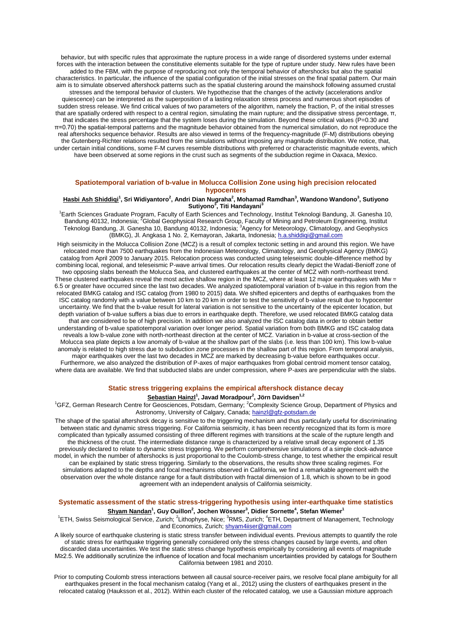behavior, but with specific rules that approximate the rupture process in a wide range of disordered systems under external forces with the interaction between the constitutive elements suitable for the type of rupture under study. New rules have been added to the FBM, with the purpose of reproducing not only the temporal behavior of aftershocks but also the spatial characteristics. In particular, the influence of the spatial configuration of the initial stresses on the final spatial pattern. Our main aim is to simulate observed aftershock patterns such as the spatial clustering around the mainshock following assumed crustal stresses and the temporal behavior of clusters. We hypothezise that the changes of the activity (accelerations and/or quiescence) can be interpreted as the superposition of a lasting relaxation stress process and numerous short episodes of sudden stress release. We find critical values of two parameters of the algorithm, namely the fraction, P, of the initial stresses that are spatially ordered with respect to a central region, simulating the main rupture; and the dissipative stress percentage, π, that indicates the stress percentage that the system loses during the simulation. Beyond these critical values (P=0.30 and π=0.70) the spatial-temporal patterns and the magnitude behavior obtained from the numerical simulation, do not reproduce the real aftershocks sequence behavior. Results are also viewed in terms of the frequency-magnitude (F-M) distributions obeying the Gutenberg-Richter relations resulted from the simulations without imposing any magnitude distribution. We notice, that, under certain initial conditions, some F-M curves resemble distributions with preferred or characteristic magnitude events, which have been observed at some regions in the crust such as segments of the subduction regime in Oaxaca, Mexico.

## **Spatiotemporal variation of b-value in Molucca Collision Zone using high precision relocated hypocenters**

#### **Hasbi Ash Shiddiqi<sup>1</sup> , Sri Widiyantoro<sup>2</sup> , Andri Dian Nugraha<sup>2</sup> , Mohamad Ramdhan<sup>3</sup> , Wandono Wandono<sup>3</sup> , Sutiyono Sutiyono<sup>3</sup> , Titi Handayani<sup>3</sup>**

<sup>1</sup>Earth Sciences Graduate Program, Faculty of Earth Sciences and Technology, Institut Teknologi Bandung, Jl. Ganesha 10, Bandung 40132, Indonesia; <sup>z</sup>Global Geophysical Research Group, Faculty of Mining and Petroleum Engineering, Institut Teknologi Bandung, Jl. Ganesha 10, Bandung 40132, Indonesia; <sup>3</sup>Agency for Meteorology, Climatology, and Geophysics (BMKG), Jl. Angkasa 1 No. 2, Kemayoran, Jakarta, Indonesia; h.a.shiddiqi@gmail.com

High seismicity in the Molucca Collision Zone (MCZ) is a result of complex tectonic setting in and around this region. We have relocated more than 7500 earthquakes from the Indonesian Meteorology, Climatology, and Geophysical Agency (BMKG) catalog from April 2009 to January 2015. Relocation process was conducted using teleseismic double-difference method by combining local, regional, and teleseismic P-wave arrival times. Our relocation results clearly depict the Wadati-Benioff zone of two opposing slabs beneath the Molucca Sea, and clustered earthquakes at the center of MCZ with north-northeast trend. These clustered earthquakes reveal the most active shallow region in the MCZ, where at least 12 major earthquakes with Mw = 6.5 or greater have occurred since the last two decades. We analyzed spatiotemporal variation of b-value in this region from the relocated BMKG catalog and ISC catalog (from 1980 to 2015) data. We shifted epicenters and depths of earthquakes from the ISC catalog randomly with a value between 10 km to 20 km in order to test the sensitivity of b-value result due to hypocenter uncertainty. We find that the b-value result for lateral variation is not sensitive to the uncertainty of the epicenter location, but depth variation of b-value suffers a bias due to errors in earthquake depth. Therefore, we used relocated BMKG catalog data that are considered to be of high precision. In addition we also analyzed the ISC catalog data in order to obtain better understanding of b-value spatiotemporal variation over longer period. Spatial variation from both BMKG and ISC catalog data reveals a low b-value zone with north-northeast direction at the center of MCZ. Variation in b-value at cross-section of the Molucca sea plate depicts a low anomaly of b-value at the shallow part of the slabs (i.e. less than 100 km). This low b-value anomaly is related to high stress due to subduction zone processes in the shallow part of this region. From temporal analysis, major earthquakes over the last two decades in MCZ are marked by decreasing b-value before earthquakes occur. Furthermore, we also analyzed the distribution of P-axes of major earthquakes from global centroid moment tensor catalog, where data are available. We find that subducted slabs are under compression, where P-axes are perpendicular with the slabs.

## **Static stress triggering explains the empirical aftershock distance decay**

### **Sebastian Hainzl<sup>1</sup> , Javad Moradpour<sup>2</sup> , Jörn Davidsen1,2**

<sup>1</sup>GFZ, German Research Centre for Geosciences, Potsdam, Germany; <sup>2</sup>Complexity Science Group, Department of Physics and Astronomy, University of Calgary, Canada; hainzl@gfz-potsdam.de

The shape of the spatial aftershock decay is sensitive to the triggering mechanism and thus particularly useful for discriminating between static and dynamic stress triggering. For California seismicity, it has been recently recognized that its form is more complicated than typically assumed consisting of three different regimes with transitions at the scale of the rupture length and the thickness of the crust. The intermediate distance range is characterized by a relative small decay exponent of 1.35 previously declared to relate to dynamic stress triggering. We perform comprehensive simulations of a simple clock-advance model, in which the number of aftershocks is just proportional to the Coulomb-stress change, to test whether the empirical result can be explained by static stress triggering. Similarly to the observations, the results show three scaling regimes. For simulations adapted to the depths and focal mechanisms observed in California, we find a remarkable agreement with the observation over the whole distance range for a fault distribution with fractal dimension of 1.8, which is shown to be in good agreement with an independent analysis of California seismicity.

# **Systematic assessment of the static stress-triggering hypothesis using inter-earthquake time statistics**

## **Shyam Nandan<sup>1</sup> , Guy Ouillon<sup>2</sup> , Jochen Wössner<sup>3</sup> , Didier Sornette<sup>4</sup> , Stefan Wiemer<sup>1</sup>**

<sup>1</sup>ETH, Swiss Seismological Service, Zurich; <sup>2</sup>Lithophyse, Nice; <sup>3</sup>RMS, Zurich; <sup>4</sup>ETH, Department of Management, Technology and Economics, Zurich; shyam4iiser@gmail.com

A likely source of earthquake clustering is static stress transfer between individual events. Previous attempts to quantify the role of static stress for earthquake triggering generally considered only the stress changes caused by large events, and often discarded data uncertainties. We test the static stress change hypothesis empirically by considering all events of magnitude M≥2.5. We additionally scrutinize the influence of location and focal mechanism uncertainties provided by catalogs for Southern California between 1981 and 2010.

Prior to computing Coulomb stress interactions between all causal source-receiver pairs, we resolve focal plane ambiguity for all earthquakes present in the focal mechanism catalog (Yang et al., 2012) using the clusters of earthquakes present in the relocated catalog (Hauksson et al., 2012). Within each cluster of the relocated catalog, we use a Gaussian mixture approach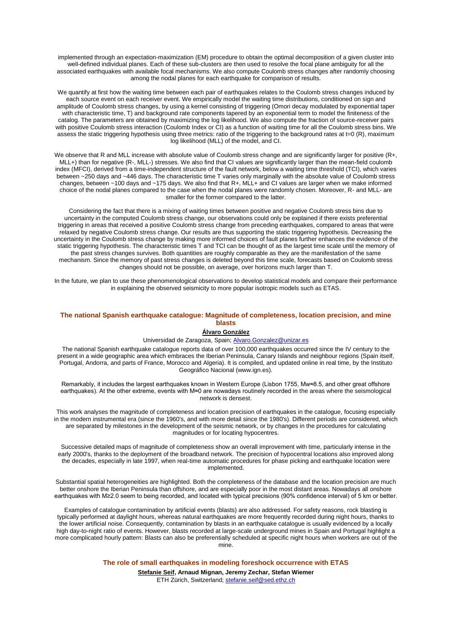implemented through an expectation-maximization (EM) procedure to obtain the optimal decomposition of a given cluster into well-defined individual planes. Each of these sub-clusters are then used to resolve the focal plane ambiguity for all the associated earthquakes with available focal mechanisms. We also compute Coulomb stress changes after randomly choosing among the nodal planes for each earthquake for comparison of results.

We quantify at first how the waiting time between each pair of earthquakes relates to the Coulomb stress changes induced by each source event on each receiver event. We empirically model the waiting time distributions, conditioned on sign and amplitude of Coulomb stress changes, by using a kernel consisting of triggering (Omori decay modulated by exponential taper with characteristic time, T) and background rate components tapered by an exponential term to model the finiteness of the catalog. The parameters are obtained by maximizing the log likelihood. We also compute the fraction of source-receiver pairs with positive Coulomb stress interaction (Coulomb Index or CI) as a function of waiting time for all the Coulomb stress bins. We assess the static triggering hypothesis using three metrics: ratio of the triggering to the background rates at t=0 (R), maximum log likelihood (MLL) of the model, and CI.

We observe that R and MLL increase with absolute value of Coulomb stress change and are significantly larger for positive (R+, MLL+) than for negative (R-, MLL-) stresses. We also find that CI values are significantly larger than the mean-field coulomb index (MFCI), derived from a time-independent structure of the fault network, below a waiting time threshold (TCI), which varies between ~250 days and ~446 days. The characteristic time T varies only marginally with the absolute value of Coulomb stress changes, between ~100 days and ~175 days. We also find that R+, MLL+ and CI values are larger when we make informed choice of the nodal planes compared to the case when the nodal planes were randomly chosen. Moreover, R- and MLL- are smaller for the former compared to the latter.

Considering the fact that there is a mixing of waiting times between positive and negative Coulomb stress bins due to uncertainty in the computed Coulomb stress change, our observations could only be explained if there exists preferential triggering in areas that received a positive Coulomb stress change from preceding earthquakes, compared to areas that were relaxed by negative Coulomb stress change. Our results are thus supporting the static triggering hypothesis. Decreasing the uncertainty in the Coulomb stress change by making more informed choices of fault planes further enhances the evidence of the static triggering hypothesis. The characteristic times T and TCI can be thought of as the largest time scale until the memory of the past stress changes survives. Both quantities are roughly comparable as they are the manifestation of the same mechanism. Since the memory of past stress changes is deleted beyond this time scale, forecasts based on Coulomb stress changes should not be possible, on average, over horizons much larger than T.

In the future, we plan to use these phenomenological observations to develop statistical models and compare their performance in explaining the observed seismicity to more popular isotropic models such as ETAS.

### **The national Spanish earthquake catalogue: Magnitude of completeness, location precision, and mine blasts**

#### **Álvaro González**

#### Universidad de Zaragoza, Spain; Alvaro.Gonzalez@unizar.es

The national Spanish earthquake catalogue reports data of over 100,000 earthquakes occurred since the IV century to the present in a wide geographic area which embraces the Iberian Peninsula, Canary Islands and neighbour regions (Spain itself, Portugal, Andorra, and parts of France, Morocco and Algeria). It is compiled, and updated online in real time, by the Instituto Geográfico Nacional (www.ign.es).

Remarkably, it includes the largest earthquakes known in Western Europe (Lisbon 1755, Mw≈8.5, and other great offshore earthquakes). At the other extreme, events with M≈0 are nowadays routinely recorded in the areas where the seismological network is densest.

This work analyses the magnitude of completeness and location precision of earthquakes in the catalogue, focusing especially in the modern instrumental era (since the 1960's, and with more detail since the 1980's). Different periods are considered, which are separated by milestones in the development of the seismic network, or by changes in the procedures for calculating magnitudes or for locating hypocentres.

Successive detailed maps of magnitude of completeness show an overall improvement with time, particularly intense in the early 2000's, thanks to the deployment of the broadband network. The precision of hypocentral locations also improved along the decades, especially in late 1997, when real-time automatic procedures for phase picking and earthquake location were implemented.

Substantial spatial heterogeneities are highlighted. Both the completeness of the database and the location precision are much better onshore the Iberian Peninsula than offshore, and are especially poor in the most distant areas. Nowadays all onshore earthquakes with M≥2.0 seem to being recorded, and located with typical precisions (90% confidence interval) of 5 km or better.

Examples of catalogue contamination by artificial events (blasts) are also addressed. For safety reasons, rock blasting is typically performed at daylight hours, whereas natural earthquakes are more frequently recorded during night hours, thanks to the lower artificial noise. Consequently, contamination by blasts in an earthquake catalogue is usually evidenced by a locally high day-to-night ratio of events. However, blasts recorded at large-scale underground mines in Spain and Portugal highlight a more complicated hourly pattern: Blasts can also be preferentially scheduled at specific night hours when workers are out of the mine.

**The role of small earthquakes in modeling foreshock occurrence with ETAS**

**Stefanie Seif, Arnaud Mignan, Jeremy Zechar, Stefan Wiemer** ETH Zürich, Switzerland; stefanie.seif@sed.ethz.ch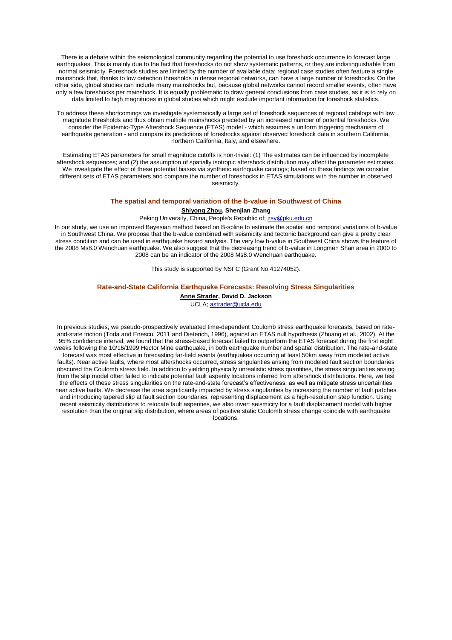There is a debate within the seismological community regarding the potential to use foreshock occurrence to forecast large earthquakes. This is mainly due to the fact that foreshocks do not show systematic patterns, or they are indistinguishable from normal seismicity. Foreshock studies are limited by the number of available data: regional case studies often feature a single mainshock that, thanks to low detection thresholds in dense regional networks, can have a large number of foreshocks. On the other side, global studies can include many mainshocks but, because global networks cannot record smaller events, often have only a few foreshocks per mainshock. It is equally problematic to draw general conclusions from case studies, as it is to rely on data limited to high magnitudes in global studies which might exclude important information for foreshock statistics.

To address these shortcomings we investigate systematically a large set of foreshock sequences of regional catalogs with low magnitude thresholds and thus obtain multiple mainshocks preceded by an increased number of potential foreshocks. We consider the Epidemic-Type Aftershock Sequence (ETAS) model - which assumes a uniform triggering mechanism of earthquake generation - and compare its predictions of foreshocks against observed foreshock data in southern California, northern California, Italy, and elsewhere.

Estimating ETAS parameters for small magnitude cutoffs is non-trivial: (1) The estimates can be influenced by incomplete aftershock sequences; and (2) the assumption of spatially isotropic aftershock distribution may affect the parameter estimates. We investigate the effect of these potential biases via synthetic earthquake catalogs; based on these findings we consider different sets of ETAS parameters and compare the number of foreshocks in ETAS simulations with the number in observed seismicity.

#### **The spatial and temporal variation of the b-value in Southwest of China**

#### **Shiyong Zhou, Shenjian Zhang**

### Peking University, China, People's Republic of; zsy@pku.edu.cn

In our study, we use an improved Bayesian method based on B-spline to estimate the spatial and temporal variations of b-value in Southwest China. We propose that the b-value combined with seismicity and tectonic background can give a pretty clear stress condition and can be used in earthquake hazard analysis. The very low b-value in Southwest China shows the feature of the 2008 Ms8.0 Wenchuan earthquake. We also suggest that the decreasing trend of b-value in Longmen Shan area in 2000 to 2008 can be an indicator of the 2008 Ms8.0 Wenchuan earthquake.

This study is supported by NSFC (Grant No.41274052).

#### **Rate-and-State California Earthquake Forecasts: Resolving Stress Singularities**

**Anne Strader, David D. Jackson**

UCLA; astrader@ucla.edu

In previous studies, we pseudo-prospectively evaluated time-dependent Coulomb stress earthquake forecasts, based on rateand-state friction (Toda and Enescu, 2011 and Dieterich, 1996), against an ETAS null hypothesis (Zhuang et al., 2002). At the 95% confidence interval, we found that the stress-based forecast failed to outperform the ETAS forecast during the first eight weeks following the 10/16/1999 Hector Mine earthquake, in both earthquake number and spatial distribution. The rate-and-state forecast was most effective in forecasting far-field events (earthquakes occurring at least 50km away from modeled active faults). Near active faults, where most aftershocks occurred, stress singularities arising from modeled fault section boundaries obscured the Coulomb stress field. In addition to yielding physically unrealistic stress quantities, the stress singularities arising from the slip model often failed to indicate potential fault asperity locations inferred from aftershock distributions. Here, we test the effects of these stress singularities on the rate-and-state forecast's effectiveness, as well as mitigate stress uncertainties near active faults. We decrease the area significantly impacted by stress singularities by increasing the number of fault patches and introducing tapered slip at fault section boundaries, representing displacement as a high-resolution step function. Using recent seismicity distributions to relocate fault asperities, we also invert seismicity for a fault displacement model with higher resolution than the original slip distribution, where areas of positive static Coulomb stress change coincide with earthquake locations.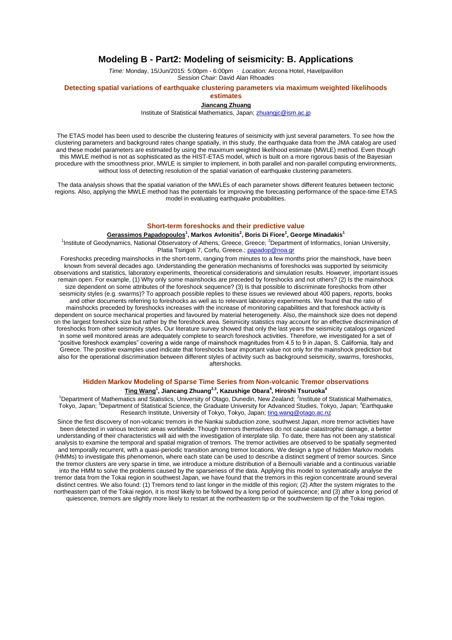## **Modeling B - Part2: Modeling of seismicity: B. Applications**

*Time:* Monday, 15/Jun/2015: 5:00pm - 6:00pm · *Location:* Arcona Hotel, Havelpavillon *Session Chair:* David Alan Rhoades

## **Detecting spatial variations of earthquake clustering parameters via maximum weighted likelihoods**

**estimates**

#### **Jiancang Zhuang**

Institute of Statistical Mathematics, Japan; zhuangjc@ism.ac.jp

The ETAS model has been used to describe the clustering features of seismicity with just several parameters. To see how the clustering parameters and background rates change spatially, in this study, the earthquake data from the JMA catalog are used and these model parameters are estimated by using the maximum weighted likelihood estimate (MWLE) method. Even though this MWLE method is not as sophisticated as the HIST-ETAS model, which is built on a more rigorous basis of the Bayesian procedure with the smoothness prior, MWLE is simpler to implement, in both parallel and non-parallel computing environments, without loss of detecting resolution of the spatial variation of earthquake clustering parameters.

The data analysis shows that the spatial variation of the MWLEs of each parameter shows different features between tectonic regions. Also, applying the MWLE method has the potentials for improving the forecasting performance of the space-time ETAS model in evaluating earthquake probabilities.

#### **Short-term foreshocks and their predictive value**

#### **Gerassimos Papadopoulos<sup>1</sup> , Markos Avlonitis<sup>2</sup> , Boris Di Fiore<sup>1</sup> , George Minadakis<sup>1</sup>**

<sup>1</sup>Institute of Geodynamics, National Observatory of Athens, Greece, Greece; <sup>2</sup>Department of Informatics, Ionian University, Platia Tsirigoti 7, Corfu, Greece.; papadop@noa.gr

Foreshocks preceding mainshocks in the short-term, ranging from minutes to a few months prior the mainshock, have been known from several decades ago. Understanding the generation mechanisms of foreshocks was supported by seismicity observations and statistics, laboratory experiments, theoretical considerations and simulation results. However, important issues remain open. For example, (1) Why only some mainshocks are preceded by foreshocks and not others? (2) Is the mainshock size dependent on some attributes of the foreshock sequence? (3) Is that possible to discriminate foreshocks from other seismicity styles (e.g. swarms)? To approach possible replies to these issues we reviewed about 400 papers, reports, books and other documents referring to foreshocks as well as to relevant laboratory experiments. We found that the ratio of mainshocks preceded by foreshocks increases with the increase of monitoring capabilities and that foreshock activity is dependent on source mechanical properties and favoured by material heterogeneity. Also, the mainshock size does not depend on the largest foreshock size but rather by the foreshock area. Seismicity statistics may account for an effective discrimination of foreshocks from other seismicity styles. Our literature survey showed that only the last years the seismicity catalogs organized in some well monitored areas are adequately complete to search foreshock activities. Therefore, we investigated for a set of "positive foreshock examples" covering a wide range of mainshock magnitudes from 4.5 to 9 in Japan, S. California, Italy and Greece. The positive examples used indicate that foreshocks bear important value not only for the mainshock prediction but also for the operational discrimination between different styles of activity such as background seismicity, swarms, foreshocks, aftershocks.

# **Hidden Markov Modeling of Sparse Time Series from Non-volcanic Tremor observations**

## **Ting Wang<sup>1</sup> , Jiancang Zhuang2,3, Kazushige Obara<sup>4</sup> , Hiroshi Tsuruoka<sup>4</sup>**

<sup>1</sup>Department of Mathematics and Statistics, University of Otago, Dunedin, New Zealand; <sup>2</sup>Institute of Statistical Mathematics, Tokyo, Japan; <sup>3</sup>Department of Statistical Science, the Graduate University for Advanced Studies, Tokyo, Japan; <sup>4</sup>Earthquake Research Institute, University of Tokyo, Tokyo, Japan; ting.wang@otago.ac.nz

Since the first discovery of non-volcanic tremors in the Nankai subduction zone, southwest Japan, more tremor activities have been detected in various tectonic areas worldwide. Though tremors themselves do not cause catastrophic damage, a better understanding of their characteristics will aid with the investigation of interplate slip. To date, there has not been any statistical analysis to examine the temporal and spatial migration of tremors. The tremor activities are observed to be spatially segmented and temporally recurrent, with a quasi-periodic transition among tremor locations. We design a type of hidden Markov models (HMMs) to investigate this phenomenon, where each state can be used to describe a distinct segment of tremor sources. Since the tremor clusters are very sparse in time, we introduce a mixture distribution of a Bernoulli variable and a continuous variable into the HMM to solve the problems caused by the sparseness of the data. Applying this model to systematically analyse the tremor data from the Tokai region in southwest Japan, we have found that the tremors in this region concentrate around several distinct centres. We also found: (1) Tremors tend to last longer in the middle of this region; (2) After the system migrates to the northeastern part of the Tokai region, it is most likely to be followed by a long period of quiescence; and (3) after a long period of quiescence, tremors are slightly more likely to restart at the northeastern tip or the southwestern tip of the Tokai region.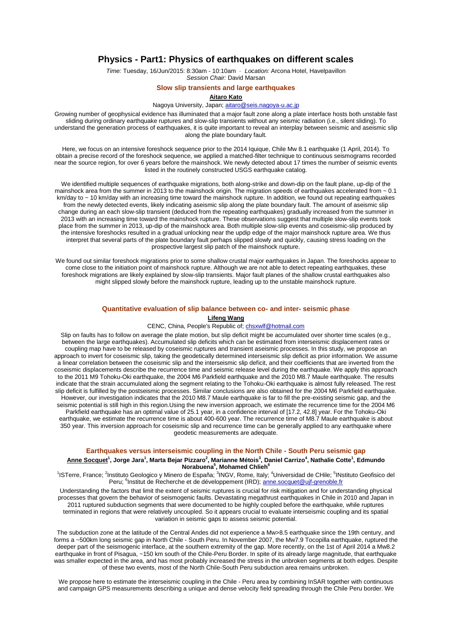## **Physics - Part1: Physics of earthquakes on different scales**

*Time:* Tuesday, 16/Jun/2015: 8:30am - 10:10am · *Location:* Arcona Hotel, Havelpavillon *Session Chair:* David Marsan

### **Slow slip transients and large earthquakes**

## **Aitaro Kato**

Nagoya University, Japan; aitaro@seis.nagoya-u.ac.jp

Growing number of geophysical evidence has illuminated that a major fault zone along a plate interface hosts both unstable fast sliding during ordinary earthquake ruptures and slow-slip transients without any seismic radiation (i.e., silent sliding). To understand the generation process of earthquakes, it is quite important to reveal an interplay between seismic and aseismic slip along the plate boundary fault.

Here, we focus on an intensive foreshock sequence prior to the 2014 Iquique, Chile Mw 8.1 earthquake (1 April, 2014). To obtain a precise record of the foreshock sequence, we applied a matched-filter technique to continuous seismograms recorded near the source region, for over 6 years before the mainshock. We newly detected about 17 times the number of seismic events listed in the routinely constructed USGS earthquake catalog.

We identified multiple sequences of earthquake migrations, both along-strike and down-dip on the fault plane, up-dip of the mainshock area from the summer in 2013 to the mainshock origin. The migration speeds of earthquakes accelerated from ~ 0.1 km/day to ~ 10 km/day with an increasing time toward the mainshock rupture. In addition, we found out repeating earthquakes from the newly detected events, likely indicating aseismic slip along the plate boundary fault. The amount of aseismic slip change during an each slow-slip transient (deduced from the repeating earthquakes) gradually increased from the summer in 2013 with an increasing time toward the mainshock rupture. These observations suggest that multiple slow-slip events took place from the summer in 2013, up-dip of the mainshock area. Both multiple slow-slip events and coseismic-slip produced by the intensive foreshocks resulted in a gradual unlocking near the updip edge of the major mainshock rupture area. We thus interpret that several parts of the plate boundary fault perhaps slipped slowly and quickly, causing stress loading on the prospective largest slip patch of the mainshock rupture.

We found out similar foreshock migrations prior to some shallow crustal major earthquakes in Japan. The foreshocks appear to come close to the initiation point of mainshock rupture. Although we are not able to detect repeating earthquakes, these foreshock migrations are likely explained by slow-slip transients. Major fault planes of the shallow crustal earthquakes also might slipped slowly before the mainshock rupture, leading up to the unstable mainshock rupture.

#### **Quantitative evaluation of slip balance between co- and inter- seismic phase**

#### **Lifeng Wang**

#### CENC, China, People's Republic of; chsxwlf@hotmail.com

Slip on faults has to follow on average the plate motion, but slip deficit might be accumulated over shorter time scales (e.g., between the large earthquakes). Accumulated slip deficits which can be estimated from interseismic displacement rates or coupling map have to be released by coseismic ruptures and transient aseismic processes. In this study, we propose an approach to invert for coseismic slip, taking the geodetically determined interseismic slip deficit as prior information. We assume a linear correlation between the coseismic slip and the interseismic slip deficit, and their coefficients that are inverted from the coseismic displacements describe the recurrence time and seismic release level during the earthquake. We apply this approach to the 2011 M9 Tohoku-Oki earthquake, the 2004 M6 Parkfield earthquake and the 2010 M8.7 Maule earthquake. The results indicate that the strain accumulated along the segment relating to the Tohoku-Oki earthquake is almost fully released. The rest slip deficit is fulfilled by the postseismic processes. Similar conclusions are also obtained for the 2004 M6 Parkfield earthquake. However, our investigation indicates that the 2010 M8.7 Maule earthquake is far to fill the pre-existing seismic gap, and the seismic potential is still high in this region.Using the new inversion approach, we estimate the recurrence time for the 2004 M6 Parkfield earthquake has an optimal value of 25.1 year, in a confidence interval of [17.2, 42.8] year. For the Tohoku-Oki earthquake, we estimate the recurrence time is about 400-600 year. The recurrence time of M8.7 Maule earthquake is about 350 year. This inversion approach for coseismic slip and recurrence time can be generally applied to any earthquake where geodetic measurements are adequate.

#### **Earthquakes versus interseismic coupling in the North Chile - South Peru seismic gap**

#### **Anne Socquet<sup>1</sup> , Jorge Jara<sup>1</sup> , Marta Bejar Pizzaro<sup>2</sup> , Marianne Métois<sup>3</sup> , Daniel Carrizo<sup>4</sup> , Nathalie Cotte<sup>1</sup> , Edmundo Norabuena<sup>5</sup> , Mohamed Chlieh<sup>6</sup>**

<sup>1</sup>ISTerre, France; <sup>2</sup>Instituto Geologico y Minero de España; <sup>3</sup>INGV, Rome, Italy; <sup>4</sup>Universidad de CHile; <sup>5</sup>INstituto Geofisico del Peru; <sup>6</sup>Institut de Recherche et de développement (IRD); anne.socquet@ujf-grenoble.fr

Understanding the factors that limit the extent of seismic ruptures is crucial for risk mitigation and for understanding physical processes that govern the behavior of seismogenic faults. Devastating megathrust earthquakes in Chile in 2010 and Japan in 2011 ruptured subduction segments that were documented to be highly coupled before the earthquake, while ruptures terminated in regions that were relatively uncoupled. So it appears crucial to evaluate interseismic coupling and its spatial variation in seismic gaps to assess seismic potential.

The subduction zone at the latitude of the Central Andes did not experience a Mw>8.5 earthquake since the 19th century, and forms a ~500km long seismic gap in North Chile - South Peru. In November 2007, the Mw7.9 Tocopilla earthquake, ruptured the deeper part of the seismogenic interface, at the southern extremity of the gap. More recently, on the 1st of April 2014 a Mw8.2 earthquake in front of Pisagua, ~150 km south of the Chile-Peru Border. In spite of its already large magnitude, that earthquake was smaller expected in the area, and has most probably increased the stress in the unbroken segments at both edges. Despite of these two events, most of the North Chile-South Peru subduction area remains unbroken.

We propose here to estimate the interseismic coupling in the Chile - Peru area by combining InSAR together with continuous and campaign GPS measurements describing a unique and dense velocity field spreading through the Chile Peru border. We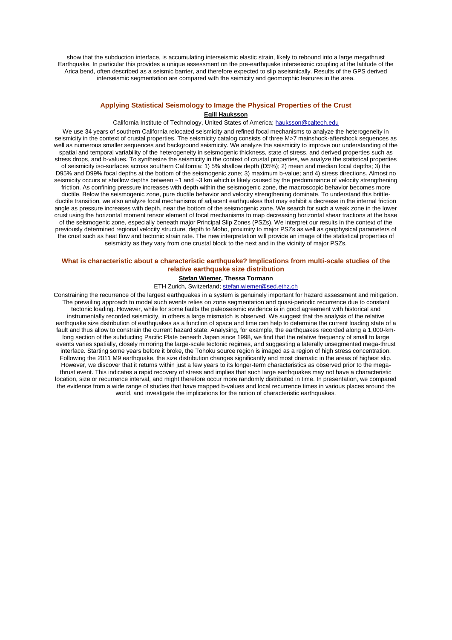show that the subduction interface, is accumulating interseismic elastic strain, likely to rebound into a large megathrust Earthquake. In particular this provides a unique assessment on the pre-earthquake interseismic coupling at the latitude of the Arica bend, often described as a seismic barrier, and therefore expected to slip aseismically. Results of the GPS derived interseismic segmentation are compared with the seimicity and geomorphic features in the area.

# **Applying Statistical Seismology to Image the Physical Properties of the Crust**

## **Egill Hauksson**

California Institute of Technology, United States of America; hauksson@caltech.edu

We use 34 years of southern California relocated seismicity and refined focal mechanisms to analyze the heterogeneity in seismicity in the context of crustal properties. The seismicity catalog consists of three M>7 mainshock-aftershock sequences as well as numerous smaller sequences and background seismicity. We analyze the seismicity to improve our understanding of the spatial and temporal variability of the heterogeneity in seismogenic thickness, state of stress, and derived properties such as stress drops, and b-values. To synthesize the seismicity in the context of crustal properties, we analyze the statistical properties of seismicity iso-surfaces across southern California: 1) 5% shallow depth (D5%); 2) mean and median focal depths; 3) the D95% and D99% focal depths at the bottom of the seismogenic zone; 3) maximum b-value; and 4) stress directions. Almost no seismicity occurs at shallow depths between ~1 and ~3 km which is likely caused by the predominance of velocity strengthening friction. As confining pressure increases with depth within the seismogenic zone, the macroscopic behavior becomes more ductile. Below the seismogenic zone, pure ductile behavior and velocity strengthening dominate. To understand this brittleductile transition, we also analyze focal mechanisms of adjacent earthquakes that may exhibit a decrease in the internal friction angle as pressure increases with depth, near the bottom of the seismogenic zone. We search for such a weak zone in the lower crust using the horizontal moment tensor element of focal mechanisms to map decreasing horizontal shear tractions at the base of the seismogenic zone, especially beneath major Principal Slip Zones (PSZs). We interpret our results in the context of the previously determined regional velocity structure, depth to Moho, proximity to major PSZs as well as geophysical parameters of the crust such as heat flow and tectonic strain rate. The new interpretation will provide an image of the statistical properties of seismicity as they vary from one crustal block to the next and in the vicinity of major PSZs.

## **What is characteristic about a characteristic earthquake? Implications from multi-scale studies of the relative earthquake size distribution**

## **Stefan Wiemer, Thessa Tormann**

ETH Zurich, Switzerland; stefan.wiemer@sed.ethz.ch

Constraining the recurrence of the largest earthquakes in a system is genuinely important for hazard assessment and mitigation. The prevailing approach to model such events relies on zone segmentation and quasi-periodic recurrence due to constant tectonic loading. However, while for some faults the paleoseismic evidence is in good agreement with historical and instrumentally recorded seismicity, in others a large mismatch is observed. We suggest that the analysis of the relative earthquake size distribution of earthquakes as a function of space and time can help to determine the current loading state of a fault and thus allow to constrain the current hazard state. Analysing, for example, the earthquakes recorded along a 1,000-kmlong section of the subducting Pacific Plate beneath Japan since 1998, we find that the relative frequency of small to large events varies spatially, closely mirroring the large-scale tectonic regimes, and suggesting a laterally unsegmented mega-thrust interface. Starting some years before it broke, the Tohoku source region is imaged as a region of high stress concentration. Following the 2011 M9 earthquake, the size distribution changes significantly and most dramatic in the areas of highest slip. However, we discover that it returns within just a few years to its longer-term characteristics as observed prior to the megathrust event. This indicates a rapid recovery of stress and implies that such large earthquakes may not have a characteristic location, size or recurrence interval, and might therefore occur more randomly distributed in time. In presentation, we compared the evidence from a wide range of studies that have mapped b-values and local recurrence times in various places around the world, and investigate the implications for the notion of characteristic earthquakes.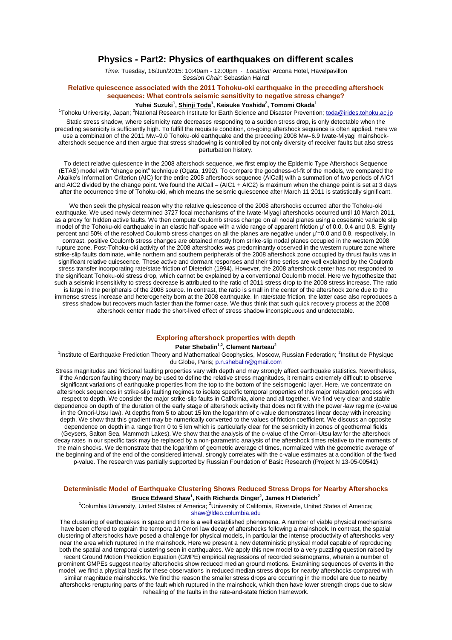## **Physics - Part2: Physics of earthquakes on different scales**

*Time:* Tuesday, 16/Jun/2015: 10:40am - 12:00pm · *Location:* Arcona Hotel, Havelpavillon *Session Chair:* Sebastian Hainzl

## **Relative quiescence associated with the 2011 Tohoku-oki earthquake in the preceding aftershock sequences: What controls seismic sensitivity to negative stress change?**

## **Yuhei Suzuki<sup>1</sup> , Shinji Toda<sup>1</sup> , Keisuke Yoshida<sup>2</sup> , Tomomi Okada<sup>1</sup>**

<sup>1</sup>Tohoku University, Japan; <sup>2</sup>National Research Institute for Earth Science and Disaster Prevention; toda@irides.tohoku.ac.jp

Static stress shadow, where seismicity rate decreases responding to a sudden stress drop, is only detectable when the preceding seismicity is sufficiently high. To fulfill the requisite condition, on-going aftershock sequence is often applied. Here we use a combination of the 2011 Mw=9.0 Tohoku-oki earthquake and the preceding 2008 Mw=6.9 Iwate-Miyagi mainshockaftershock sequence and then argue that stress shadowing is controlled by not only diversity of receiver faults but also stress perturbation history.

To detect relative quiescence in the 2008 aftershock sequence, we first employ the Epidemic Type Aftershock Sequence (ETAS) model with "change point" technique (Ogata, 1992). To compare the goodness-of-fit of the models, we compared the Akaike's Information Criterion (AIC) for the entire 2008 aftershock sequence (AICall) with a summation of two periods of AIC1 and AIC2 divided by the change point. We found the AICall – (AIC1 + AIC2) is maximum when the change point is set at 3 days after the occurrence time of Tohoku-oki, which means the seismic quiescence after March 11 2011 is statistically significant.

We then seek the physical reason why the relative quiescence of the 2008 aftershocks occurred after the Tohoku-oki earthquake. We used newly determined 3727 focal mechanisms of the Iwate-Miyagi aftershocks occurred until 10 March 2011, as a proxy for hidden active faults. We then compute Coulomb stress change on all nodal planes using a coseismic variable slip model of the Tohoku-oki earthquake in an elastic half-space with a wide range of apparent friction μ' of 0.0, 0.4 and 0.8. Eighty percent and 50% of the resolved Coulomb stress changes on all the planes are negative under μ'=0.0 and 0.8, respectively. In contrast, positive Coulomb stress changes are obtained mostly from strike-slip nodal planes occupied in the western 2008 rupture zone. Post-Tohoku-oki activity of the 2008 aftershocks was predominantly observed in the western rupture zone where strike-slip faults dominate, while northern and southern peripherals of the 2008 aftershock zone occupied by thrust faults was in significant relative quiescence. These active and dormant responses and their time series are well explained by the Coulomb stress transfer incorporating rate/state friction of Dieterich (1994). However, the 2008 aftershock center has not responded to the significant Tohoku-oki stress drop, which cannot be explained by a conventional Coulomb model. Here we hypothesize that such a seismic insensitivity to stress decrease is attributed to the ratio of 2011 stress drop to the 2008 stress increase. The ratio is large in the peripherals of the 2008 source. In contrast, the ratio is small in the center of the aftershock zone due to the immense stress increase and heterogeneity born at the 2008 earthquake. In rate/state friction, the latter case also reproduces a stress shadow but recovers much faster than the former case. We thus think that such quick recovery process at the 2008 aftershock center made the short-lived effect of stress shadow inconspicuous and undetectable.

#### **Exploring aftershock properties with depth**

## **Peter Shebalin1,2, Clement Narteau<sup>2</sup>**

<sup>1</sup>Institute of Earthquake Prediction Theory and Mathematical Geophysics, Moscow, Russian Federation; <sup>2</sup>Institut de Physique du Globe, Paris; p.n.shebalin@gmail.com

Stress magnitudes and frictional faulting properties vary with depth and may strongly affect earthquake statistics. Nevertheless, if the Anderson faulting theory may be used to define the relative stress magnitudes, it remains extremely difficult to observe significant variations of earthquake properties from the top to the bottom of the seismogenic layer. Here, we concentrate on aftershock sequences in strike-slip faulting regimes to isolate specific temporal properties of this major relaxation process with respect to depth. We consider the major strike-slip faults in California, alone and all together. We find very clear and stable dependence on depth of the duration of the early stage of aftershock activity that does not fit with the power-law regime (c-value in the Omori-Utsu law). At depths from 5 to about 15 km the logarithm of c-value demonstrates linear decay with increasing depth. We show that this gradient may be numerically converted to the values of friction coefficient. We discuss an opposite dependence on depth in a range from 0 to 5 km which is particularly clear for the seismicity in zones of geothermal fields (Geysers, Salton Sea, Mammoth Lakes). We show that the analysis of the c-value of the Omori-Utsu law for the aftershock decay rates in our specific task may be replaced by a non-parametric analysis of the aftershock times relative to the moments of the main shocks. We demonstrate that the logarithm of geometric average of times, normalized with the geometric average of the beginning and of the end of the considered interval, strongly correlates with the c-value estimates at a condition of the fixed p-value. The research was partially supported by Russian Foundation of Basic Research (Project N 13-05-00541)

## **Deterministic Model of Earthquake Clustering Shows Reduced Stress Drops for Nearby Aftershocks Bruce Edward Shaw<sup>1</sup> , Keith Richards Dinger<sup>2</sup> , James H Dieterich<sup>2</sup>**

<sup>1</sup>Columbia University, United States of America; <sup>2</sup>University of California, Riverside, United States of America; shaw@ldeo.columbia.edu

The clustering of earthquakes in space and time is a well established phenomena. A number of viable physical mechanisms have been offered to explain the tempora 1/t Omori law decay of aftershocks following a mainshock. In contrast, the spatial clustering of aftershocks have posed a challenge for physical models, in particular the intense productivity of aftershocks very near the area which ruptured in the mainshock. Here we present a new deterministic physical model capable of reproducing both the spatial and temporal clustering seen in earthquakes. We apply this new model to a very puzzling question raised by recent Ground Motion Prediction Equation (GMPE) empirical regressions of recorded seismograms, wherein a number of prominent GMPEs suggest nearby aftershocks show reduced median ground motions. Examining sequences of events in the model, we find a physical basis for these observations in reduced median stress drops for nearby aftershocks compared with similar magnitude mainshocks. We find the reason the smaller stress drops are occurring in the model are due to nearby aftershocks rerupturing parts of the fault which ruptured in the mainshock, which then have lower strength drops due to slow rehealing of the faults in the rate-and-state friction framework.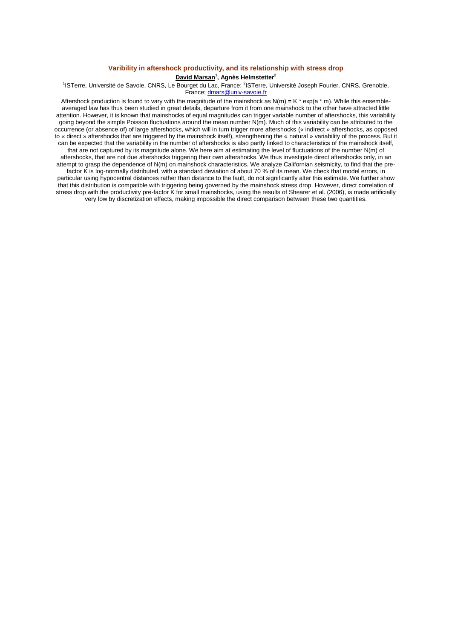## **Varibility in aftershock productivity, and its relationship with stress drop**

## **David Marsan<sup>1</sup> , Agnès Helmstetter<sup>2</sup>**

<sup>1</sup>ISTerre, Université de Savoie, CNRS, Le Bourget du Lac, France; <sup>2</sup>ISTerre, Université Joseph Fourier, CNRS, Grenoble, France; dmars@univ-savoie.fr

Aftershock production is found to vary with the magnitude of the mainshock as  $N(m) = K * exp(a * m)$ . While this ensembleaveraged law has thus been studied in great details, departure from it from one mainshock to the other have attracted little attention. However, it is known that mainshocks of equal magnitudes can trigger variable number of aftershocks, this variability going beyond the simple Poisson fluctuations around the mean number N(m). Much of this variability can be attributed to the occurrence (or absence of) of large aftershocks, which will in turn trigger more aftershocks (« indirect » aftershocks, as opposed to « direct » aftershocks that are triggered by the mainshock itself), strengthening the « natural » variability of the process. But it can be expected that the variability in the number of aftershocks is also partly linked to characteristics of the mainshock itself, that are not captured by its magnitude alone. We here aim at estimating the level of fluctuations of the number N(m) of aftershocks, that are not due aftershocks triggering their own aftershocks. We thus investigate direct aftershocks only, in an attempt to grasp the dependence of N(m) on mainshock characteristics. We analyze Californian seismicity, to find that the prefactor K is log-normally distributed, with a standard deviation of about 70 % of its mean. We check that model errors, in particular using hypocentral distances rather than distance to the fault, do not significantly alter this estimate. We further show that this distribution is compatible with triggering being governed by the mainshock stress drop. However, direct correlation of stress drop with the productivity pre-factor K for small mainshocks, using the results of Shearer et al. (2006), is made artificially very low by discretization effects, making impossible the direct comparison between these two quantities.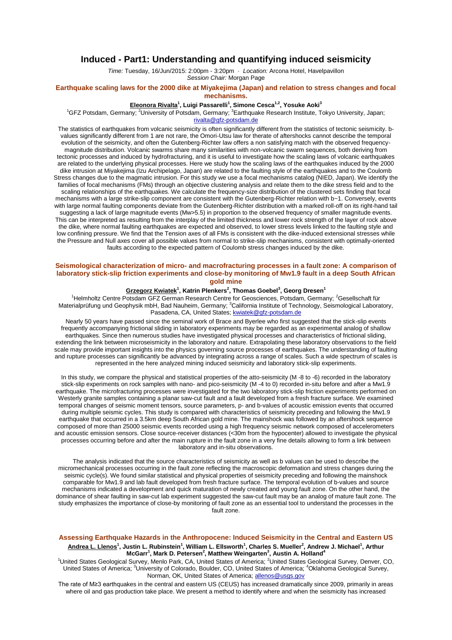## **Induced - Part1: Understanding and quantifying induced seismicity**

*Time:* Tuesday, 16/Jun/2015: 2:00pm - 3:20pm · *Location:* Arcona Hotel, Havelpavillon *Session Chair:* Morgan Page

### **Earthquake scaling laws for the 2000 dike at Miyakejima (Japan) and relation to stress changes and focal mechanisms.**

#### **Eleonora Rivalta<sup>1</sup> , Luigi Passarelli<sup>1</sup> , Simone Cesca1,2, Yosuke Aoki<sup>3</sup>**

<sup>1</sup>GFZ Potsdam, Germany; <sup>2</sup>University of Potsdam, Germany; <sup>3</sup>Earthquake Research Institute, Tokyo University, Japan;

rivalta@gfz-potsdam.de

The statistics of earthquakes from volcanic seismicity is often significantly different from the statistics of tectonic seismicity. bvalues significantly different from 1 are not rare, the Omori-Utsu law for therate of aftershocks cannot describe the temporal evolution of the seismicity, and often the Gutenberg-Richter law offers a non satisfying match with the observed frequencymagnitude distribution. Volcanic swarms share many similarities with non-volcanic swarm sequences, both deriving from tectonic processes and induced by hydrofracturing, and it is useful to investigate how the scaling laws of volcanic earthquakes are related to the underlying physical processes. Here we study how the scaling laws of the earthquakes induced by the 2000 dike intrusion at Miyakejima (Izu Archipelago, Japan) are related to the faulting style of the earthquakes and to the Coulomb Stress changes due to the magmatic intrusion. For this study we use a focal mechanisms catalog (NIED, Japan). We identify the families of focal mechanisms (FMs) through an objective clustering analysis and relate them to the dike stress field and to the scaling relationships of the earthquakes. We calculate the frequency-size distribution of the clustered sets finding that focal mechanisms with a large strike-slip component are consistent with the Gutenberg-Richter relation with b~1. Conversely, events with large normal faulting components deviate from the Gutenberg-Richter distribution with a marked roll-off on its right-hand tail suggesting a lack of large magnitude events (Mw>5.5) in proportion to the observed frequency of smaller magnitude events. This can be interpreted as resulting from the interplay of the limited thickness and lower rock strength of the layer of rock above the dike, where normal faulting earthquakes are expected and observed, to lower stress levels linked to the faulting style and low confining pressure. We find that the Tension axes of all FMs is consistent with the dike-induced extensional stresses while the Pressure and Null axes cover all possible values from normal to strike-slip mechanisms, consistent with optimally-oriented faults according to the expected pattern of Coulomb stress changes induced by the dike.

## **Seismological characterization of micro- and macrofracturing processes in a fault zone: A comparison of laboratory stick-slip friction experiments and close-by monitoring of Mw1.9 fault in a deep South African gold mine**

#### **Grzegorz Kwiatek<sup>1</sup> , Katrin Plenkers<sup>2</sup> , Thomas Goebel<sup>3</sup> , Georg Dresen<sup>1</sup>**

<sup>1</sup>Helmholtz Centre Potsdam GFZ German Research Centre for Geosciences, Potsdam, Germany; <sup>2</sup>Gesellschaft für Materialprüfung und Geophysik mbH, Bad Nauheim, Germany; <sup>3</sup>California Institute of Technology, Seismological Laboratory, Pasadena, CA, United States; kwiatek@gfz-potsdam.de

Nearly 50 years have passed since the seminal work of Brace and Byerlee who first suggested that the stick-slip events frequently accompanying frictional sliding in laboratory experiments may be regarded as an experimental analog of shallow earthquakes. Since then numerous studies have investigated physical processes and characteristics of frictional sliding, extending the link between microseismicity in the laboratory and nature. Extrapolating these laboratory observations to the field scale may provide important insights into the physics governing source processes of earthquakes. The understanding of faulting and rupture processes can significantly be advanced by integrating across a range of scales. Such a wide spectrum of scales is represented in the here analyzed mining induced seismicity and laboratory stick-slip experiments.

In this study, we compare the physical and statistical properties of the atto-seismicity (M -8 to -6) recorded in the laboratory stick-slip experiments on rock samples with nano- and pico-seismicity (M -4 to 0) recorded in-situ before and after a Mw1.9 earthquake. The microfracturing processes were investigated for the two laboratory stick-slip friction experiments performed on Westerly granite samples containing a planar saw-cut fault and a fault developed from a fresh fracture surface. We examined temporal changes of seismic moment tensors, source parameters, p- and b-values of acoustic emission events that occurred during multiple seismic cycles. This study is compared with characteristics of seismicity preceding and following the Mw1.9 earthquake that occurred in a 3.5km deep South African gold mine. The mainshock was followed by an aftershock sequence composed of more than 25000 seismic events recorded using a high frequency seismic network composed of accelerometers and acoustic emission sensors. Close source-receiver distances (<30m from the hypocenter) allowed to investigate the physical processes occurring before and after the main rupture in the fault zone in a very fine details allowing to form a link between laboratory and in-situ observations.

The analysis indicated that the source characteristics of seismicity as well as b values can be used to describe the micromechanical processes occurring in the fault zone reflecting the macroscopic deformation and stress changes during the seismic cycle(s). We found similar statistical and physical properties of seismicity preceding and following the mainshock comparable for Mw1.9 and lab fault developed from fresh fracture surface. The temporal evolution of b-values and source mechanisms indicated a development and quick maturation of newly created and young fault zone. On the other hand, the dominance of shear faulting in saw-cut lab experiment suggested the saw-cut fault may be an analog of mature fault zone. The study emphasizes the importance of close-by monitoring of fault zone as an essential tool to understand the processes in the fault zone.

## **Assessing Earthquake Hazards in the Anthropocene: Induced Seismicity in the Central and Eastern US Andrea L. Llenos<sup>1</sup> , Justin L. Rubinstein<sup>1</sup> , William L. Ellsworth<sup>1</sup> , Charles S. Mueller<sup>2</sup> , Andrew J. Michael<sup>1</sup> , Arthur McGarr<sup>1</sup> , Mark D. Petersen<sup>2</sup> , Matthew Weingarten<sup>3</sup> , Austin A. Holland<sup>4</sup>**

<sup>1</sup>United States Geological Survey, Menlo Park, CA, United States of America; <sup>2</sup>United States Geological Survey, Denver, CO, United States of America; <sup>3</sup>University of Colorado, Boulder, CO, United States of America; <sup>4</sup>Oklahoma Geological Survey, Norman, OK, United States of America; allenos@usgs.gov

The rate of M≥3 earthquakes in the central and eastern US (CEUS) has increased dramatically since 2009, primarily in areas where oil and gas production take place. We present a method to identify where and when the seismicity has increased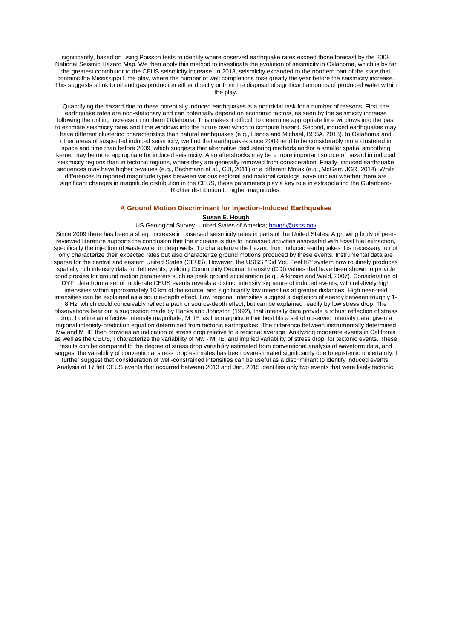significantly, based on using Poisson tests to identify where observed earthquake rates exceed those forecast by the 2008 National Seismic Hazard Map. We then apply this method to investigate the evolution of seismicity in Oklahoma, which is by far the greatest contributor to the CEUS seismicity increase. In 2013, seismicity expanded to the northern part of the state that contains the Mississippi Lime play, where the number of well completions rose greatly the year before the seismicity increase. This suggests a link to oil and gas production either directly or from the disposal of significant amounts of produced water within the play.

Quantifying the hazard due to these potentially induced earthquakes is a nontrivial task for a number of reasons. First, the earthquake rates are non-stationary and can potentially depend on economic factors, as seen by the seismicity increase following the drilling increase in northern Oklahoma. This makes it difficult to determine appropriate time windows into the past to estimate seismicity rates and time windows into the future over which to compute hazard. Second, induced earthquakes may have different clustering characteristics than natural earthquakes (e.g., Llenos and Michael, BSSA, 2013). In Oklahoma and other areas of suspected induced seismicity, we find that earthquakes since 2009 tend to be considerably more clustered in space and time than before 2009, which suggests that alternative declustering methods and/or a smaller spatial smoothing kernel may be more appropriate for induced seismicity. Also aftershocks may be a more important source of hazard in induced seismicity regions than in tectonic regions, where they are generally removed from consideration. Finally, induced earthquake sequences may have higher b-values (e.g., Bachmann et al., GJI, 2011) or a different Mmax (e.g., McGarr, JGR, 2014). While differences in reported magnitude types between various regional and national catalogs leave unclear whether there are significant changes in magnitude distribution in the CEUS, these parameters play a key role in extrapolating the Gutenberg-Richter distribution to higher magnitudes.

#### **A Ground Motion Discriminant for Injection-Induced Earthquakes**

#### **Susan E. Hough**

#### US Geological Survey, United States of America; hough@usgs.gov

Since 2009 there has been a sharp increase in observed seismicity rates in parts of the United States. A growing body of peerreviewed literature supports the conclusion that the increase is due to increased activities associated with fossil fuel extraction, specifically the injection of wastewater in deep wells. To characterize the hazard from induced earthquakes it is necessary to not only characterize their expected rates but also characterize ground motions produced by these events. Instrumental data are sparse for the central and eastern United States (CEUS). However, the USGS "Did You Feel It?" system now routinely produces spatially rich intensity data for felt events, yielding Community Decimal Intensity (CDI) values that have been shown to provide good proxies for ground motion parameters such as peak ground acceleration (e.g., Atkinson and Wald, 2007). Consideration of DYFI data from a set of moderate CEUS events reveals a distinct intensity signature of induced events, with relatively high intensities within approximately 10 km of the source, and significantly low intensities at greater distances. High near-field intensities can be explained as a source-depth effect. Low regional intensities suggest a depletion of energy between roughly 1- 8 Hz, which could conceivably reflect a path or source-depth effect, but can be explained readily by low stress drop. The observations bear out a suggestion made by Hanks and Johnston (1992), that intensity data provide a robust reflection of stress drop. I define an effective intensity magnitude, M\_IE, as the magnitude that best fits a set of observed intensity data, given a regional intensity-prediction equation determined from tectonic earthquakes. The difference between instrumentally determined Mw and M\_IE then provides an indication of stress drop relative to a regional average. Analyzing moderate events in California as well as the CEUS, I characterize the variability of Mw - M\_IE, and implied variability of stress drop, for tectonic events. These results can be compared to the degree of stress drop variability estimated from conventional analysis of waveform data, and suggest the variability of conventional stress drop estimates has been overestimated significantly due to epistemic uncertainty. I further suggest that consideration of well-constrained intensities can be useful as a discriminant to identify induced events. Analysis of 17 felt CEUS events that occurred between 2013 and Jan. 2015 identifies only two events that were likely tectonic.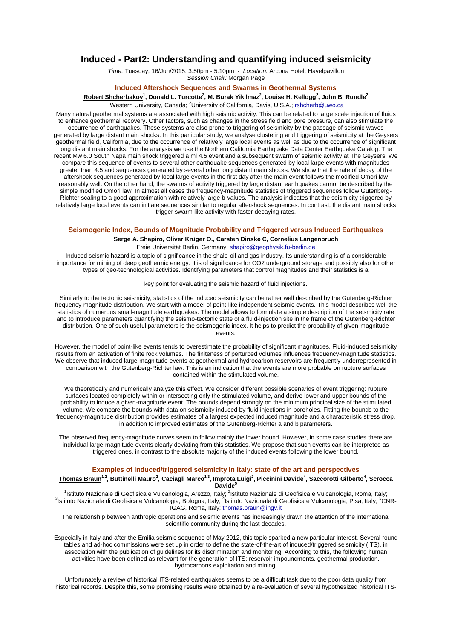## **Induced - Part2: Understanding and quantifying induced seismicity**

*Time:* Tuesday, 16/Jun/2015: 3:50pm - 5:10pm · *Location:* Arcona Hotel, Havelpavillon *Session Chair:* Morgan Page

### **Induced Aftershock Sequences and Swarms in Geothermal Systems**

**Robert Shcherbakov<sup>1</sup> , Donald L. Turcotte<sup>2</sup> , M. Burak Yikilmaz<sup>2</sup> , Louise H. Kellogg<sup>2</sup> , John B. Rundle<sup>2</sup>**

 $1$ Western University, Canada:  $2$ University of California, Davis, U.S.A.; rshcherb@uwo.ca

Many natural geothermal systems are associated with high seismic activity. This can be related to large scale injection of fluids to enhance geothermal recovery. Other factors, such as changes in the stress field and pore pressure, can also stimulate the occurrence of earthquakes. These systems are also prone to triggering of seismicity by the passage of seismic waves generated by large distant main shocks. In this particular study, we analyse clustering and triggering of seismicity at the Geysers geothermal field, California, due to the occurrence of relatively large local events as well as due to the occurrence of significant long distant main shocks. For the analysis we use the Northern California Earthquake Data Center Earthquake Catalog. The recent Mw 6.0 South Napa main shock triggered a ml 4.5 event and a subsequent swarm of seismic activity at The Geysers. We compare this sequence of events to several other earthquake sequences generated by local large events with magnitudes greater than 4.5 and sequences generated by several other long distant main shocks. We show that the rate of decay of the aftershock sequences generated by local large events in the first day after the main event follows the modified Omori law reasonably well. On the other hand, the swarms of activity triggered by large distant earthquakes cannot be described by the simple modified Omori law. In almost all cases the frequency-magnitude statistics of triggered sequences follow Gutenberg-Richter scaling to a good approximation with relatively large b-values. The analysis indicates that the seismicity triggered by relatively large local events can initiate sequences similar to regular aftershock sequences. In contrast, the distant main shocks trigger swarm like activity with faster decaying rates.

#### **Seismogenic Index, Bounds of Magnitude Probability and Triggered versus Induced Earthquakes**

**Serge A. Shapiro, Oliver Krüger O., Carsten Dinske C, Cornelius Langenbruch** Freie Universität Berlin, Germany; shapiro@geophysik.fu-berlin.de

Induced seismic hazard is a topic of significance in the shale-oil and gas industry. Its understanding is of a considerable importance for mining of deep geothermic energy. It is of significance for CO2 underground storage and possibly also for other types of geo-technological activities. Identifying parameters that control magnitudes and their statistics is a

key point for evaluating the seismic hazard of fluid injections.

Similarly to the tectonic seismicity, statistics of the induced seismicity can be rather well described by the Gutenberg-Richter frequency-magnitude distribution. We start with a model of point-like independent seismic events. This model describes well the statistics of numerous small-magnitude earthquakes. The model allows to formulate a simple description of the seismicity rate and to introduce parameters quantifying the seismo-tectonic state of a fluid-injection site in the frame of the Gutenberg-Richter distribution. One of such useful parameters is the seismogenic index. It helps to predict the probability of given-magnitude events.

However, the model of point-like events tends to overestimate the probability of significant magnitudes. Fluid-induced seismicity results from an activation of finite rock volumes. The finiteness of perturbed volumes influences frequency-magnitude statistics. We observe that induced large-magnitude events at geothermal and hydrocarbon reservoirs are frequently underrepresented in comparison with the Gutenberg-Richter law. This is an indication that the events are more probable on rupture surfaces contained within the stimulated volume.

We theoretically and numerically analyze this effect. We consider different possible scenarios of event triggering: rupture surfaces located completely within or intersecting only the stimulated volume, and derive lower and upper bounds of the probability to induce a given-magnitude event. The bounds depend strongly on the minimum principal size of the stimulated volume. We compare the bounds with data on seismicity induced by fluid injections in boreholes. Fitting the bounds to the frequency-magnitude distribution provides estimates of a largest expected induced magnitude and a characteristic stress drop, in addition to improved estimates of the Gutenberg-Richter a and b parameters.

The observed frequency-magnitude curves seem to follow mainly the lower bound. However, in some case studies there are individual large-magnitude events clearly deviating from this statistics. We propose that such events can be interpreted as triggered ones, in contrast to the absolute majority of the induced events following the lower bound.

## **Examples of induced/triggered seismicity in Italy: state of the art and perspectives**

#### **Thomas Braun1,2, Buttinelli Mauro<sup>2</sup> , Caciagli Marco1,3, Improta Luigi<sup>2</sup> , Piccinini Davide<sup>4</sup> , Saccorotti Gilberto<sup>4</sup> , Scrocca Davide<sup>5</sup>**

<sup>1</sup>Istituto Nazionale di Geofisica e Vulcanologia, Arezzo, Italy; <sup>2</sup>Istituto Nazionale di Geofisica e Vulcanologia, Roma, Italy; <sup>3</sup>lstituto Nazionale di Geofisica e Vulcanologia, Bologna, Italy; <sup>4</sup>lstituto Nazionale di Geofisica e Vulcanologia, Pisa, Italy; <sup>5</sup>CNR-IGAG, Roma, Italy; thomas.braun@ingv.it

The relationship between anthropic operations and seismic events has increasingly drawn the attention of the international scientific community during the last decades.

Especially in Italy and after the Emilia seismic sequence of May 2012, this topic sparked a new particular interest. Several round tables and ad-hoc commissions were set up in order to define the state-of-the-art of induced/triggered seismicity (ITS), in association with the publication of guidelines for its discrimination and monitoring. According to this, the following human activities have been defined as relevant for the generation of ITS: reservoir impoundments, geothermal production, hydrocarbons exploitation and mining.

Unfortunately a review of historical ITS-related earthquakes seems to be a difficult task due to the poor data quality from historical records. Despite this, some promising results were obtained by a re-evaluation of several hypothesized historical ITS-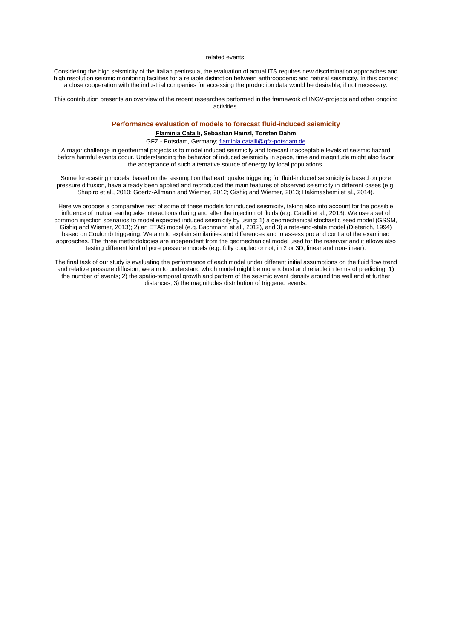#### related events.

Considering the high seismicity of the Italian peninsula, the evaluation of actual ITS requires new discrimination approaches and high resolution seismic monitoring facilities for a reliable distinction between anthropogenic and natural seismicity. In this context a close cooperation with the industrial companies for accessing the production data would be desirable, if not necessary.

This contribution presents an overview of the recent researches performed in the framework of INGV-projects and other ongoing activities.

# **Performance evaluation of models to forecast fluid-induced seismicity**

## **Flaminia Catalli, Sebastian Hainzl, Torsten Dahm**

## GFZ - Potsdam, Germany; flaminia.catalli@gfz-potsdam.de

A major challenge in geothermal projects is to model induced seismicity and forecast inacceptable levels of seismic hazard before harmful events occur. Understanding the behavior of induced seismicity in space, time and magnitude might also favor the acceptance of such alternative source of energy by local populations.

Some forecasting models, based on the assumption that earthquake triggering for fluid-induced seismicity is based on pore pressure diffusion, have already been applied and reproduced the main features of observed seismicity in different cases (e.g. Shapiro et al., 2010; Goertz-Allmann and Wiemer, 2012; Gishig and Wiemer, 2013; Hakimashemi et al., 2014).

Here we propose a comparative test of some of these models for induced seismicity, taking also into account for the possible influence of mutual earthquake interactions during and after the injection of fluids (e.g. Catalli et al., 2013). We use a set of common injection scenarios to model expected induced seismicity by using: 1) a geomechanical stochastic seed model (GSSM, Gishig and Wiemer, 2013); 2) an ETAS model (e.g. Bachmann et al., 2012), and 3) a rate-and-state model (Dieterich, 1994) based on Coulomb triggering. We aim to explain similarities and differences and to assess pro and contra of the examined approaches. The three methodologies are independent from the geomechanical model used for the reservoir and it allows also testing different kind of pore pressure models (e.g. fully coupled or not; in 2 or 3D; linear and non-linear).

The final task of our study is evaluating the performance of each model under different initial assumptions on the fluid flow trend and relative pressure diffusion; we aim to understand which model might be more robust and reliable in terms of predicting: 1) the number of events; 2) the spatio-temporal growth and pattern of the seismic event density around the well and at further distances; 3) the magnitudes distribution of triggered events.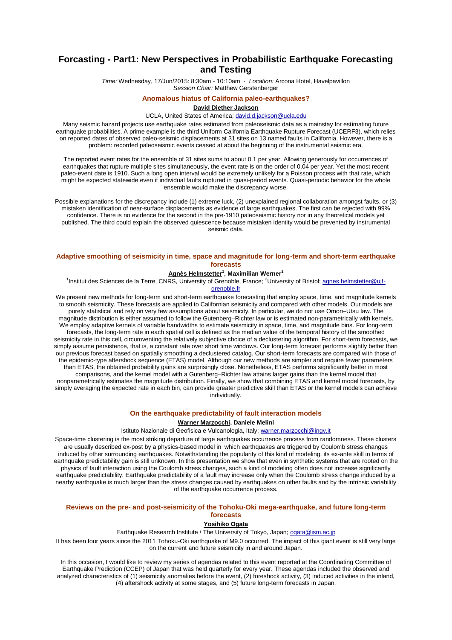# **Forcasting - Part1: New Perspectives in Probabilistic Earthquake Forecasting and Testing**

*Time:* Wednesday, 17/Jun/2015: 8:30am - 10:10am · *Location:* Arcona Hotel, Havelpavillon *Session Chair:* Matthew Gerstenberger

#### **Anomalous hiatus of California paleo-earthquakes?**

#### **David Diether Jackson**

#### UCLA, United States of America; david.d.jackson@ucla.edu

Many seismic hazard projects use earthquake rates estimated from paleoseismic data as a mainstay for estimating future earthquake probabilities. A prime example is the third Uniform California Earthquake Rupture Forecast (UCERF3), which relies on reported dates of observed paleo-seismic displacements at 31 sites on 13 named faults in California. However, there is a problem: recorded paleoseismic events ceased at about the beginning of the instrumental seismic era.

The reported event rates for the ensemble of 31 sites sums to about 0.1 per year. Allowing generously for occurrences of earthquakes that rupture multiple sites simultaneously, the event rate is on the order of 0.04 per year. Yet the most recent paleo-event date is 1910. Such a long open interval would be extremely unlikely for a Poisson process with that rate, which might be expected statewide even if individual faults ruptured in quasi-period events. Quasi-periodic behavior for the whole ensemble would make the discrepancy worse.

Possible explanations for the discrepancy include (1) extreme luck, (2) unexplained regional collaboration amongst faults, or (3) mistaken identification of near-surface displacements as evidence of large earthquakes. The first can be rejected with 99% confidence. There is no evidence for the second in the pre-1910 paleoseismic history nor in any theoretical models yet published. The third could explain the observed quiescence because mistaken identity would be prevented by instrumental seismic data.

## **Adaptive smoothing of seismicity in time, space and magnitude for long-term and short-term earthquake forecasts**

### **Agnès Helmstetter<sup>1</sup> , Maximilian Werner<sup>2</sup>**

<sup>1</sup>Institut des Sciences de la Terre, CNRS, University of Grenoble, France; <sup>2</sup>University of Bristol; agnes.helmstetter@ujfgrenoble.fr

We present new methods for long-term and short-term earthquake forecasting that employ space, time, and magnitude kernels to smooth seismicity. These forecasts are applied to Californian seismicity and compared with other models. Our models are purely statistical and rely on very few assumptions about seismicity. In particular, we do not use Omori–Utsu law. The magnitude distribution is either assumed to follow the Gutenberg–Richter law or is estimated non-parametrically with kernels. We employ adaptive kernels of variable bandwidths to estimate seismicity in space, time, and magnitude bins. For long-term forecasts, the long-term rate in each spatial cell is defined as the median value of the temporal history of the smoothed seismicity rate in this cell, circumventing the relatively subjective choice of a declustering algorithm. For short-term forecasts, we simply assume persistence, that is, a constant rate over short time windows. Our long-term forecast performs slightly better than our previous forecast based on spatially smoothing a declustered catalog. Our short-term forecasts are compared with those of the epidemic-type aftershock sequence (ETAS) model. Although our new methods are simpler and require fewer parameters than ETAS, the obtained probability gains are surprisingly close. Nonetheless, ETAS performs significantly better in most comparisons, and the kernel model with a Gutenberg–Richter law attains larger gains than the kernel model that nonparametrically estimates the magnitude distribution. Finally, we show that combining ETAS and kernel model forecasts, by simply averaging the expected rate in each bin, can provide greater predictive skill than ETAS or the kernel models can achieve individually.

#### **On the earthquake predictability of fault interaction models**

### **Warner Marzocchi, Daniele Melini**

Istituto Nazionale di Geofisica e Vulcanologia, Italy; warner.marzocchi@ingv.it

Space-time clustering is the most striking departure of large earthquakes occurrence process from randomness. These clusters are usually described ex-post by a physics-based model in which earthquakes are triggered by Coulomb stress changes induced by other surrounding earthquakes. Notwithstanding the popularity of this kind of modeling, its ex-ante skill in terms of earthquake predictability gain is still unknown. In this presentation we show that even in synthetic systems that are rooted on the physics of fault interaction using the Coulomb stress changes, such a kind of modeling often does not increase significantly earthquake predictability. Earthquake predictability of a fault may increase only when the Coulomb stress change induced by a nearby earthquake is much larger than the stress changes caused by earthquakes on other faults and by the intrinsic variability of the earthquake occurrence process.

## **Reviews on the pre- and post-seismicity of the Tohoku-Oki mega-earthquake, and future long-term forecasts**

#### **Yosihiko Ogata**

Earthquake Research Institute / The University of Tokyo, Japan; ogata@ism.ac.jp

It has been four years since the 2011 Tohoku-Oki earthquake of M9.0 occurred. The impact of this giant event is still very large on the current and future seismicity in and around Japan.

In this occasion, I would like to review my series of agendas related to this event reported at the Coordinating Committee of Earthquake Prediction (CCEP) of Japan that was held quarterly for every year. These agendas included the observed and analyzed characteristics of (1) seismicity anomalies before the event, (2) foreshock activity, (3) induced activities in the inland, (4) aftershock activity at some stages, and (5) future long-term forecasts in Japan.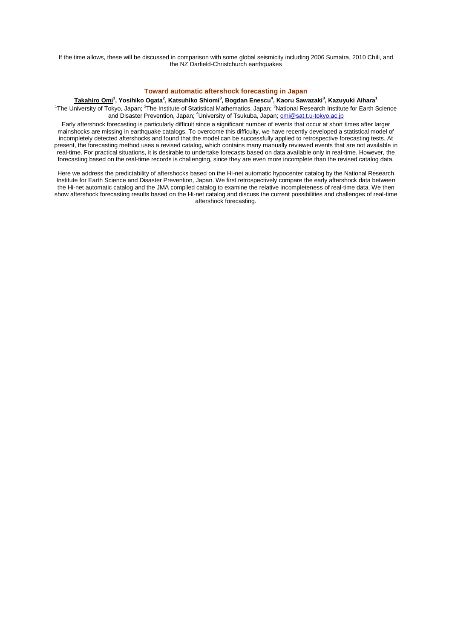If the time allows, these will be discussed in comparison with some global seismicity including 2006 Sumatra, 2010 Chili, and the NZ Darfield-Christchurch earthquakes

## **Toward automatic aftershock forecasting in Japan**

 $\frac{1}{2}$  Takahiro Omi $^1$ , Yosihiko Ogata $^2$ , Katsuhiko Shiomi $^3$ , Bogdan Enescu $^4$ , Kaoru Sawazaki $^3$ , Kazuyuki Aihara $^1$ 

<sup>1</sup>The University of Tokyo, Japan; <sup>2</sup>The Institute of Statistical Mathematics, Japan; <sup>3</sup>National Research Institute for Earth Science and Disaster Prevention, Japan; <sup>4</sup>University of Tsukuba, Japan; omi@sat.t.u-tokyo.ac.jp

Early aftershock forecasting is particularly difficult since a significant number of events that occur at short times after larger mainshocks are missing in earthquake catalogs. To overcome this difficulty, we have recently developed a statistical model of incompletely detected aftershocks and found that the model can be successfully applied to retrospective forecasting tests. At present, the forecasting method uses a revised catalog, which contains many manually reviewed events that are not available in real-time. For practical situations, it is desirable to undertake forecasts based on data available only in real-time. However, the forecasting based on the real-time records is challenging, since they are even more incomplete than the revised catalog data.

Here we address the predictability of aftershocks based on the Hi-net automatic hypocenter catalog by the National Research Institute for Earth Science and Disaster Prevention, Japan. We first retrospectively compare the early aftershock data between the Hi-net automatic catalog and the JMA compiled catalog to examine the relative incompleteness of real-time data. We then show aftershock forecasting results based on the Hi-net catalog and discuss the current possibilities and challenges of real-time aftershock forecasting.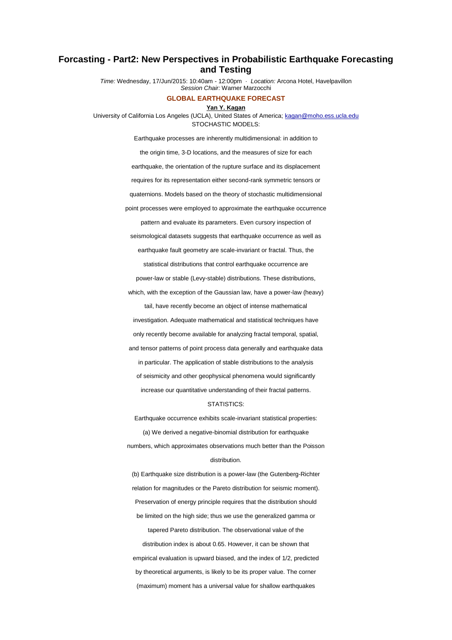# **Forcasting - Part2: New Perspectives in Probabilistic Earthquake Forecasting and Testing**

*Time:* Wednesday, 17/Jun/2015: 10:40am - 12:00pm · *Location:* Arcona Hotel, Havelpavillon *Session Chair:* Warner Marzocchi

## **GLOBAL EARTHQUAKE FORECAST**

#### **Yan Y. Kagan**

University of California Los Angeles (UCLA), United States of America; kagan@moho.ess.ucla.edu STOCHASTIC MODELS:

Earthquake processes are inherently multidimensional: in addition to

the origin time, 3-D locations, and the measures of size for each earthquake, the orientation of the rupture surface and its displacement requires for its representation either second-rank symmetric tensors or quaternions. Models based on the theory of stochastic multidimensional point processes were employed to approximate the earthquake occurrence pattern and evaluate its parameters. Even cursory inspection of seismological datasets suggests that earthquake occurrence as well as earthquake fault geometry are scale-invariant or fractal. Thus, the statistical distributions that control earthquake occurrence are power-law or stable (Levy-stable) distributions. These distributions, which, with the exception of the Gaussian law, have a power-law (heavy) tail, have recently become an object of intense mathematical investigation. Adequate mathematical and statistical techniques have only recently become available for analyzing fractal temporal, spatial, and tensor patterns of point process data generally and earthquake data in particular. The application of stable distributions to the analysis of seismicity and other geophysical phenomena would significantly increase our quantitative understanding of their fractal patterns.

#### STATISTICS:

Earthquake occurrence exhibits scale-invariant statistical properties: (a) We derived a negative-binomial distribution for earthquake numbers, which approximates observations much better than the Poisson distribution.

(b) Earthquake size distribution is a power-law (the Gutenberg-Richter relation for magnitudes or the Pareto distribution for seismic moment). Preservation of energy principle requires that the distribution should be limited on the high side; thus we use the generalized gamma or tapered Pareto distribution. The observational value of the distribution index is about 0.65. However, it can be shown that empirical evaluation is upward biased, and the index of 1/2, predicted by theoretical arguments, is likely to be its proper value. The corner (maximum) moment has a universal value for shallow earthquakes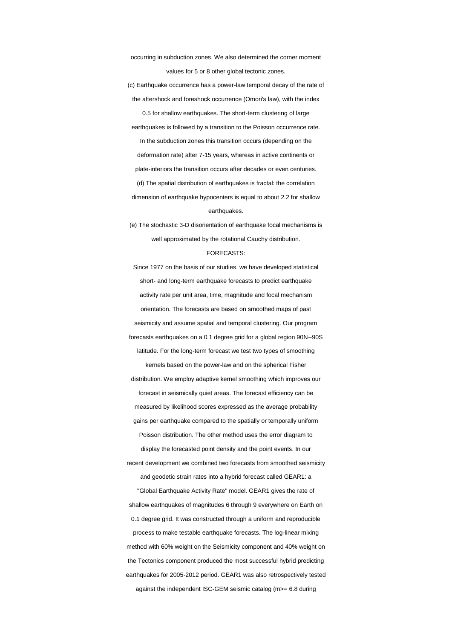occurring in subduction zones. We also determined the corner moment values for 5 or 8 other global tectonic zones.

(c) Earthquake occurrence has a power-law temporal decay of the rate of the aftershock and foreshock occurrence (Omori's law), with the index 0.5 for shallow earthquakes. The short-term clustering of large earthquakes is followed by a transition to the Poisson occurrence rate. In the subduction zones this transition occurs (depending on the deformation rate) after 7-15 years, whereas in active continents or plate-interiors the transition occurs after decades or even centuries. (d) The spatial distribution of earthquakes is fractal: the correlation dimension of earthquake hypocenters is equal to about 2.2 for shallow earthquakes.

(e) The stochastic 3-D disorientation of earthquake focal mechanisms is well approximated by the rotational Cauchy distribution.

#### FORECASTS:

Since 1977 on the basis of our studies, we have developed statistical short- and long-term earthquake forecasts to predict earthquake activity rate per unit area, time, magnitude and focal mechanism orientation. The forecasts are based on smoothed maps of past seismicity and assume spatial and temporal clustering. Our program forecasts earthquakes on a 0.1 degree grid for a global region 90N--90S latitude. For the long-term forecast we test two types of smoothing kernels based on the power-law and on the spherical Fisher distribution. We employ adaptive kernel smoothing which improves our forecast in seismically quiet areas. The forecast efficiency can be measured by likelihood scores expressed as the average probability gains per earthquake compared to the spatially or temporally uniform Poisson distribution. The other method uses the error diagram to display the forecasted point density and the point events. In our recent development we combined two forecasts from smoothed seismicity and geodetic strain rates into a hybrid forecast called GEAR1: a "Global Earthquake Activity Rate" model. GEAR1 gives the rate of shallow earthquakes of magnitudes 6 through 9 everywhere on Earth on 0.1 degree grid. It was constructed through a uniform and reproducible process to make testable earthquake forecasts. The log-linear mixing method with 60% weight on the Seismicity component and 40% weight on the Tectonics component produced the most successful hybrid predicting earthquakes for 2005-2012 period. GEAR1 was also retrospectively tested against the independent ISC-GEM seismic catalog (m>= 6.8 during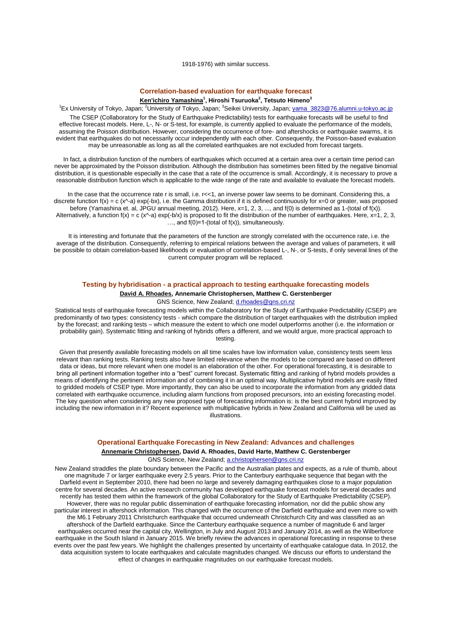1918-1976) with similar success.

## **Correlation-based evaluation for earthquake forecast Ken'ichiro Yamashina<sup>1</sup> , Hiroshi Tsuruoka<sup>2</sup> , Tetsuto Himeno<sup>3</sup>**

<sup>1</sup>Ex University of Tokyo, Japan; <sup>2</sup>University of Tokyo, Japan; <sup>3</sup>Seikei University, Japan; <u>yama\_3823@76.alumni.u-tokyo.ac.jp</u> The CSEP (Collaboratory for the Study of Earthquake Predictability) tests for earthquake forecasts will be useful to find effective forecast models. Here, L-, N- or S-test, for example, is currently applied to evaluate the performance of the models, assuming the Poisson distribution. However, considering the occurrence of fore- and aftershocks or earthquake swarms, it is evident that earthquakes do not necessarily occur independently with each other. Consequently, the Poisson-based evaluation may be unreasonable as long as all the correlated earthquakes are not excluded from forecast targets.

In fact, a distribution function of the numbers of earthquakes which occurred at a certain area over a certain time period can never be approximated by the Poisson distribution. Although the distribution has sometimes been fitted by the negative binomial distribution, it is questionable especially in the case that a rate of the occurrence is small. Accordingly, it is necessary to prove a reasonable distribution function which is applicable to the wide range of the rate and available to evaluate the forecast models.

In the case that the occurrence rate r is small, i.e.  $r\lt1$ , an inverse power law seems to be dominant. Considering this, a discrete function  $f(x) = c(x^2-a) \exp(-bx)$ , i.e. the Gamma distribution if it is defined continuously for  $x=0$  or greater, was proposed before (Yamashina et. al, JPGU annual meeting, 2012). Here, x=1, 2, 3, ..., and f(0) is determined as 1-(total of f(x)). Alternatively, a function  $f(x) = c (x^2-a) \exp(-b/x)$  is proposed to fit the distribution of the number of earthquakes. Here, x=1, 2, 3,  $\ldots$ , and  $f(0)=1$ -(total of  $f(x)$ ), simultaneously.

It is interesting and fortunate that the parameters of the function are strongly correlated with the occurrence rate, i.e. the average of the distribution. Consequently, referring to empirical relations between the average and values of parameters, it will be possible to obtain correlation-based likelihoods or evaluation of correlation-based L-, N-, or S-tests, if only several lines of the current computer program will be replaced.

### **Testing by hybridisation - a practical approach to testing earthquake forecasting models**

**David A. Rhoades, Annemarie Christophersen, Matthew C. Gerstenberger**

GNS Science, New Zealand; d.rhoades@gns.cri.nz

Statistical tests of earthquake forecasting models within the Collaboratory for the Study of Earthquake Predictability (CSEP) are predominantly of two types: consistency tests - which compare the distribution of target earthquakes with the distribution implied by the forecast; and ranking tests – which measure the extent to which one model outperforms another (i.e. the information or probability gain). Systematic fitting and ranking of hybrids offers a different, and we would argue, more practical approach to testing.

Given that presently available forecasting models on all time scales have low information value, consistency tests seem less relevant than ranking tests. Ranking tests also have limited relevance when the models to be compared are based on different data or ideas, but more relevant when one model is an elaboration of the other. For operational forecasting, it is desirable to bring all pertinent information together into a "best" current forecast. Systematic fitting and ranking of hybrid models provides a means of identifying the pertinent information and of combining it in an optimal way. Multiplicative hybrid models are easily fitted to gridded models of CSEP type. More importantly, they can also be used to incorporate the information from any gridded data correlated with earthquake occurrence, including alarm functions from proposed precursors, into an existing forecasting model. The key question when considering any new proposed type of forecasting information is: is the best current hybrid improved by including the new information in it? Recent experience with multiplicative hybrids in New Zealand and California will be used as illustrations.

## **Operational Earthquake Forecasting in New Zealand: Advances and challenges**

**Annemarie Christophersen, David A. Rhoades, David Harte, Matthew C. Gerstenberger** GNS Science, New Zealand; a.christophersen@gns.cri.nz

New Zealand straddles the plate boundary between the Pacific and the Australian plates and expects, as a rule of thumb, about one magnitude 7 or larger earthquake every 2.5 years. Prior to the Canterbury earthquake sequence that began with the Darfield event in September 2010, there had been no large and severely damaging earthquakes close to a major population centre for several decades. An active research community has developed earthquake forecast models for several decades and recently has tested them within the framework of the global Collaboratory for the Study of Earthquake Predictability (CSEP). However, there was no regular public dissemination of earthquake forecasting information, nor did the public show any particular interest in aftershock information. This changed with the occurrence of the Darfield earthquake and even more so with the M6.1 February 2011 Christchurch earthquake that occurred underneath Christchurch City and was classified as an aftershock of the Darfield earthquake. Since the Canterbury earthquake sequence a number of magnitude 6 and larger earthquakes occurred near the capital city, Wellington, in July and August 2013 and January 2014, as well as the Wilberforce earthquake in the South Island in January 2015. We briefly review the advances in operational forecasting in response to these events over the past few years. We highlight the challenges presented by uncertainty of earthquake catalogue data. In 2012, the data acquisition system to locate earthquakes and calculate magnitudes changed. We discuss our efforts to understand the effect of changes in earthquake magnitudes on our earthquake forecast models.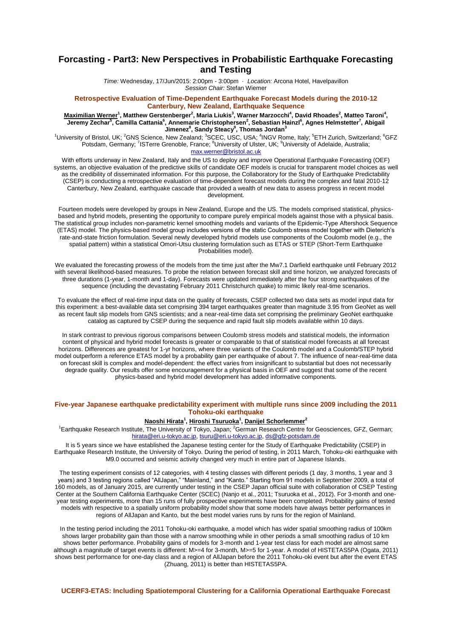# **Forcasting - Part3: New Perspectives in Probabilistic Earthquake Forecasting and Testing**

*Time:* Wednesday, 17/Jun/2015: 2:00pm - 3:00pm · *Location:* Arcona Hotel, Havelpavillon *Session Chair:* Stefan Wiemer

#### **Retrospective Evaluation of Time-Dependent Earthquake Forecast Models during the 2010-12 Canterbury, New Zealand, Earthquake Sequence**

**Maximilian Werner<sup>1</sup> , Matthew Gerstenberger<sup>2</sup> , Maria Liukis<sup>3</sup> , Warner Marzocchi<sup>4</sup> , David Rhoades<sup>2</sup> , Matteo Taroni<sup>4</sup> ,**   $J$ eremy Zechar $^5$ , Camilla Cattania $^6$ , Annemarie Christophersen $^2$ , Sebastian Hainzl $^6$ , Agnes Helmstetter $^7$ , Abigail **Jimenez<sup>8</sup> , Sandy Steacy<sup>9</sup> , Thomas Jordan<sup>3</sup>**

<sup>1</sup>University of Bristol, UK; <sup>2</sup>GNS Science, New Zealand; <sup>3</sup>SCEC, USC, USA; <sup>4</sup>INGV Rome, Italy; <sup>5</sup>ETH Zurich, Switzerland; <sup>6</sup>GFZ Potsdam, Germany; <sup>7</sup>ISTerre Grenoble, France; <sup>8</sup>University of Ulster, UK; <sup>9</sup>University of Adelaide, Australia; max.werner@bristol.ac.uk

With efforts underway in New Zealand, Italy and the US to deploy and improve Operational Earthquake Forecasting (OEF) systems, an objective evaluation of the predictive skills of candidate OEF models is crucial for transparent model choices as well as the credibility of disseminated information. For this purpose, the Collaboratory for the Study of Earthquake Predictability (CSEP) is conducting a retrospective evaluation of time-dependent forecast models during the complex and fatal 2010-12 Canterbury, New Zealand, earthquake cascade that provided a wealth of new data to assess progress in recent model development.

Fourteen models were developed by groups in New Zealand, Europe and the US. The models comprised statistical, physicsbased and hybrid models, presenting the opportunity to compare purely empirical models against those with a physical basis. The statistical group includes non-parametric kernel smoothing models and variants of the Epidemic-Type Aftershock Sequence (ETAS) model. The physics-based model group includes versions of the static Coulomb stress model together with Dieterich's rate-and-state friction formulation. Several newly developed hybrid models use components of the Coulomb model (e.g., the spatial pattern) within a statistical Omori-Utsu clustering formulation such as ETAS or STEP (Short-Term Earthquake Probabilities model).

We evaluated the forecasting prowess of the models from the time just after the Mw7.1 Darfield earthquake until February 2012 with several likelihood-based measures. To probe the relation between forecast skill and time horizon, we analyzed forecasts of three durations (1-year, 1-month and 1-day). Forecasts were updated immediately after the four strong earthquakes of the sequence (including the devastating February 2011 Christchurch quake) to mimic likely real-time scenarios.

To evaluate the effect of real-time input data on the quality of forecasts, CSEP collected two data sets as model input data for this experiment: a best-available data set comprising 394 target earthquakes greater than magnitude 3.95 from GeoNet as well as recent fault slip models from GNS scientists; and a near-real-time data set comprising the preliminary GeoNet earthquake catalog as captured by CSEP during the sequence and rapid fault slip models available within 10 days.

In stark contrast to previous rigorous comparisons between Coulomb stress models and statistical models, the information content of physical and hybrid model forecasts is greater or comparable to that of statistical model forecasts at all forecast horizons. Differences are greatest for 1-yr horizons, where three variants of the Coulomb model and a Coulomb/STEP hybrid model outperform a reference ETAS model by a probability gain per earthquake of about 7. The influence of near-real-time data on forecast skill is complex and model-dependent: the effect varies from insignificant to substantial but does not necessarily degrade quality. Our results offer some encouragement for a physical basis in OEF and suggest that some of the recent physics-based and hybrid model development has added informative components.

## **Five-year Japanese earthquake predictability experiment with multiple runs since 2009 including the 2011 Tohoku-oki earthquake**

#### **Naoshi Hirata<sup>1</sup> , Hiroshi Tsuruoka<sup>1</sup> , Danijel Schorlemmer<sup>2</sup>**

<sup>1</sup>Earthquake Research Institute, The University of Tokyo, Japan; <sup>2</sup>German Research Centre for Geosciences, GFZ, German; hirata@eri.u-tokyo.ac.jp, tsuru@eri.u-tokyo.ac.jp, ds@gfz-potsdam.de

It is 5 years since we have established the Japanese testing center for the Study of Earthquake Predictability (CSEP) in Earthquake Research Institute, the University of Tokyo. During the period of testing, in 2011 March, Tohoku-oki earthquake with M9.0 occurred and seismic activity changed very much in entire part of Japanese Islands.

The testing experiment consists of 12 categories, with 4 testing classes with different periods (1 day, 3 months, 1 year and 3 years) and 3 testing regions called "AllJapan," "Mainland," and "Kanto." Starting from 91 models in September 2009, a total of 160 models, as of January 2015, are currently under testing in the CSEP Japan official suite with collaboration of CSEP Testing Center at the Southern California Earthquake Center (SCEC) (Nanjo et al., 2011; Tsuruoka et al., 2012). For 3-month and oneyear testing experiments, more than 15 runs of fully prospective experiments have been completed. Probability gains of tested models with respective to a spatially uniform probability model show that some models have always better performances in regions of AllJapan and Kanto, but the best model varies runs by runs for the region of Mainland.

In the testing period including the 2011 Tohoku-oki earthquake, a model which has wider spatial smoothing radius of 100km shows larger probability gain than those with a narrow smoothing while in other periods a small smoothing radius of 10 km shows better performance. Probability gains of models for 3-month and 1-year test class for each model are almost same although a magnitude of target events is different: M>=4 for 3-month, M>=5 for 1-year. A model of HISTETAS5PA (Ogata, 2011) shows best performance for one-day class and a region of AllJapan before the 2011 Tohoku-oki event but after the event ETAS (Zhuang, 2011) is better than HISTETAS5PA.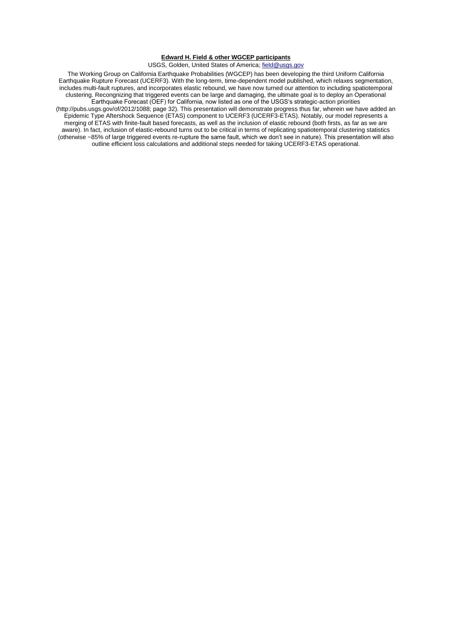## **Edward H. Field & other WGCEP participants**

## USGS, Golden, United States of America; field@usgs.gov

The Working Group on California Earthquake Probabilities (WGCEP) has been developing the third Uniform California Earthquake Rupture Forecast (UCERF3). With the long-term, time-dependent model published, which relaxes segmentation, includes multi-fault ruptures, and incorporates elastic rebound, we have now turned our attention to including spatiotemporal clustering. Recongnizing that triggered events can be large and damaging, the ultimate goal is to deploy an Operational Earthquake Forecast (OEF) for California, now listed as one of the USGS's strategic-action priorities (http://pubs.usgs.gov/of/2012/1088; page 32). This presentation will demonstrate progress thus far, wherein we have added an Epidemic Type Aftershock Sequence (ETAS) component to UCERF3 (UCERF3-ETAS). Notably, our model represents a merging of ETAS with finite-fault based forecasts, as well as the inclusion of elastic rebound (both firsts, as far as we are aware). In fact, inclusion of elastic-rebound turns out to be critical in terms of replicating spatiotemporal clustering statistics (otherwise ~85% of large triggered events re-rupture the same fault, which we don't see in nature). This presentation will also outline efficient loss calculations and additional steps needed for taking UCERF3-ETAS operational.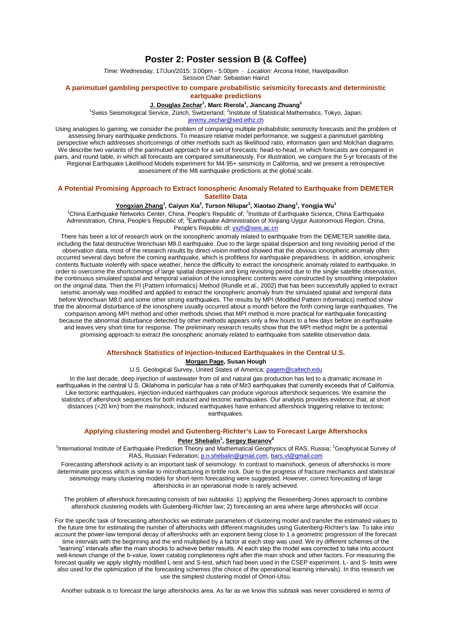## **Poster 2: Poster session B (& Coffee)**

*Time:* Wednesday, 17/Jun/2015: 3:00pm - 5:00pm · *Location:* Arcona Hotel, Havelpavillon *Session Chair:* Sebastian Hainzl

### **A parimutuel gambling perspective to compare probabilistic seismicity forecasts and deterministic eartquake predictions**

## **J. Douglas Zechar<sup>1</sup> , Marc Rierola<sup>1</sup> , Jiancang Zhuang<sup>2</sup>**

<sup>1</sup>Swiss Seismological Service, Zürich, Switzerland; <sup>2</sup>Institute of Statistical Mathematics, Tokyo, Japan;

jeremy.zechar@sed.ethz.ch

Using analogies to gaming, we consider the problem of comparing multiple probabilistic seismicity forecasts and the problem of assessing binary earthquake predictions. To measure relative model performance, we suggest a parimutuel gambling perspective which addresses shortcomings of other methods such as likelihood ratio, information gain and Molchan diagrams. We describe two variants of the parimutuel approach for a set of forecasts: head-to-head, in which forecasts are compared in pairs, and round table, in which all forecasts are compared simultaneously. For illustration, we compare the 5-yr forecasts of the Regional Earthquake Likelihood Models experiment for M4.95+ seismicity in California, and we present a retrospective assessment of the M8 earthquake predictions at the global scale.

## **A Potential Promising Approach to Extract Ionospheric Anomaly Related to Earthquake from DEMETER Satellite Data**

#### **Yongxian Zhang<sup>1</sup> , Caiyun Xia<sup>2</sup> , Turson Nilupar<sup>3</sup> , Xiaotao Zhang<sup>1</sup> , Yongjia Wu<sup>1</sup>**

<sup>1</sup>China Earthquake Networks Center, China, People's Republic of; <sup>2</sup>Institute of Earthquake Science, China Earthquake Administration, China, People's Republic of; <sup>3</sup>Earthquake Administration of Xinjiang Uygur Autonomous Region, China, People's Republic of, yxzh@seis.ac.cn

There has been a lot of research work on the ionospheric anomaly related to earthquake from the DEMETER satellite data, including the fatal destructive Wenchuan M8.0 earthquake. Due to the large spatial dispersion and long revisiting period of the observation data, most of the research results by direct-vision method showed that the obvious ionospheric anomaly often occurred several days before the coming earthquake, which is profitless for earthquake preparedness. In addition, ionospheric contents fluctuate violently with space weather, hence the difficulty to extract the ionospheric anomaly related to earthquake. In order to overcome the shortcomings of large spatial dispersion and long revisiting period due to the single satellite observation, the continuous simulated spatial and temporal variation of the ionospheric contents were constructed by smoothing interpolation on the original data. Then the PI (Pattern Informatics) Method (Rundle et al., 2002) that has been successfully applied to extract seismic anomaly was modified and applied to extract the ionospheric anomaly from the simulated spatial and temporal data before Wenchuan M8.0 and some other strong earthquakes. The results by MPI (Modified Pattern Informatics) method show that the abnormal disturbance of the ionosphere usually occurred about a month before the forth coming large earthquakes. The comparison among MPI method and other methods shows that MPI method is more practical for earthquake forecasting because the abnormal disturbance detected by other methods appears only a few hours to a few days before an earthquake and leaves very short time for response. The preliminary research results show that the MPI method might be a potential promising approach to extract the ionospheric anomaly related to earthquake from satellite observation data.

## **Aftershock Statistics of Injection-Induced Earthquakes in the Central U.S.**

### **Morgan Page, Susan Hough**

U.S. Geological Survey, United States of America; pagem@caltech.edu

In the last decade, deep injection of wastewater from oil and natural gas production has led to a dramatic increase in earthquakes in the central U.S. Oklahoma in particular has a rate of M≥3 earthquakes that currently exceeds that of California. Like tectonic earthquakes, injection-induced earthquakes can produce vigorous aftershock sequences. We examine the statistics of aftershock sequences for both induced and tectonic earthquakes. Our analysis provides evidence that, at short distances (<20 km) from the mainshock, induced earthquakes have enhanced aftershock triggering relative to tectonic earthquakes.

## **Applying clustering model and Gutenberg-Richter's Law to Forecast Large Aftershocks Peter Shebalin<sup>1</sup> , Sergey Baranov<sup>2</sup>**

<sup>1</sup>International Institute of Earthquake Prediction Theory and Mathematical Geophysics of RAS, Russia; <sup>2</sup>Geophysical Survey of RAS, Russian Federation; p.n.shebalin@gmail.com, bars.vl@gmail.com

Forecasting aftershock activity is an important task of seismology. In contrast to mainshock, genesis of aftershocks is more determinate process which is similar to microfracturing in brittle rock. Due to the progress of fracture mechanics and statistical seismology many clustering models for short-term forecasting were suggested. However, correct forecasting of large aftershocks in an operational mode is rarely achieved.

The problem of aftershock forecasting consists of two subtasks: 1) applying the Reasenberg-Jones approach to combine aftershock clustering models with Gutenberg-Richter law; 2) forecasting an area where large aftershocks will occur.

For the specific task of forecasting aftershocks we estimate parameters of clustering model and transfer the estimated values to the future time for estimating the number of aftershocks with different magnitudes using Gutenberg-Richter's law. To take into account the power-law temporal decay of aftershocks with an exponent being close to 1 a geometric progression of the forecast time intervals with the beginning and the end multiplied by a factor at each step was used. We try different schemes of the "learning" intervals after the main shocks to achieve better results. At each step the model was corrected to take into account well-known change of the b-value, lower catalog completeness right after the main shock and other factors. For measuring the forecast quality we apply slightly modified L-test and S-test, which had been used in the CSEP experiment. L- and S- tests were also used for the optimization of the forecasting schemes (the choice of the operational learning intervals). In this research we use the simplest clustering model of Omori-Utsu.

Another subtask is to forecast the large aftershocks area. As far as we know this subtask was never considered in terms of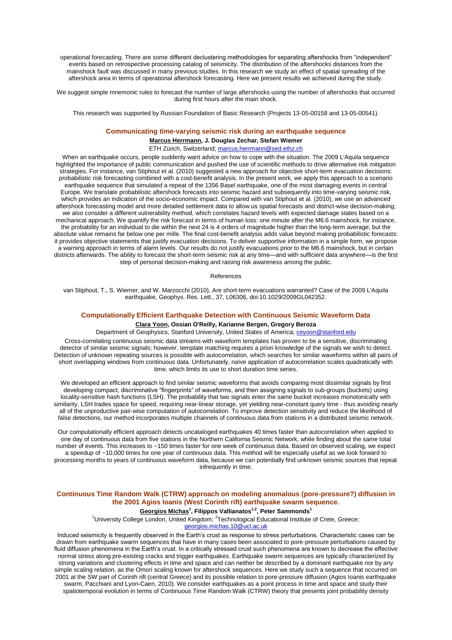operational forecasting. There are some different declustering methodologies for separating aftershocks from "independent" events based on retrospective processing catalog of seismicity. The distribution of the aftershocks distances from the mainshock fault was discussed in many previous studies. In this research we study an effect of spatial spreading of the aftershock area in terms of operational aftershock forecasting. Here we present results we achieved during the study.

We suggest simple mnemonic rules to forecast the number of large aftershocks using the number of aftershocks that occurred during first hours after the main shock.

This research was supported by Russian Foundation of Basic Research (Projects 13-05-00158 and 13-05-00541).

#### **Communicating time-varying seismic risk during an earthquake sequence**

**Marcus Herrmann, J. Douglas Zechar, Stefan Wiemer**

ETH Zürich, Switzerland; marcus.herrmann@sed.ethz.ch

When an earthquake occurs, people suddenly want advice on how to cope with the situation. The 2009 L'Aquila sequence highlighted the importance of public communication and pushed the use of scientific methods to drive alternative risk mitigation strategies. For instance, van Stiphout et al. (2010) suggested a new approach for objective short-term evacuation decisions: probabilistic risk forecasting combined with a cost-benefit analysis. In the present work, we apply this approach to a scenario earthquake sequence that simulated a repeat of the 1356 Basel earthquake, one of the most damaging events in central Europe. We translate probabilistic aftershock forecasts into seismic hazard and subsequently into time-varying seismic risk, which provides an indication of the socio-economic impact. Compared with van Stiphout et al. (2010), we use an advanced aftershock forecasting model and more detailed settlement data to allow us spatial forecasts and district-wise decision-making; we also consider a different vulnerability method, which correlates hazard levels with expected damage states based on a mechanical approach. We quantify the risk forecast in terms of human loss: one minute after the M6.6 mainshock, for instance, the probability for an individual to die within the next 24 is 4 orders of magnitude higher than the long-term average; but the absolute value remains far below one per mille. The final cost-benefit analysis adds value beyond making probabilistic forecasts: it provides objective statements that justify evacuation decisions. To deliver supportive information in a simple form, we propose a warning approach in terms of alarm levels. Our results do not justify evacuations prior to the M6.6 mainshock, but in certain districts afterwards. The ability to forecast the short-term seismic risk at any time—and with sufficient data anywhere—is the first step of personal decision-making and raising risk awareness among the public.

References

van Stiphout, T., S. Wiemer, and W. Marzocchi (2010), Are short-term evacuations warranted? Case of the 2009 L'Aquila earthquake, Geophys. Res. Lett., 37, L06306, doi:10.1029/2009GL042352.

## **Computationally Efficient Earthquake Detection with Continuous Seismic Waveform Data**

## **Clara Yoon, Ossian O'Reilly, Karianne Bergen, Gregory Beroza**

Department of Geophysics, Stanford University, United States of America; ceyoon@stanford.edu

Cross-correlating continuous seismic data streams with waveform templates has proven to be a sensitive, discriminating detector of similar seismic signals; however, template matching requires a priori knowledge of the signals we wish to detect. Detection of unknown repeating sources is possible with autocorrelation, which searches for similar waveforms within all pairs of short overlapping windows from continuous data. Unfortunately, naïve application of autocorrelation scales quadratically with time, which limits its use to short duration time series.

We developed an efficient approach to find similar seismic waveforms that avoids comparing most dissimilar signals by first developing compact, discriminative "fingerprints" of waveforms, and then assigning signals to sub-groups (buckets) using locality-sensitive hash functions (LSH). The probability that two signals enter the same bucket increases monotonically with similarity. LSH trades space for speed, requiring near-linear storage, yet yielding near-constant query time - thus avoiding nearly all of the unproductive pair-wise computation of autocorrelation. To improve detection sensitivity and reduce the likelihood of false detections, our method incorporates multiple channels of continuous data from stations in a distributed seismic network.

Our computationally efficient approach detects uncataloged earthquakes 40 times faster than autocorrelation when applied to one day of continuous data from five stations in the Northern California Seismic Network, while finding about the same total number of events. This increases to ~150 times faster for one week of continuous data. Based on observed scaling, we expect a speedup of ~10,000 times for one year of continuous data. This method will be especially useful as we look forward to processing months to years of continuous waveform data, because we can potentially find unknown seismic sources that repeat infrequently in time.

## **Continuous Time Random Walk (CTRW) approach on modeling anomalous (pore-pressure?) diffusion in the 2001 Agios Ioanis (West Corinth rift) earthquake swarm sequence.**

## **Georgios Michas<sup>1</sup> , Filippos Vallianatos1,2, Peter Sammonds<sup>1</sup>**

<sup>1</sup>University College London, United Kingdom; <sup>2</sup>Technological Educational Institute of Crete, Greece; georgios.michas.10@ucl.ac.uk

Induced seismicity is frequently observed in the Earth's crust as response to stress perturbations. Characteristic cases can be drawn from earthquake swarm sequences that have in many cases been associated to pore-pressure perturbations caused by fluid diffusion phenomena in the Earth's crust. In a critically stressed crust such phenomena are known to decrease the effective normal stress along pre-existing cracks and trigger earthquakes. Earthquake swarm sequences are typically characterized by strong variations and clustering effects in time and space and can neither be described by a dominant earthquake nor by any simple scaling relation, as the Omori scaling known for aftershock sequences. Here we study such a sequence that occurred on 2001 at the SW part of Corinth rift (central Greece) and its possible relation to pore-pressure diffusion (Agios Ioanis earthquake swarm, Pacchiani and Lyon-Caen, 2010). We consider earthquakes as a point process in time and space and study their spatiotemporal evolution in terms of Continuous Time Random Walk (CTRW) theory that presents joint probability density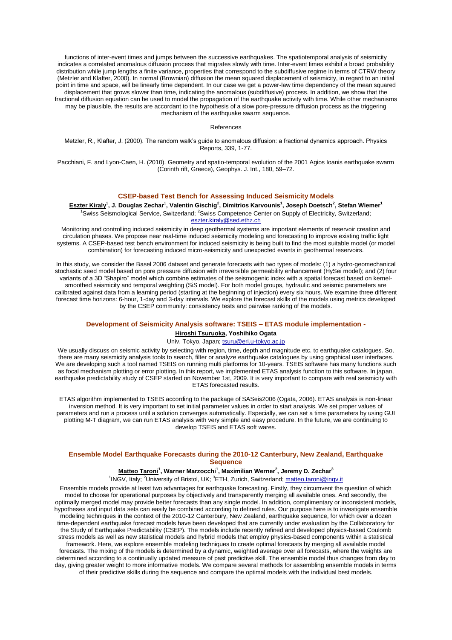functions of inter-event times and jumps between the successive earthquakes. The spatiotemporal analysis of seismicity indicates a correlated anomalous diffusion process that migrates slowly with time. Inter-event times exhibit a broad probability distribution while jump lengths a finite variance, properties that correspond to the subdiffusive regime in terms of CTRW theory (Metzler and Klafter, 2000). In normal (Brownian) diffusion the mean squared displacement of seismicity, in regard to an initial point in time and space, will be linearly time dependent. In our case we get a power-law time dependency of the mean squared displacement that grows slower than time, indicating the anomalous (subdiffusive) process. In addition, we show that the fractional diffusion equation can be used to model the propagation of the earthquake activity with time. While other mechanisms may be plausible, the results are accordant to the hypothesis of a slow pore-pressure diffusion process as the triggering mechanism of the earthquake swarm sequence.

References

Metzler, R., Klafter, J. (2000). The random walk's guide to anomalous diffusion: a fractional dynamics approach. Physics Reports, 339, 1-77.

Pacchiani, F. and Lyon-Caen, H. (2010). Geometry and spatio-temporal evolution of the 2001 Agios Ioanis earthquake swarm (Corinth rift, Greece), Geophys. J. Int., 180, 59–72.

## **CSEP-based Test Bench for Assessing Induced Seismicity Models**

**Eszter Kiraly<sup>1</sup> , J. Douglas Zechar<sup>1</sup> , Valentin Gischig<sup>2</sup> , Dimitrios Karvounis<sup>1</sup> , Joseph Doetsch<sup>2</sup> , Stefan Wiemer<sup>1</sup>** 1<br>Swiss Seismological Service, Switzerland: <sup>2</sup>Swiss Competence Center on Supply of Electricity, Switzerland: eszter.kiraly@sed.ethz.ch

Monitoring and controlling induced seismicity in deep geothermal systems are important elements of reservoir creation and circulation phases. We propose near real-time induced seismicity modeling and forecasting to improve existing traffic light systems. A CSEP-based test bench environment for induced seismicity is being built to find the most suitable model (or model combination) for forecasting induced micro-seismicity and unexpected events in geothermal reservoirs.

In this study, we consider the Basel 2006 dataset and generate forecasts with two types of models: (1) a hydro-geomechanical stochastic seed model based on pore pressure diffusion with irreversible permeability enhancement (HySei model); and (2) four variants of a 3D "Shapiro" model which combine estimates of the seismogenic index with a spatial forecast based on kernelsmoothed seismicity and temporal weighting (SiS model). For both model groups, hydraulic and seismic parameters are calibrated against data from a learning period (starting at the beginning of injection) every six hours. We examine three different forecast time horizons: 6-hour, 1-day and 3-day intervals. We explore the forecast skills of the models using metrics developed by the CSEP community: consistency tests and pairwise ranking of the models.

#### **Development of Seismicity Analysis software: TSEIS – ETAS module implementation -**

## **Hiroshi Tsuruoka, Yoshihiko Ogata**

Univ. Tokyo, Japan; tsuru@eri.u-tokyo.ac.jp

We usually discuss on seismic activity by selecting with region, time, depth and magnitude etc. to earthquake catalogues. So, there are many seismicity analysis tools to search, filter or analyze earthquake catalogues by using graphical user interfaces. We are developing such a tool named TSEIS on running multi platforms for 10-years. TSEIS software has many functions such as focal mechanism plotting or error plotting. In this report, we implemented ETAS analysis function to this software. In japan, earthquake predictability study of CSEP started on November 1st, 2009. It is very important to compare with real seismicity with ETAS forecasted results.

ETAS algorithm implemented to TSEIS according to the package of SASeis2006 (Ogata, 2006). ETAS analysis is non-linear inversion method. It is very important to set initial parameter values in order to start analysis. We set proper values of parameters and run a process until a solution converges automatically. Especially, we can set a time parameters by using GUI plotting M-T diagram, we can run ETAS analysis with very simple and easy procedure. In the future, we are continuing to develop TSEIS and ETAS soft wares.

## **Ensemble Model Earthquake Forecasts during the 2010-12 Canterbury, New Zealand, Earthquake Sequence**

### **Matteo Taroni<sup>1</sup> , Warner Marzocchi<sup>1</sup> , Maximilian Werner<sup>2</sup> , Jeremy D. Zechar<sup>3</sup>**

<sup>1</sup>INGV, Italy; <sup>2</sup>University of Bristol, UK; <sup>3</sup>ETH, Zurich, Switzerland; matteo.taroni@ingv.it

Ensemble models provide at least two advantages for earthquake forecasting. Firstly, they circumvent the question of which model to choose for operational purposes by objectively and transparently merging all available ones. And secondly, the optimally merged model may provide better forecasts than any single model. In addition, complimentary or inconsistent models, hypotheses and input data sets can easily be combined according to defined rules. Our purpose here is to investigate ensemble modeling techniques in the context of the 2010-12 Canterbury, New Zealand, earthquake sequence, for which over a dozen time-dependent earthquake forecast models have been developed that are currently under evaluation by the Collaboratory for the Study of Earthquake Predictability (CSEP). The models include recently refined and developed physics-based Coulomb stress models as well as new statistical models and hybrid models that employ physics-based components within a statistical framework. Here, we explore ensemble modeling techniques to create optimal forecasts by merging all available model forecasts. The mixing of the models is determined by a dynamic, weighted average over all forecasts, where the weights are determined according to a continually updated measure of past predictive skill. The ensemble model thus changes from day to day, giving greater weight to more informative models. We compare several methods for assembling ensemble models in terms of their predictive skills during the sequence and compare the optimal models with the individual best models.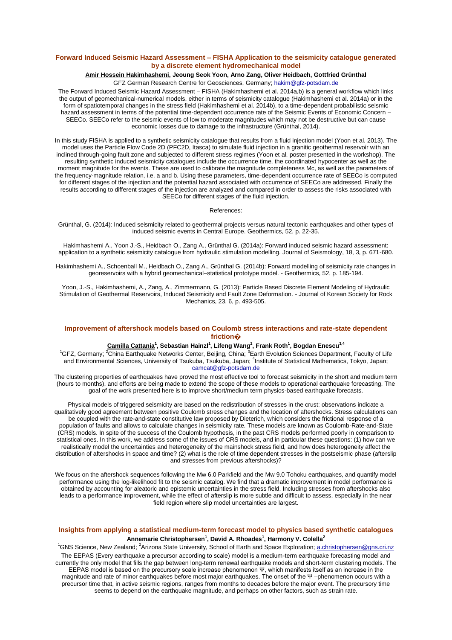## **Forward Induced Seismic Hazard Assessment – FISHA Application to the seismicity catalogue generated by a discrete element hydromechanical model**

### **Amir Hossein Hakimhashemi, Jeoung Seok Yoon, Arno Zang, Oliver Heidbach, Gottfried Grünthal** GFZ German Research Centre for Geosciences, Germany; hakim@gfz-potsdam.de

The Forward Induced Seismic Hazard Assessment – FISHA (Hakimhashemi et al. 2014a,b) is a general workflow which links the output of geomechanical-numerical models, either in terms of seismicity catalogue (Hakimhashemi et al. 2014a) or in the form of spatiotemporal changes in the stress field (Hakimhashemi et al. 2014b), to a time-dependent probabilistic seismic hazard assessment in terms of the potential time-dependent occurrence rate of the Seismic Events of Economic Concern – SEECo. SEECo refer to the seismic events of low to moderate magnitudes which may not be destructive but can cause economic losses due to damage to the infrastructure (Grünthal, 2014).

In this study FISHA is applied to a synthetic seismicity catalogue that results from a fluid injection model (Yoon et al. 2013). The model uses the Particle Flow Code 2D (PFC2D, Itasca) to simulate fluid injection in a granitic geothermal reservoir with an inclined through-going fault zone and subjected to different stress regimes (Yoon et al. poster presented in the workshop). The resulting synthetic induced seismicity catalogues include the occurrence time, the coordinated hypocenter as well as the moment magnitude for the events. These are used to calibrate the magnitude completeness Mc, as well as the parameters of the frequency-magnitude relation, i.e. a and b. Using these parameters, time-dependent occurrence rate of SEECo is computed for different stages of the injection and the potential hazard associated with occurrence of SEECo are addressed. Finally the results according to different stages of the injection are analyzed and compared in order to assess the risks associated with SEECo for different stages of the fluid injection.

#### References:

Grünthal, G. (2014): Induced seismicity related to geothermal projects versus natural tectonic earthquakes and other types of induced seismic events in Central Europe. Geothermics, 52, p. 22-35.

Hakimhashemi A., Yoon J.-S., Heidbach O., Zang A., Grünthal G. (2014a): Forward induced seismic hazard assessment: application to a synthetic seismicity catalogue from hydraulic stimulation modelling. Journal of Seismology, 18, 3, p. 671-680.

Hakimhashemi A., Schoenball M., Heidbach O., Zang A., Grünthal G. (2014b): Forward modelling of seismicity rate changes in georeservoirs with a hybrid geomechanical–statistical prototype model. - Geothermics, 52, p. 185-194.

Yoon, J.-S., Hakimhashemi, A., Zang, A., Zimmermann, G. (2013): Particle Based Discrete Element Modeling of Hydraulic Stimulation of Geothermal Reservoirs, Induced Seismicity and Fault Zone Deformation. - Journal of Korean Society for Rock Mechanics, 23, 6, p. 493-505.

## **Improvement of aftershock models based on Coulomb stress interactions and rate-state dependent friction�**

### **Camilla Cattania<sup>1</sup> , Sebastian Hainzl<sup>1</sup> , Lifeng Wang<sup>2</sup> , Frank Roth<sup>1</sup> , Bogdan Enescu3,4**

<sup>1</sup>GFZ, Germany; <sup>2</sup>China Earthquake Networks Center, Beijing, China; <sup>3</sup>Earth Evolution Sciences Department, Faculty of Life and Environmental Sciences, University of Tsukuba, Tsukuba, Japan; <sup>4</sup> Institute of Statistical Mathematics, Tokyo, Japan; camcat@gfz-potsdam.de

The clustering properties of earthquakes have proved the most effective tool to forecast seismicity in the short and medium term (hours to months), and efforts are being made to extend the scope of these models to operational earthquake forecasting. The goal of the work presented here is to improve short/medium term physics-based earthquake forecasts.

Physical models of triggered seismicity are based on the redistribution of stresses in the crust: observations indicate a qualitatively good agreement between positive Coulomb stress changes and the location of aftershocks. Stress calculations can be coupled with the rate-and-state constitutive law proposed by Dieterich, which considers the frictional response of a population of faults and allows to calculate changes in seismicity rate. These models are known as Coulomb-Rate-and-State (CRS) models. In spite of the success of the Coulomb hypothesis, in the past CRS models performed poorly in comparison to statistical ones. In this work, we address some of the issues of CRS models, and in particular these questions: (1) how can we realistically model the uncertainties and heterogeneity of the mainshock stress field, and how does heterogeneity affect the distribution of aftershocks in space and time? (2) what is the role of time dependent stresses in the postseismic phase (afterslip and stresses from previous aftershocks)?

We focus on the aftershock sequences following the Mw 6.0 Parkfield and the Mw 9.0 Tohoku earthquakes, and quantify model performance using the log-likelihood fit to the seismic catalog. We find that a dramatic improvement in model performance is obtained by accounting for aleatoric and epistemic uncertainties in the stress field. Including stresses from aftershocks also leads to a performance improvement, while the effect of afterslip is more subtle and difficult to assess, especially in the near field region where slip model uncertainties are largest.

## **Insights from applying a statistical medium-term forecast model to physics based synthetic catalogues Annemarie Christophersen<sup>1</sup> , David A. Rhoades<sup>1</sup> , Harmony V. Colella<sup>2</sup>**

<sup>1</sup>GNS Science, New Zealand; <sup>2</sup>Arizona State University, School of Earth and Space Exploration; a.christophersen@gns.cri.nz The EEPAS (Every earthquake a precursor according to scale) model is a medium-term earthquake forecasting model and currently the only model that fills the gap between long-term renewal earthquake models and short-term clustering models. The EEPAS model is based on the precursory scale increase phenomenon Ψ, which manifests itself as an increase in the magnitude and rate of minor earthquakes before most major earthquakes. The onset of the Ψ –phenomenon occurs with a precursor time that, in active seismic regions, ranges from months to decades before the major event. The precursory time seems to depend on the earthquake magnitude, and perhaps on other factors, such as strain rate.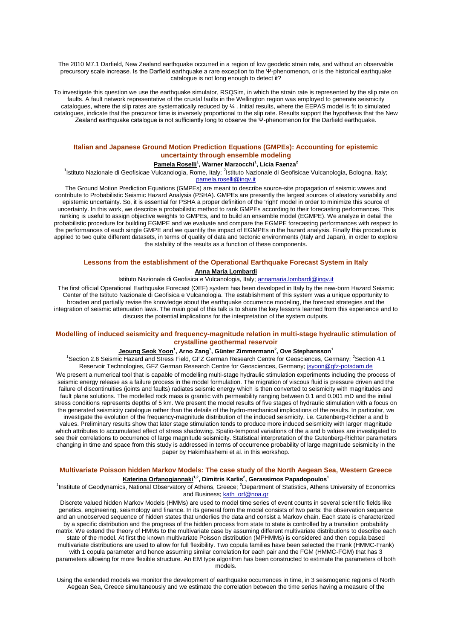The 2010 M7.1 Darfield, New Zealand earthquake occurred in a region of low geodetic strain rate, and without an observable precursory scale increase. Is the Darfield earthquake a rare exception to the Ψ-phenomenon, or is the historical earthquake catalogue is not long enough to detect it?

To investigate this question we use the earthquake simulator, RSQSim, in which the strain rate is represented by the slip rate on faults. A fault network representative of the crustal faults in the Wellington region was employed to generate seismicity catalogues, where the slip rates are systematically reduced by ¼ . Initial results, where the EEPAS model is fit to simulated catalogues, indicate that the precursor time is inversely proportional to the slip rate. Results support the hypothesis that the New Zealand earthquake catalogue is not sufficiently long to observe the Ψ-phenomenon for the Darfield earthquake.

## **Italian and Japanese Ground Motion Prediction Equations (GMPEs): Accounting for epistemic uncertainty through ensemble modeling**

#### **Pamela Roselli<sup>1</sup> , Warner Marzocchi<sup>1</sup> , Licia Faenza<sup>2</sup>**

<sup>1</sup>Istituto Nazionale di Geofisicae Vulcanologia, Rome, Italy; <sup>2</sup>Istituto Nazionale di Geofisicae Vulcanologia, Bologna, Italy; pamela.roselli@ingv.it

The Ground Motion Prediction Equations (GMPEs) are meant to describe source-site propagation of seismic waves and contribute to Probabilistic Seismic Hazard Analysis (PSHA). GMPEs are presently the largest sources of aleatory variability and epistemic uncertainty. So, it is essential for PSHA a proper definition of the 'right' model in order to minimize this source of uncertainty. In this work, we describe a probabilistic method to rank GMPEs according to their forecasting performances. This ranking is useful to assign objective weights to GMPEs, and to build an ensemble model (EGMPE). We analyze in detail the probabilistic procedure for building EGMPE and we evaluate and compare the EGMPE forecasting performances with respect to the performances of each single GMPE and we quantify the impact of EGMPEs in the hazard analysis. Finally this procedure is applied to two quite different datasets, in terms of quality of data and tectonic environments (Italy and Japan), in order to explore the stability of the results as a function of these components.

#### **Lessons from the establishment of the Operational Earthquake Forecast System in Italy**

## **Anna Maria Lombardi**

Istituto Nazionale di Geofisica e Vulcanologia, Italy; annamaria.lombardi@ingv.it

The first official Operational Earthquake Forecast (OEF) system has been developed in Italy by the new-born Hazard Seismic Center of the Istituto Nazionale di Geofisica e Vulcanologia. The establishment of this system was a unique opportunity to broaden and partially revise the knowledge about the earthquake occurrence modeling, the forecast strategies and the integration of seismic attenuation laws. The main goal of this talk is to share the key lessons learned from this experience and to discuss the potential implications for the interpretation of the system outputs.

#### **Modelling of induced seismicity and frequency-magnitude relation in multi-stage hydraulic stimulation of crystalline geothermal reservoir**

#### **Jeoung Seok Yoon<sup>1</sup> , Arno Zang<sup>1</sup> , Günter Zimmermann<sup>2</sup> , Ove Stephansson<sup>1</sup>**

<sup>1</sup>Section 2.6 Seismic Hazard and Stress Field, GFZ German Research Centre for Geosciences, Germany; <sup>2</sup>Section 4.1 Reservoir Technologies, GFZ German Research Centre for Geosciences, Germany; jsyoon@gfz-potsdam.de

We present a numerical tool that is capable of modelling multi-stage hydraulic stimulation experiments including the process of seismic energy release as a failure process in the model formulation. The migration of viscous fluid is pressure driven and the failure of discontinuities (joints and faults) radiates seismic energy which is then converted to seismicity with magnitudes and fault plane solutions. The modelled rock mass is granitic with permeability ranging between 0.1 and 0.001 mD and the initial stress conditions represents depths of 5 km. We present the model results of five stages of hydraulic stimulation with a focus on the generated seismicity catalogue rather than the details of the hydro-mechanical implications of the results. In particular, we investigate the evolution of the frequency-magnitude distribution of the induced seismicity, i.e. Gutenberg-Richter a and b values. Preliminary results show that later stage stimulation tends to produce more induced seismicity with larger magnitude which attributes to accumulated effect of stress shadowing. Spatio-temporal variations of the a and b values are investigated to see their correlations to occurrence of large magnitude seismicity. Statistical interpretation of the Gutenberg-Richter parameters changing in time and space from this study is addressed in terms of occurrence probability of large magnitude seismicity in the paper by Hakimhashemi et al. in this workshop.

## **Multivariate Poisson hidden Markov Models: The case study of the North Aegean Sea, Western Greece Katerina Orfanogiannaki1,2, Dimitris Karlis<sup>2</sup> , Gerassimos Papadopoulos<sup>1</sup>**

<sup>1</sup>Institute of Geodynamics, National Observatory of Athens, Greece; <sup>2</sup>Department of Statistics, Athens University of Economics and Business; kath\_orf@noa.gr

Discrete valued hidden Markov Models (HMMs) are used to model time series of event counts in several scientific fields like genetics, engineering, seismology and finance. In its general form the model consists of two parts: the observation sequence and an unobserved sequence of hidden states that underlies the data and consist a Markov chain. Each state is characterized by a specific distribution and the progress of the hidden process from state to state is controlled by a transition probability matrix. We extend the theory of HMMs to the multivariate case by assuming different multivariate distributions to describe each state of the model. At first the known multivariate Poisson distribution (MPHMMs) is considered and then copula based multivariate distributions are used to allow for full flexibility. Two copula families have been selected the Frank (HMMC-Frank) with 1 copula parameter and hence assuming similar correlation for each pair and the FGM (HMMC-FGM) that has 3

parameters allowing for more flexible structure. An EM type algorithm has been constructed to estimate the parameters of both models.

Using the extended models we monitor the development of earthquake occurrences in time, in 3 seismogenic regions of North Aegean Sea, Greece simultaneously and we estimate the correlation between the time series having a measure of the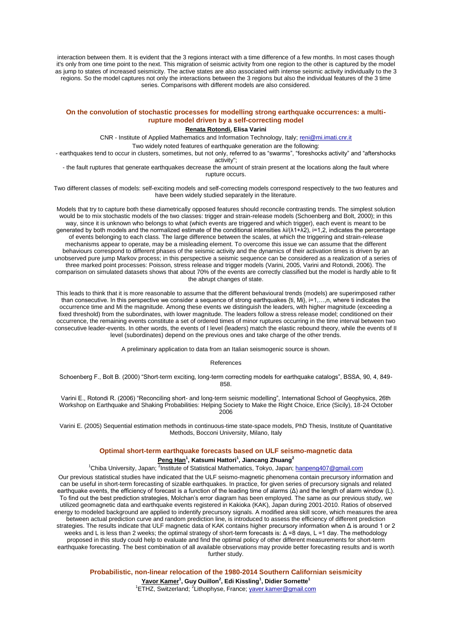interaction between them. It is evident that the 3 regions interact with a time difference of a few months. In most cases though it's only from one time point to the next. This migration of seismic activity from one region to the other is captured by the model as jump to states of increased seismicity. The active states are also associated with intense seismic activity individually to the 3 regions. So the model captures not only the interactions between the 3 regions but also the individual features of the 3 time series. Comparisons with different models are also considered.

## **On the convolution of stochastic processes for modelling strong earthquake occurrences: a multirupture model driven by a self-correcting model**

## **Renata Rotondi, Elisa Varini**

CNR - Institute of Applied Mathematics and Information Technology, Italy; reni@mi.imati.cnr.it

Two widely noted features of earthquake generation are the following:

- earthquakes tend to occur in clusters, sometimes, but not only, referred to as "swarms", "foreshocks activity" and "aftershocks activity";

- the fault ruptures that generate earthquakes decrease the amount of strain present at the locations along the fault where rupture occurs.

Two different classes of models: self-exciting models and self-correcting models correspond respectively to the two features and have been widely studied separately in the literature.

Models that try to capture both these diametrically opposed features should reconcile contrasting trends. The simplest solution would be to mix stochastic models of the two classes: trigger and strain-release models (Schoenberg and Bolt, 2000); in this way, since it is unknown who belongs to what (which events are triggered and which trigger), each event is meant to be generated by both models and the normalized estimate of the conditional intensities λi/(λ1+λ2), i=1,2, indicates the percentage of events belonging to each class. The large difference between the scales, at which the triggering and strain-release mechanisms appear to operate, may be a misleading element. To overcome this issue we can assume that the different behaviours correspond to different phases of the seismic activity and the dynamics of their activation times is driven by an unobserved pure jump Markov process; in this perspective a seismic sequence can be considered as a realization of a series of three marked point processes: Poisson, stress release and trigger models (Varini, 2005, Varini and Rotondi, 2006). The comparison on simulated datasets shows that about 70% of the events are correctly classified but the model is hardly able to fit the abrupt changes of state.

This leads to think that it is more reasonable to assume that the different behavioural trends (models) are superimposed rather than consecutive. In this perspective we consider a sequence of strong earthquakes {ti, Mi}, i=1,…,n, where ti indicates the occurrence time and Mi the magnitude. Among these events we distinguish the leaders, with higher magnitude (exceeding a fixed threshold) from the subordinates, with lower magnitude. The leaders follow a stress release model; conditioned on their occurrence, the remaining events constitute a set of ordered times of minor ruptures occurring in the time interval between two consecutive leader-events. In other words, the events of I level (leaders) match the elastic rebound theory, while the events of II level (subordinates) depend on the previous ones and take charge of the other trends.

A preliminary application to data from an Italian seismogenic source is shown.

#### References

Schoenberg F., Bolt B. (2000) "Short-term exciting, long-term correcting models for earthquake catalogs", BSSA, 90, 4, 849- 858.

Varini E., Rotondi R. (2006) "Reconciling short- and long-term seismic modelling", International School of Geophysics, 26th Workshop on Earthquake and Shaking Probabilities: Helping Society to Make the Right Choice, Erice (Sicily), 18-24 October 2006

Varini E. (2005) Sequential estimation methods in continuous-time state-space models, PhD Thesis, Institute of Quantitative Methods, Bocconi University, Milano, Italy

#### **Optimal short-term earthquake forecasts based on ULF seismo-magnetic data**

#### **Peng Han<sup>1</sup> , Katsumi Hattori<sup>1</sup> , Jiancang Zhuang<sup>2</sup>**

<sup>1</sup>Chiba University, Japan; <sup>2</sup>Institute of Statistical Mathematics, Tokyo, Japan; hanpeng407@gmail.com

Our previous statistical studies have indicated that the ULF seismo-magnetic phenomena contain precursory information and can be useful in short-term forecasting of sizable earthquakes. In practice, for given series of precursory signals and related earthquake events, the efficiency of forecast is a function of the leading time of alarms (Δ) and the length of alarm window (L). To find out the best prediction strategies, Molchan's error diagram has been employed. The same as our previous study, we utilized geomagnetic data and earthquake events registered in Kakioka (KAK), Japan during 2001-2010. Ratios of observed energy to modeled background are applied to indentify precursory signals. A modified area skill score, which measures the area between actual prediction curve and random prediction line, is introduced to assess the efficiency of different prediction strategies. The results indicate that ULF magnetic data of KAK contains higher precursory information when Δ is around 1 or 2 weeks and L is less than 2 weeks; the optimal strategy of short-term forecasts is: Δ =8 days, L =1 day. The methodology proposed in this study could help to evaluate and find the optimal policy of other different measurements for short-term earthquake forecasting. The best combination of all available observations may provide better forecasting results and is worth further study.

**Probabilistic, non-linear relocation of the 1980-2014 Southern Californian seismicity**

**Yavor Kamer<sup>1</sup> , Guy Ouillon<sup>2</sup> , Edi Kissling<sup>1</sup> , Didier Sornette<sup>1</sup>**

<sup>1</sup>ETHZ, Switzerland; <sup>2</sup>Lithophyse, France; <u>yaver.kamer@gmail.com</u>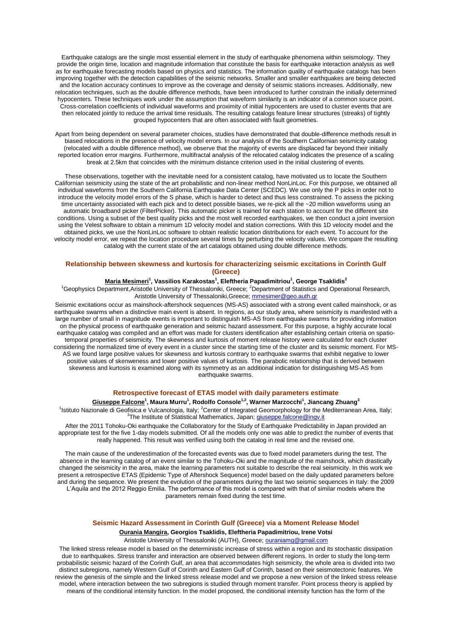Earthquake catalogs are the single most essential element in the study of earthquake phenomena within seismology. They provide the origin time, location and magnitude information that constitute the basis for earthquake interaction analysis as well as for earthquake forecasting models based on physics and statistics. The information quality of earthquake catalogs has been improving together with the detection capabilities of the seismic networks. Smaller and smaller earthquakes are being detected and the location accuracy continues to improve as the coverage and density of seismic stations increases. Additionally, new relocation techniques, such as the double difference methods, have been introduced to further constrain the initially determined hypocenters. These techniques work under the assumption that waveform similarity is an indicator of a common source point. Cross-correlation coefficients of individual waveforms and proximity of initial hypocenters are used to cluster events that are then relocated jointly to reduce the arrival time residuals. The resulting catalogs feature linear structures (streaks) of tightly grouped hypocenters that are often associated with fault geometries.

Apart from being dependent on several parameter choices, studies have demonstrated that double-difference methods result in biased relocations in the presence of velocity model errors. In our analysis of the Southern Californian seismicity catalog (relocated with a double difference method), we observe that the majority of events are displaced far beyond their initially reported location error margins. Furthermore, multifractal analysis of the relocated catalog indicates the presence of a scaling break at 2.5km that coincides with the minimum distance criterion used in the initial clustering of events.

These observations, together with the inevitable need for a consistent catalog, have motivated us to locate the Southern Californian seismicity using the state of the art probabilistic and non-linear method NonLinLoc. For this purpose, we obtained all individual waveforms from the Southern California Earthquake Data Center (SCEDC). We use only the P picks in order not to introduce the velocity model errors of the S phase, which is harder to detect and thus less constrained. To assess the picking time uncertainty associated with each pick and to detect possible biases, we re-pick all the ~20 million waveforms using an automatic broadband picker (FilterPicker). This automatic picker is trained for each station to account for the different site conditions. Using a subset of the best quality picks and the most well recorded earthquakes, we then conduct a joint inversion using the Velest software to obtain a minimum 1D velocity model and station corrections. With this 1D velocity model and the obtained picks, we use the NonLinLoc software to obtain realistic location distributions for each event. To account for the velocity model error, we repeat the location procedure several times by perturbing the velocity values. We compare the resulting catalog with the current state of the art catalogs obtained using double difference methods.

## **Relationship between skewness and kurtosis for characterizing seismic excitations in Corinth Gulf (Greece)**

#### **Maria Mesimeri<sup>1</sup> , Vassilios Karakostas<sup>1</sup> , Eleftheria Papadimitriou<sup>1</sup> , George Tsaklidis<sup>2</sup>**

<sup>1</sup>Geophysics Department,Aristotle University of Thessaloniki, Greece; <sup>2</sup>Department of Statistics and Operational Research, Aristotle University of Thessaloniki,Greece; mmesimer@geo.auth.gr

Seismic excitations occur as mainshock-aftershock sequences (MS-AS) associated with a strong event called mainshock, or as earthquake swarms when a distinctive main event is absent. In regions, as our study area, where seismicity is manifested with a large number of small in magnitude events is important to distinguish MS-AS from earthquake swarms for providing information on the physical process of earthquake generation and seismic hazard assessment. For this purpose, a highly accurate local earthquake catalog was compiled and an effort was made for clusters identification after establishing certain criteria on spatiotemporal properties of seismicity. The skewness and kurtosis of moment release history were calculated for each cluster considering the normalized time of every event in a cluster since the starting time of the cluster and its seismic moment. For MS-AS we found large positive values for skewness and kurtosis contrary to earthquake swarms that exhibit negative to lower positive values of skenweness and lower positive values of kurtosis. The parabolic relationship that is derived between skewness and kurtosis is examined along with its symmetry as an additional indication for distinguishing MS-AS from earthquake swarms.

## **Retrospective forecast of ETAS model with daily parameters estimate**

#### **Giuseppe Falcone<sup>1</sup> , Maura Murru<sup>1</sup> , Rodolfo Console1,2, Warner Marzocchi<sup>1</sup> , Jiancang Zhuang<sup>3</sup>**

<sup>1</sup>Istituto Nazionale di Geofisica e Vulcanologia, Italy; <sup>2</sup>Center of Integrated Geomorphology for the Mediterranean Area, Italy; <sup>3</sup>The Institute of Statistical Mathematics, Japan; giuseppe.falcone@ingv.it

After the 2011 Tohoku-Oki earthquake the Collaboratory for the Study of Earthquake Predictability in Japan provided an appropriate test for the five 1-day models submitted. Of all the models only one was able to predict the number of events that really happened. This result was verified using both the catalog in real time and the revised one.

The main cause of the underestimation of the forecasted events was due to fixed model parameters during the test. The absence in the learning catalog of an event similar to the Tohoku-Oki and the magnitude of the mainshock, which drastically changed the seismicity in the area, make the learning parameters not suitable to describe the real seismicity. In this work we present a retrospective ETAS (Epidemic Type of Aftershock Sequence) model based on the daily updated parameters before and during the sequence. We present the evolution of the parameters during the last two seismic sequences in Italy: the 2009 L'Aquila and the 2012 Reggio Emilia. The performance of this model is compared with that of similar models where the parameters remain fixed during the test time.

### **Seismic Hazard Assessment in Corinth Gulf (Greece) via a Moment Release Model**

## **Ourania Mangira, Georgios Tsaklidis, Eleftheria Papadimitriou, Irene Votsi**

Aristotle University of Thessaloniki (AUTH), Greece; ouraniamg@gmail.com

The linked stress release model is based on the deterministic increase of stress within a region and its stochastic dissipation due to earthquakes. Stress transfer and interaction are observed between different regions. In order to study the long-term probabilistic seismic hazard of the Corinth Gulf, an area that accommodates high seismicity, the whole area is divided into two distinct subregions, namely Western Gulf of Corinth and Eastern Gulf of Corinth, based on their seismotectonic features. We review the genesis of the simple and the linked stress release model and we propose a new version of the linked stress release model, where interaction between the two subregions is studied through moment transfer. Point process theory is applied by means of the conditional intensity function. In the model proposed, the conditional intensity function has the form of the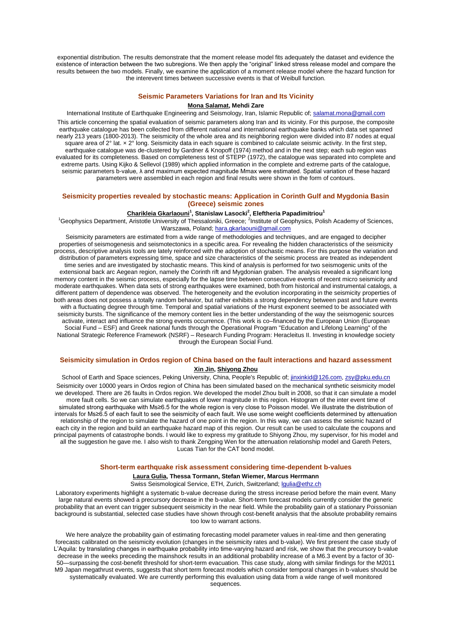exponential distribution. The results demonstrate that the moment release model fits adequately the dataset and evidence the existence of interaction between the two subregions. We then apply the "original" linked stress release model and compare the results between the two models. Finally, we examine the application of a moment release model where the hazard function for the interevent times between successive events is that of Weibull function.

## **Seismic Parameters Variations for Iran and Its Vicinity**

### **Mona Salamat, Mehdi Zare**

International Institute of Earthquake Engineering and Seismology, Iran, Islamic Republic of; salamat.mona@gmail.com This article concerning the spatial evaluation of seismic parameters along Iran and its vicinity. For this purpose, the composite earthquake catalogue has been collected from different national and international earthquake banks which data set spanned nearly 213 years (1800-2013). The seismicity of the whole area and its neighboring region were divided into 87 nodes at equal square area of 2° lat. x 2° long. Seismicity data in each square is combined to calculate seismic activity. In the first step, earthquake catalogue was de-clustered by Gardner & Knopoff (1974) method and in the next step; each sub region was evaluated for its completeness. Based on completeness test of STEPP (1972), the catalogue was separated into complete and extreme parts. Using Kijko & Sellevol (1989) which applied information in the complete and extreme parts of the catalogue, seismic parameters b-value, λ and maximum expected magnitude Mmax were estimated. Spatial variation of these hazard parameters were assembled in each region and final results were shown in the form of contours.

## **Seismicity properties revealed by stochastic means: Application in Corinth Gulf and Mygdonia Basin (Greece) seismic zones**

#### **Charikleia Gkarlaouni<sup>1</sup> , Stanislaw Lasocki<sup>2</sup> , Eleftheria Papadimitriou 1**

<sup>1</sup>Geophysics Department, Aristotle University of Thessaloniki, Greece; <sup>2</sup>Institute of Geophysics, Polish Academy of Sciences, Warszawa, Poland; hara.gkarlaouni@gmail.com

Seismicity parameters are estimated from a wide range of methodologies and techniques, and are engaged to decipher properties of seismogenesis and seismotectonics in a specific area. For revealing the hidden characteristics of the seismicity process, descriptive analysis tools are lately reinforced with the adoption of stochastic means. For this purpose the variation and distribution of parameters expressing time, space and size characteristics of the seismic process are treated as independent time series and are investigated by stochastic means. This kind of analysis is performed for two seismogenic units of the extensional back arc Aegean region, namely the Corinth rift and Mygdonian graben. The analysis revealed a significant long memory content in the seismic process, especially for the lapse time between consecutive events of recent micro seismicity and moderate earthquakes. When data sets of strong earthquakes were examined, both from historical and instrumental catalogs, a different pattern of dependence was observed. The heterogeneity and the evolution incorporating in the seismicity properties of both areas does not possess a totally random behavior, but rather exhibits a strong dependency between past and future events with a fluctuating degree through time. Temporal and spatial variations of the Hurst exponent seemed to be associated with seismicity bursts. The significance of the memory content lies in the better understanding of the way the seismogenic sources activate, interact and influence the strong events occurrence. (This work is co–financed by the European Union (European Social Fund – ESF) and Greek national funds through the Operational Program "Education and Lifelong Learning" of the National Strategic Reference Framework (NSRF) – Research Funding Program: Heracleitus II. Investing in knowledge society through the European Social Fund.

## **Seismicity simulation in Ordos region of China based on the fault interactions and hazard assessment Xin Jin, Shiyong Zhou**

School of Earth and Space sciences, Peking University, China, People's Republic of; jinxinkid@126.com, zsy@pku.edu.cn Seismicity over 10000 years in Ordos region of China has been simulated based on the mechanical synthetic seismicity model we developed. There are 26 faults in Ordos region. We developed the model Zhou built in 2008, so that it can simulate a model more fault cells. So we can simulate earthquakes of lower magnitude in this region. Histogram of the inter event time of simulated strong earthquake with Ms≥6.5 for the whole region is very close to Poisson model. We illustrate the distribution of intervals for Ms≥6.5 of each fault to see the seismicity of each fault. We use some weight coefficients determined by attenuation relationship of the region to simulate the hazard of one point in the region. In this way, we can assess the seismic hazard of each city in the region and build an earthquake hazard map of this region. Our result can be used to calculate the coupons and principal payments of catastrophe bonds. I would like to express my gratitude to Shiyong Zhou, my supervisor, for his model and all the suggestion he gave me. I also wish to thank Zengping Wen for the attenuation relationship model and Gareth Peters, Lucas Tian for the CAT bond model.

#### **Short-term earthquake risk assessment considering time-dependent b-values**

## **Laura Gulia, Thessa Tormann, Stefan Wiemer, Marcus Herrmann**

Swiss Seismological Service, ETH, Zurich, Switzerland; lgulia@ethz.ch

Laboratory experiments highlight a systematic b-value decrease during the stress increase period before the main event. Many large natural events showed a precursory decrease in the b-value. Short-term forecast models currently consider the generic probability that an event can trigger subsequent seismicity in the near field. While the probability gain of a stationary Poissonian background is substantial, selected case studies have shown through cost-benefit analysis that the absolute probability remains too low to warrant actions.

We here analyze the probability gain of estimating forecasting model parameter values in real-time and then generating forecasts calibrated on the seismicity evolution (changes in the seismicity rates and b-value). We first present the case study of L'Aquila: by translating changes in earthquake probability into time-varying hazard and risk, we show that the precursory b-value decrease in the weeks preceding the mainshock results in an additional probability increase of a M6.3 event by a factor of 30- 50—surpassing the cost-benefit threshold for short-term evacuation. This case study, along with similar findings for the M2011 M9 Japan megathrust events, suggests that short term forecast models which consider temporal changes in b-values should be systematically evaluated. We are currently performing this evaluation using data from a wide range of well monitored sequences.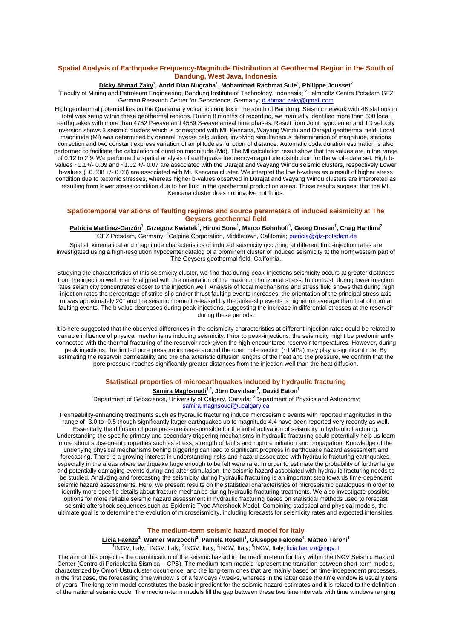## **Spatial Analysis of Earthquake Frequency-Magnitude Distribution at Geothermal Region in the South of Bandung, West Java, Indonesia**

### **Dicky Ahmad Zaky<sup>1</sup> , Andri Dian Nugraha<sup>1</sup> , Mohammad Rachmat Sule<sup>1</sup> , Philippe Jousset<sup>2</sup>**

<sup>1</sup>Faculty of Mining and Petroleum Engineering, Bandung Institute of Technology, Indonesia; <sup>2</sup>Helmholtz Centre Potsdam GFZ German Research Center for Geoscience, Germany; d.ahmad.zaky@gmail.com

High geothermal potential lies on the Quaternary volcanic complex in the south of Bandung. Seismic network with 48 stations in total was setup within these geothermal regions. During 8 months of recording, we manually identified more than 600 local earthquakes with more than 4752 P-wave and 4589 S-wave arrival time phases. Result from Joint hypocenter and 1D velocity inversion shows 3 seismic clusters which is correspond with Mt. Kencana, Wayang Windu and Darajat geothermal field. Local magnitude (Ml) was determined by general inverse calculation, involving simultaneous determination of magnitude, stations correction and two constant express variation of amplitude as function of distance. Automatic coda duration estimation is also performed to facilitate the calculation of duration magnitude (Md). The Ml calculation result show that the values are in the range of 0.12 to 2.9. We performed a spatial analysis of earthquake frequency-magnitude distribution for the whole data set. High bvalues ~1.1+/- 0.09 and ~1.02 +/- 0.07 are associated with the Darajat and Wayang Windu seismic clusters, respectively Lower b-values (~0.838 +/- 0.08) are associated with Mt. Kencana cluster. We interpret the low b-values as a result of higher stress condition due to tectonic stresses, whereas higher b-values observed in Darajat and Wayang Windu clusters are interpreted as resulting from lower stress condition due to hot fluid in the geothermal production areas. Those results suggest that the Mt. Kencana cluster does not involve hot fluids.

### **Spatiotemporal variations of faulting regimes and source parameters of induced seismicity at The Geysers geothermal field**

#### **Patricia Martínez-Garzón<sup>1</sup> , Grzegorz Kwiatek<sup>1</sup> , Hiroki Sone<sup>1</sup> , Marco Bohnhoff<sup>1</sup> , Georg Dresen<sup>1</sup> , Craig Hartline<sup>2</sup>** <sup>1</sup>GFZ Potsdam, Germany; <sup>2</sup>Calpine Corporation, Middletown, California; patricia@gfz-potsdam.de

Spatial, kinematical and magnitude characteristics of induced seismicity occurring at different fluid-injection rates are investigated using a high-resolution hypocenter catalog of a prominent cluster of induced seismicity at the northwestern part of The Geysers geothermal field, California.

Studying the characteristics of this seismicity cluster, we find that during peak-injections seismicity occurs at greater distances from the injection well, mainly aligned with the orientation of the maximum horizontal stress. In contrast, during lower injection rates seismicity concentrates closer to the injection well. Analysis of focal mechanisms and stress field shows that during high injection rates the percentage of strike-slip and/or thrust faulting events increases, the orientation of the principal stress axis moves aproximately 20° and the seismic moment released by the strike-slip events is higher on average than that of normal faulting events. The b value decreases during peak-injections, suggesting the increase in differential stresses at the reservoir during these periods.

It is here suggested that the observed differences in the seismicity characteristics at different injection rates could be related to variable influence of physical mechanisms inducing seismicity. Prior to peak-injections, the seismicity might be predominantly connected with the thermal fracturing of the reservoir rock given the high encountered reservoir temperatures. However, during peak injections, the limited pore pressure increase around the open hole section (~1MPa) may play a significant role. By estimating the reservoir permeability and the characteristic diffusion lengths of the heat and the pressure, we confirm that the pore pressure reaches significantly greater distances from the injection well than the heat diffusion.

#### **Statistical properties of microearthquakes induced by hydraulic fracturing**

#### **Samira Maghsoudi1,2, Jörn Davidsen<sup>2</sup> , David Eaton<sup>1</sup>**

<sup>1</sup>Department of Geoscience, University of Calgary, Canada; <sup>2</sup>Department of Physics and Astronomy; samira.maghsoudi@ucalgary.ca

Permeability-enhancing treatments such as hydraulic fracturing induce microseismic events with reported magnitudes in the range of -3.0 to -0.5 though significantly larger earthquakes up to magnitude 4.4 have been reported very recently as well. Essentially the diffusion of pore pressure is responsible for the initial activation of seismicity in hydraulic fracturing. Understanding the specific primary and secondary triggering mechanisms in hydraulic fracturing could potentially help us learn more about subsequent properties such as stress, strength of faults and rupture initiation and propagation. Knowledge of the underlying physical mechanisms behind triggering can lead to significant progress in earthquake hazard assessment and forecasting. There is a growing interest in understanding risks and hazard associated with hydraulic fracturing earthquakes, especially in the areas where earthquake large enough to be felt were rare. In order to estimate the probability of further large and potentially damaging events during and after stimulation, the seismic hazard associated with hydraulic fracturing needs to be studied. Analyzing and forecasting the seismicity during hydraulic fracturing is an important step towards time-dependent seismic hazard assessments. Here, we present results on the statistical characteristics of microseismic catalogues in order to identify more specific details about fracture mechanics during hydraulic fracturing treatments. We also investigate possible options for more reliable seismic hazard assessment in hydraulic fracturing based on statistical methods used to forecast seismic aftershock sequences such as Epidemic Type Aftershock Model. Combining statistical and physical models, the ultimate goal is to determine the evolution of microseismicity, including forecasts for seismicity rates and expected intensities.

#### **The medium-term seismic hazard model for Italy**

**Licia Faenza<sup>1</sup> , Warner Marzocchi<sup>2</sup> , Pamela Roselli<sup>3</sup> , Giuseppe Falcone<sup>4</sup> , Matteo Taroni<sup>5</sup>**

<sup>1</sup>INGV, Italy; <sup>2</sup>INGV, Italy; <sup>3</sup>INGV, Italy; <sup>4</sup>INGV, Italy; <sup>5</sup>INGV, Italy; licia.faenza@ingv.it

The aim of this project is the quantification of the seismic hazard in the medium-term for Italy within the INGV Seismic Hazard Center (Centro di Pericolosità Sismica – CPS). The medium-term models represent the transition between short-term models, characterized by Omori-Ustu cluster occurrence, and the long-term ones that are mainly based on time-independent processes. In the first case, the forecasting time window is of a few days / weeks, whereas in the latter case the time window is usually tens of years. The long-term model constitutes the basic ingredient for the seismic hazard estimates and it is related to the definition of the national seismic code. The medium-term models fill the gap between these two time intervals with time windows ranging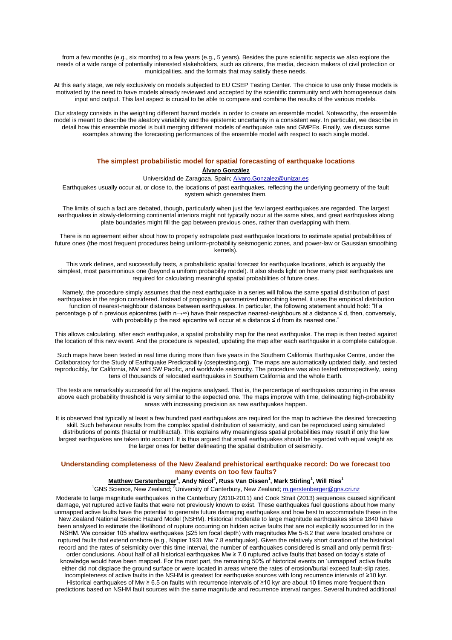from a few months (e.g., six months) to a few years (e.g., 5 years). Besides the pure scientific aspects we also explore the needs of a wide range of potentially interested stakeholders, such as citizens, the media, decision makers of civil protection or municipalities, and the formats that may satisfy these needs.

At this early stage, we rely exclusively on models subjected to EU CSEP Testing Center. The choice to use only these models is motivated by the need to have models already reviewed and accepted by the scientific community and with homogeneous data input and output. This last aspect is crucial to be able to compare and combine the results of the various models.

Our strategy consists in the weighting different hazard models in order to create an ensemble model. Noteworthy, the ensemble model is meant to describe the aleatory variability and the epistemic uncertainty in a consistent way. In particular, we describe in detail how this ensemble model is built merging different models of earthquake rate and GMPEs. Finally, we discuss some examples showing the forecasting performances of the ensemble model with respect to each single model.

## **The simplest probabilistic model for spatial forecasting of earthquake locations Álvaro González**

Universidad de Zaragoza, Spain; Alvaro.Gonzalez@unizar.es

Earthquakes usually occur at, or close to, the locations of past earthquakes, reflecting the underlying geometry of the fault system which generates them.

The limits of such a fact are debated, though, particularly when just the few largest earthquakes are regarded. The largest earthquakes in slowly-deforming continental interiors might not typically occur at the same sites, and great earthquakes along plate boundaries might fill the gap between previous ones, rather than overlapping with them.

There is no agreement either about how to properly extrapolate past earthquake locations to estimate spatial probabilities of future ones (the most frequent procedures being uniform-probability seismogenic zones, and power-law or Gaussian smoothing kernels).

This work defines, and successfully tests, a probabilistic spatial forecast for earthquake locations, which is arguably the simplest, most parsimonious one (beyond a uniform probability model). It also sheds light on how many past earthquakes are required for calculating meaningful spatial probabilities of future ones.

Namely, the procedure simply assumes that the next earthquake in a series will follow the same spatial distribution of past earthquakes in the region considered. Instead of proposing a parametrized smoothing kernel, it uses the empirical distribution function of nearest-neighbour distances between earthquakes. In particular, the following statement should hold: "If a percentage p of n previous epicentres (with n→∞) have their respective nearest-neighbours at a distance ≤ d, then, conversely, with probability p the next epicentre will occur at a distance ≤ d from its nearest one."

This allows calculating, after each earthquake, a spatial probability map for the next earthquake. The map is then tested against the location of this new event. And the procedure is repeated, updating the map after each earthquake in a complete catalogue.

Such maps have been tested in real time during more than five years in the Southern California Earthquake Centre, under the Collaboratory for the Study of Earthquake Predictability (cseptesting.org). The maps are automatically updated daily, and tested reproducibly, for California, NW and SW Pacific, and worldwide seismicity. The procedure was also tested retrospectively, using tens of thousands of relocated earthquakes in Southern California and the whole Earth.

The tests are remarkably successful for all the regions analysed. That is, the percentage of earthquakes occurring in the areas above each probability threshold is very similar to the expected one. The maps improve with time, delineating high-probability areas with increasing precision as new earthquakes happen.

It is observed that typically at least a few hundred past earthquakes are required for the map to achieve the desired forecasting skill. Such behaviour results from the complex spatial distribution of seismicity, and can be reproduced using simulated distributions of points (fractal or multifractal). This explains why meaningless spatial probabilities may result if only the few largest earthquakes are taken into account. It is thus argued that small earthquakes should be regarded with equal weight as the larger ones for better delineating the spatial distribution of seismicity.

#### **Understanding completeness of the New Zealand prehistorical earthquake record: Do we forecast too many events on too few faults?**

#### **Matthew Gerstenberger<sup>1</sup> , Andy Nicol<sup>2</sup> , Russ Van Dissen<sup>1</sup> , Mark Stirling<sup>1</sup> , Will Ries<sup>1</sup>**

<sup>1</sup>GNS Science, New Zealand; <sup>2</sup>University of Canterbury, New Zealand; m.gerstenberger@gns.cri.nz

Moderate to large magnitude earthquakes in the Canterbury (2010‐2011) and Cook Strait (2013) sequences caused significant damage, yet ruptured active faults that were not previously known to exist. These earthquakes fuel questions about how many unmapped active faults have the potential to generate future damaging earthquakes and how best to accommodate these in the New Zealand National Seismic Hazard Model (NSHM). Historical moderate to large magnitude earthquakes since 1840 have been analysed to estimate the likelihood of rupture occurring on hidden active faults that are not explicitly accounted for in the NSHM. We consider 105 shallow earthquakes (≤25 km focal depth) with magnitudes Mw 5‐8.2 that were located onshore or ruptured faults that extend onshore (e.g., Napier 1931 Mw 7.8 earthquake). Given the relatively short duration of the historical record and the rates of seismicity over this time interval, the number of earthquakes considered is small and only permit firstorder conclusions. About half of all historical earthquakes Mw ≥ 7.0 ruptured active faults that based on today's state of knowledge would have been mapped. For the most part, the remaining 50% of historical events on 'unmapped' active faults either did not displace the ground surface or were located in areas where the rates of erosion/burial exceed fault‐slip rates. Incompleteness of active faults in the NSHM is greatest for earthquake sources with long recurrence intervals of ≥10 kyr. Historical earthquakes of Mw ≥ 6.5 on faults with recurrence intervals of ≥10 kyr are about 10 times more frequent than predictions based on NSHM fault sources with the same magnitude and recurrence interval ranges. Several hundred additional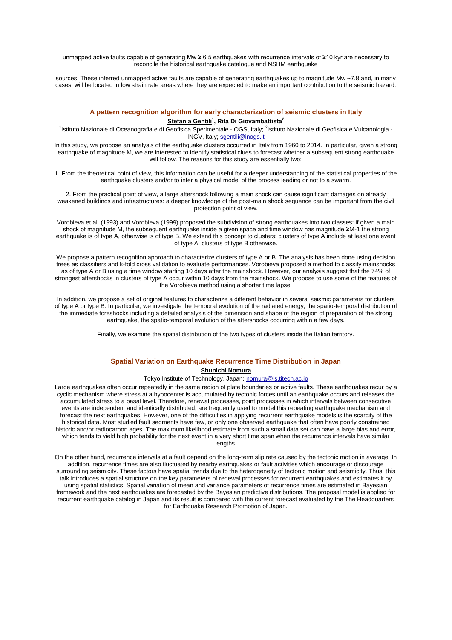unmapped active faults capable of generating Mw ≥ 6.5 earthquakes with recurrence intervals of ≥10 kyr are necessary to reconcile the historical earthquake catalogue and NSHM earthquake

sources. These inferred unmapped active faults are capable of generating earthquakes up to magnitude Mw ~7.8 and, in many cases, will be located in low strain rate areas where they are expected to make an important contribution to the seismic hazard.

## **A pattern recognition algorithm for early characterization of seismic clusters in Italy Stefania Gentili<sup>1</sup> , Rita Di Giovambattista<sup>2</sup>**

<sup>1</sup>Istituto Nazionale di Oceanografia e di Geofisica Sperimentale - OGS, Italy; <sup>2</sup>Istituto Nazionale di Geofisica e Vulcanologia -INGV, Italy; sgentili@inogs.it

In this study, we propose an analysis of the earthquake clusters occurred in Italy from 1960 to 2014. In particular, given a strong earthquake of magnitude M, we are interested to identify statistical clues to forecast whether a subsequent strong earthquake will follow. The reasons for this study are essentially two:

1. From the theoretical point of view, this information can be useful for a deeper understanding of the statistical properties of the earthquake clusters and/or to infer a physical model of the process leading or not to a swarm.

2. From the practical point of view, a large aftershock following a main shock can cause significant damages on already weakened buildings and infrastructures: a deeper knowledge of the post-main shock sequence can be important from the civil protection point of view.

Vorobieva et al. (1993) and Vorobieva (1999) proposed the subdivision of strong earthquakes into two classes: if given a main shock of magnitude M, the subsequent earthquake inside a given space and time window has magnitude ≥M-1 the strong earthquake is of type A, otherwise is of type B. We extend this concept to clusters: clusters of type A include at least one event of type A, clusters of type B otherwise.

We propose a pattern recognition approach to characterize clusters of type A or B. The analysis has been done using decision trees as classifiers and k-fold cross validation to evaluate performances. Vorobieva proposed a method to classify mainshocks as of type A or B using a time window starting 10 days after the mainshock. However, our analysis suggest that the 74% of strongest aftershocks in clusters of type A occur within 10 days from the mainshock. We propose to use some of the features of the Vorobieva method using a shorter time lapse.

In addition, we propose a set of original features to characterize a different behavior in several seismic parameters for clusters of type A or type B. In particular, we investigate the temporal evolution of the radiated energy, the spatio-temporal distribution of the immediate foreshocks including a detailed analysis of the dimension and shape of the region of preparation of the strong earthquake, the spatio-temporal evolution of the aftershocks occurring within a few days.

Finally, we examine the spatial distribution of the two types of clusters inside the Italian territory.

# **Spatial Variation on Earthquake Recurrence Time Distribution in Japan**

#### **Shunichi Nomura**

Tokyo Institute of Technology, Japan; nomura@is.titech.ac.jp

Large earthquakes often occur repeatedly in the same region of plate boundaries or active faults. These earthquakes recur by a cyclic mechanism where stress at a hypocenter is accumulated by tectonic forces until an earthquake occurs and releases the accumulated stress to a basal level. Therefore, renewal processes, point processes in which intervals between consecutive events are independent and identically distributed, are frequently used to model this repeating earthquake mechanism and forecast the next earthquakes. However, one of the difficulties in applying recurrent earthquake models is the scarcity of the historical data. Most studied fault segments have few, or only one observed earthquake that often have poorly constrained historic and/or radiocarbon ages. The maximum likelihood estimate from such a small data set can have a large bias and error, which tends to yield high probability for the next event in a very short time span when the recurrence intervals have similar lengths.

On the other hand, recurrence intervals at a fault depend on the long-term slip rate caused by the tectonic motion in average. In addition, recurrence times are also fluctuated by nearby earthquakes or fault activities which encourage or discourage surrounding seismicity. These factors have spatial trends due to the heterogeneity of tectonic motion and seismicity. Thus, this talk introduces a spatial structure on the key parameters of renewal processes for recurrent earthquakes and estimates it by using spatial statistics. Spatial variation of mean and variance parameters of recurrence times are estimated in Bayesian framework and the next earthquakes are forecasted by the Bayesian predictive distributions. The proposal model is applied for recurrent earthquake catalog in Japan and its result is compared with the current forecast evaluated by the The Headquarters for Earthquake Research Promotion of Japan.